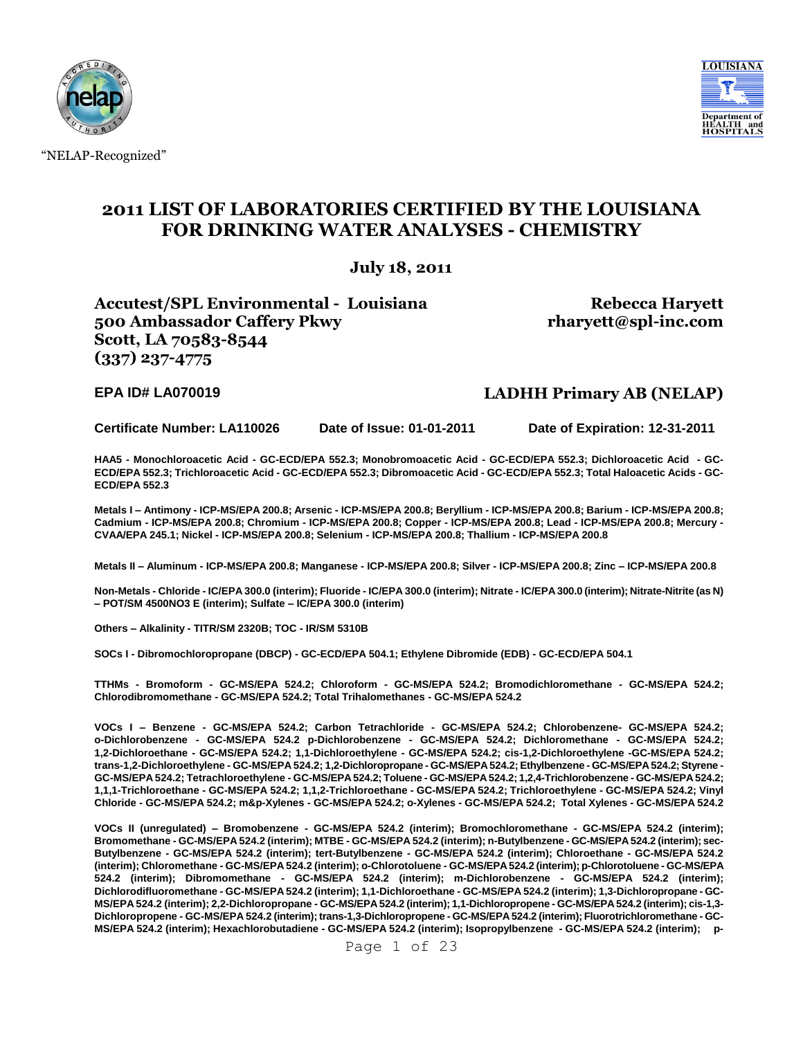

"NELAP-Recognized"



## **2011 LIST OF LABORATORIES CERTIFIED BY THE LOUISIANA FOR DRINKING WATER ANALYSES - CHEMISTRY**

**July 18, 2011**

**Accutest/SPL Environmental - Louisiana 500 Ambassador Caffery Pkwy Scott, LA 70583-8544 (337) 237-4775**

**Rebecca Haryett rharyett@spl-inc.com**

### **EPA ID# LA070019 LADHH Primary AB (NELAP)**

**Certificate Number: LA110026 Date of Issue: 01-01-2011 Date of Expiration: 12-31-2011**

**HAA5 - Monochloroacetic Acid - GC-ECD/EPA 552.3; Monobromoacetic Acid - GC-ECD/EPA 552.3; Dichloroacetic Acid - GC-ECD/EPA 552.3; Trichloroacetic Acid - GC-ECD/EPA 552.3; Dibromoacetic Acid - GC-ECD/EPA 552.3; Total Haloacetic Acids - GC-ECD/EPA 552.3**

**Metals I – Antimony - ICP-MS/EPA 200.8; Arsenic - ICP-MS/EPA 200.8; Beryllium - ICP-MS/EPA 200.8; Barium - ICP-MS/EPA 200.8; Cadmium - ICP-MS/EPA 200.8; Chromium - ICP-MS/EPA 200.8; Copper - ICP-MS/EPA 200.8; Lead - ICP-MS/EPA 200.8; Mercury - CVAA/EPA 245.1; Nickel - ICP-MS/EPA 200.8; Selenium - ICP-MS/EPA 200.8; Thallium - ICP-MS/EPA 200.8**

**Metals II – Aluminum - ICP-MS/EPA 200.8; Manganese - ICP-MS/EPA 200.8; Silver - ICP-MS/EPA 200.8; Zinc – ICP-MS/EPA 200.8**

**Non-Metals - Chloride - IC/EPA 300.0 (interim); Fluoride - IC/EPA 300.0 (interim); Nitrate - IC/EPA 300.0 (interim); Nitrate-Nitrite (as N) – POT/SM 4500NO3 E (interim); Sulfate – IC/EPA 300.0 (interim)**

**Others – Alkalinity - TITR/SM 2320B; TOC - IR/SM 5310B**

**SOCs I - Dibromochloropropane (DBCP) - GC-ECD/EPA 504.1; Ethylene Dibromide (EDB) - GC-ECD/EPA 504.1**

**TTHMs - Bromoform - GC-MS/EPA 524.2; Chloroform - GC-MS/EPA 524.2; Bromodichloromethane - GC-MS/EPA 524.2; Chlorodibromomethane - GC-MS/EPA 524.2; Total Trihalomethanes - GC-MS/EPA 524.2**

**VOCs I – Benzene - GC-MS/EPA 524.2; Carbon Tetrachloride - GC-MS/EPA 524.2; Chlorobenzene- GC-MS/EPA 524.2; o-Dichlorobenzene - GC-MS/EPA 524.2 p-Dichlorobenzene - GC-MS/EPA 524.2; Dichloromethane - GC-MS/EPA 524.2; 1,2-Dichloroethane - GC-MS/EPA 524.2; 1,1-Dichloroethylene - GC-MS/EPA 524.2; cis-1,2-Dichloroethylene -GC-MS/EPA 524.2; trans-1,2-Dichloroethylene - GC-MS/EPA 524.2; 1,2-Dichloropropane - GC-MS/EPA 524.2; Ethylbenzene - GC-MS/EPA 524.2; Styrene - GC-MS/EPA 524.2; Tetrachloroethylene - GC-MS/EPA 524.2; Toluene - GC-MS/EPA 524.2; 1,2,4-Trichlorobenzene - GC-MS/EPA 524.2; 1,1,1-Trichloroethane - GC-MS/EPA 524.2; 1,1,2-Trichloroethane - GC-MS/EPA 524.2; Trichloroethylene - GC-MS/EPA 524.2; Vinyl Chloride - GC-MS/EPA 524.2; m&p-Xylenes - GC-MS/EPA 524.2; o-Xylenes - GC-MS/EPA 524.2; Total Xylenes - GC-MS/EPA 524.2**

**VOCs II (unregulated) – Bromobenzene - GC-MS/EPA 524.2 (interim); Bromochloromethane - GC-MS/EPA 524.2 (interim); Bromomethane - GC-MS/EPA 524.2 (interim); MTBE - GC-MS/EPA 524.2 (interim); n-Butylbenzene - GC-MS/EPA 524.2 (interim); sec-Butylbenzene - GC-MS/EPA 524.2 (interim); tert-Butylbenzene - GC-MS/EPA 524.2 (interim); Chloroethane - GC-MS/EPA 524.2 (interim); Chloromethane - GC-MS/EPA 524.2 (interim); o-Chlorotoluene - GC-MS/EPA 524.2 (interim); p-Chlorotoluene - GC-MS/EPA 524.2 (interim); Dibromomethane - GC-MS/EPA 524.2 (interim); m-Dichlorobenzene - GC-MS/EPA 524.2 (interim); Dichlorodifluoromethane - GC-MS/EPA 524.2 (interim); 1,1-Dichloroethane - GC-MS/EPA 524.2 (interim); 1,3-Dichloropropane - GC-MS/EPA 524.2 (interim); 2,2-Dichloropropane - GC-MS/EPA 524.2 (interim); 1,1-Dichloropropene - GC-MS/EPA 524.2 (interim); cis-1,3- Dichloropropene - GC-MS/EPA 524.2 (interim); trans-1,3-Dichloropropene - GC-MS/EPA 524.2 (interim); Fluorotrichloromethane - GC-MS/EPA 524.2 (interim); Hexachlorobutadiene - GC-MS/EPA 524.2 (interim); Isopropylbenzene - GC-MS/EPA 524.2 (interim); p-**

Page 1 of 23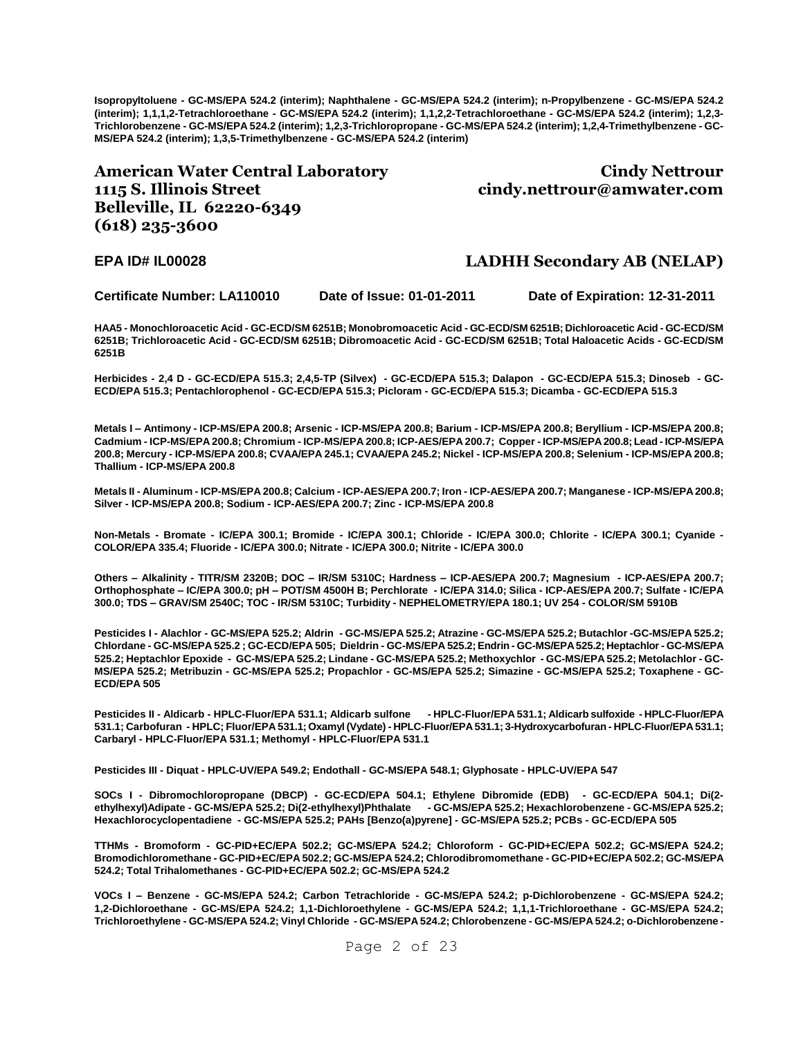**Isopropyltoluene - GC-MS/EPA 524.2 (interim); Naphthalene - GC-MS/EPA 524.2 (interim); n-Propylbenzene - GC-MS/EPA 524.2 (interim); 1,1,1,2-Tetrachloroethane - GC-MS/EPA 524.2 (interim); 1,1,2,2-Tetrachloroethane - GC-MS/EPA 524.2 (interim); 1,2,3- Trichlorobenzene - GC-MS/EPA 524.2 (interim); 1,2,3-Trichloropropane - GC-MS/EPA 524.2 (interim); 1,2,4-Trimethylbenzene - GC-MS/EPA 524.2 (interim); 1,3,5-Trimethylbenzene - GC-MS/EPA 524.2 (interim)**

### **American Water Central Laboratory 1115 S. Illinois Street Belleville, IL 62220-6349 (618) 235-3600**

**Cindy Nettrour cindy.nettrour@amwater.com**

### **EPA ID# IL00028 LADHH Secondary AB (NELAP)**

**Certificate Number: LA110010 Date of Issue: 01-01-2011 Date of Expiration: 12-31-2011**

**HAA5 - Monochloroacetic Acid - GC-ECD/SM 6251B; Monobromoacetic Acid - GC-ECD/SM 6251B; Dichloroacetic Acid - GC-ECD/SM 6251B; Trichloroacetic Acid - GC-ECD/SM 6251B; Dibromoacetic Acid - GC-ECD/SM 6251B; Total Haloacetic Acids - GC-ECD/SM 6251B**

**Herbicides - 2,4 D - GC-ECD/EPA 515.3; 2,4,5-TP (Silvex) - GC-ECD/EPA 515.3; Dalapon - GC-ECD/EPA 515.3; Dinoseb - GC-ECD/EPA 515.3; Pentachlorophenol - GC-ECD/EPA 515.3; Picloram - GC-ECD/EPA 515.3; Dicamba - GC-ECD/EPA 515.3**

**Metals I – Antimony - ICP-MS/EPA 200.8; Arsenic - ICP-MS/EPA 200.8; Barium - ICP-MS/EPA 200.8; Beryllium - ICP-MS/EPA 200.8; Cadmium - ICP-MS/EPA 200.8; Chromium - ICP-MS/EPA 200.8; ICP-AES/EPA 200.7; Copper - ICP-MS/EPA 200.8; Lead - ICP-MS/EPA 200.8; Mercury - ICP-MS/EPA 200.8; CVAA/EPA 245.1; CVAA/EPA 245.2; Nickel - ICP-MS/EPA 200.8; Selenium - ICP-MS/EPA 200.8; Thallium - ICP-MS/EPA 200.8**

**Metals II - Aluminum - ICP-MS/EPA 200.8; Calcium - ICP-AES/EPA 200.7; Iron - ICP-AES/EPA 200.7; Manganese - ICP-MS/EPA 200.8; Silver - ICP-MS/EPA 200.8; Sodium - ICP-AES/EPA 200.7; Zinc - ICP-MS/EPA 200.8**

**Non-Metals - Bromate - IC/EPA 300.1; Bromide - IC/EPA 300.1; Chloride - IC/EPA 300.0; Chlorite - IC/EPA 300.1; Cyanide - COLOR/EPA 335.4; Fluoride - IC/EPA 300.0; Nitrate - IC/EPA 300.0; Nitrite - IC/EPA 300.0** 

**Others – Alkalinity - TITR/SM 2320B; DOC – IR/SM 5310C; Hardness – ICP-AES/EPA 200.7; Magnesium - ICP-AES/EPA 200.7; Orthophosphate – IC/EPA 300.0; pH – POT/SM 4500H B; Perchlorate - IC/EPA 314.0; Silica - ICP-AES/EPA 200.7; Sulfate - IC/EPA 300.0; TDS – GRAV/SM 2540C; TOC - IR/SM 5310C; Turbidity - NEPHELOMETRY/EPA 180.1; UV 254 - COLOR/SM 5910B**

**Pesticides I - Alachlor - GC-MS/EPA 525.2; Aldrin - GC-MS/EPA 525.2; Atrazine - GC-MS/EPA 525.2; Butachlor -GC-MS/EPA 525.2; Chlordane - GC-MS/EPA 525.2 ; GC-ECD/EPA 505; Dieldrin - GC-MS/EPA 525.2; Endrin - GC-MS/EPA 525.2; Heptachlor - GC-MS/EPA 525.2; Heptachlor Epoxide - GC-MS/EPA 525.2; Lindane - GC-MS/EPA 525.2; Methoxychlor - GC-MS/EPA 525.2; Metolachlor - GC-MS/EPA 525.2; Metribuzin - GC-MS/EPA 525.2; Propachlor - GC-MS/EPA 525.2; Simazine - GC-MS/EPA 525.2; Toxaphene - GC-ECD/EPA 505**

**Pesticides II - Aldicarb - HPLC-Fluor/EPA 531.1; Aldicarb sulfone - HPLC-Fluor/EPA 531.1; Aldicarb sulfoxide - HPLC-Fluor/EPA 531.1; Carbofuran - HPLC; Fluor/EPA 531.1; Oxamyl (Vydate) - HPLC-Fluor/EPA 531.1; 3-Hydroxycarbofuran - HPLC-Fluor/EPA 531.1; Carbaryl - HPLC-Fluor/EPA 531.1; Methomyl - HPLC-Fluor/EPA 531.1**

**Pesticides III - Diquat - HPLC-UV/EPA 549.2; Endothall - GC-MS/EPA 548.1; Glyphosate - HPLC-UV/EPA 547**

**SOCs I - Dibromochloropropane (DBCP) - GC-ECD/EPA 504.1; Ethylene Dibromide (EDB) - GC-ECD/EPA 504.1; Di(2 ethylhexyl)Adipate - GC-MS/EPA 525.2; Di(2-ethylhexyl)Phthalate - GC-MS/EPA 525.2; Hexachlorobenzene - GC-MS/EPA 525.2; Hexachlorocyclopentadiene - GC-MS/EPA 525.2; PAHs [Benzo(a)pyrene] - GC-MS/EPA 525.2; PCBs - GC-ECD/EPA 505**

**TTHMs - Bromoform - GC-PID+EC/EPA 502.2; GC-MS/EPA 524.2; Chloroform - GC-PID+EC/EPA 502.2; GC-MS/EPA 524.2; Bromodichloromethane - GC-PID+EC/EPA 502.2; GC-MS/EPA 524.2; Chlorodibromomethane - GC-PID+EC/EPA 502.2; GC-MS/EPA 524.2; Total Trihalomethanes - GC-PID+EC/EPA 502.2; GC-MS/EPA 524.2**

**VOCs I – Benzene - GC-MS/EPA 524.2; Carbon Tetrachloride - GC-MS/EPA 524.2; p-Dichlorobenzene - GC-MS/EPA 524.2; 1,2-Dichloroethane - GC-MS/EPA 524.2; 1,1-Dichloroethylene - GC-MS/EPA 524.2; 1,1,1-Trichloroethane - GC-MS/EPA 524.2; Trichloroethylene - GC-MS/EPA 524.2; Vinyl Chloride - GC-MS/EPA 524.2; Chlorobenzene - GC-MS/EPA 524.2; o-Dichlorobenzene -**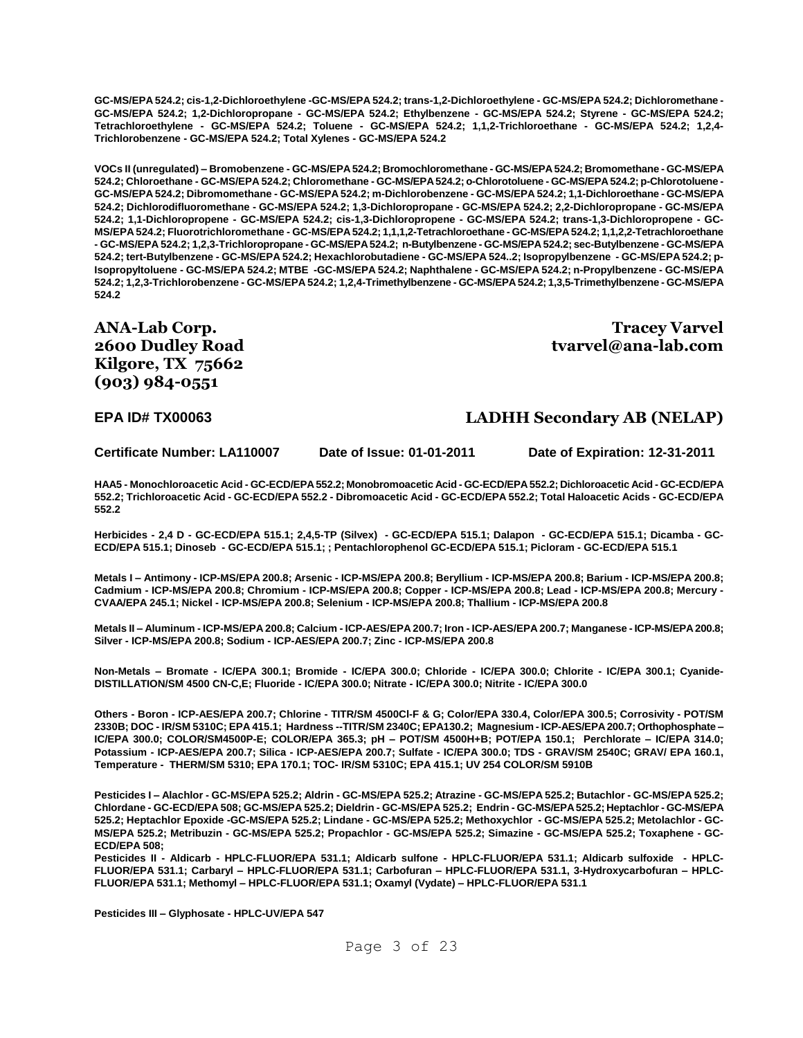**GC-MS/EPA 524.2; cis-1,2-Dichloroethylene -GC-MS/EPA 524.2; trans-1,2-Dichloroethylene - GC-MS/EPA 524.2; Dichloromethane - GC-MS/EPA 524.2; 1,2-Dichloropropane - GC-MS/EPA 524.2; Ethylbenzene - GC-MS/EPA 524.2; Styrene - GC-MS/EPA 524.2; Tetrachloroethylene - GC-MS/EPA 524.2; Toluene - GC-MS/EPA 524.2; 1,1,2-Trichloroethane - GC-MS/EPA 524.2; 1,2,4- Trichlorobenzene - GC-MS/EPA 524.2; Total Xylenes - GC-MS/EPA 524.2**

**VOCs II (unregulated) – Bromobenzene - GC-MS/EPA 524.2; Bromochloromethane - GC-MS/EPA 524.2; Bromomethane - GC-MS/EPA 524.2; Chloroethane - GC-MS/EPA 524.2; Chloromethane - GC-MS/EPA 524.2; o-Chlorotoluene - GC-MS/EPA 524.2; p-Chlorotoluene - GC-MS/EPA 524.2; Dibromomethane - GC-MS/EPA 524.2; m-Dichlorobenzene - GC-MS/EPA 524.2; 1,1-Dichloroethane - GC-MS/EPA 524.2; Dichlorodifluoromethane - GC-MS/EPA 524.2; 1,3-Dichloropropane - GC-MS/EPA 524.2; 2,2-Dichloropropane - GC-MS/EPA 524.2; 1,1-Dichloropropene - GC-MS/EPA 524.2; cis-1,3-Dichloropropene - GC-MS/EPA 524.2; trans-1,3-Dichloropropene - GC-MS/EPA 524.2; Fluorotrichloromethane - GC-MS/EPA 524.2; 1,1,1,2-Tetrachloroethane - GC-MS/EPA 524.2; 1,1,2,2-Tetrachloroethane - GC-MS/EPA 524.2; 1,2,3-Trichloropropane - GC-MS/EPA 524.2; n-Butylbenzene - GC-MS/EPA 524.2; sec-Butylbenzene - GC-MS/EPA 524.2; tert-Butylbenzene - GC-MS/EPA 524.2; Hexachlorobutadiene - GC-MS/EPA 524..2; Isopropylbenzene - GC-MS/EPA 524.2; p-Isopropyltoluene - GC-MS/EPA 524.2; MTBE -GC-MS/EPA 524.2; Naphthalene - GC-MS/EPA 524.2; n-Propylbenzene - GC-MS/EPA 524.2; 1,2,3-Trichlorobenzene - GC-MS/EPA 524.2; 1,2,4-Trimethylbenzene - GC-MS/EPA 524.2; 1,3,5-Trimethylbenzene - GC-MS/EPA 524.2**

**ANA-Lab Corp. 2600 Dudley Road Kilgore, TX 75662 (903) 984-0551**

**Tracey Varvel tvarvel@ana-lab.com**

#### **EPA ID# TX00063 LADHH Secondary AB (NELAP)**

**Certificate Number: LA110007 Date of Issue: 01-01-2011 Date of Expiration: 12-31-2011**

**HAA5 - Monochloroacetic Acid - GC-ECD/EPA 552.2; Monobromoacetic Acid - GC-ECD/EPA 552.2; Dichloroacetic Acid - GC-ECD/EPA 552.2; Trichloroacetic Acid - GC-ECD/EPA 552.2 - Dibromoacetic Acid - GC-ECD/EPA 552.2; Total Haloacetic Acids - GC-ECD/EPA 552.2**

**Herbicides - 2,4 D - GC-ECD/EPA 515.1; 2,4,5-TP (Silvex) - GC-ECD/EPA 515.1; Dalapon - GC-ECD/EPA 515.1; Dicamba - GC-ECD/EPA 515.1; Dinoseb - GC-ECD/EPA 515.1; ; Pentachlorophenol GC-ECD/EPA 515.1; Picloram - GC-ECD/EPA 515.1**

**Metals I – Antimony - ICP-MS/EPA 200.8; Arsenic - ICP-MS/EPA 200.8; Beryllium - ICP-MS/EPA 200.8; Barium - ICP-MS/EPA 200.8; Cadmium - ICP-MS/EPA 200.8; Chromium - ICP-MS/EPA 200.8; Copper - ICP-MS/EPA 200.8; Lead - ICP-MS/EPA 200.8; Mercury - CVAA/EPA 245.1; Nickel - ICP-MS/EPA 200.8; Selenium - ICP-MS/EPA 200.8; Thallium - ICP-MS/EPA 200.8**

**Metals II – Aluminum - ICP-MS/EPA 200.8; Calcium - ICP-AES/EPA 200.7; Iron - ICP-AES/EPA 200.7; Manganese - ICP-MS/EPA 200.8; Silver - ICP-MS/EPA 200.8; Sodium - ICP-AES/EPA 200.7; Zinc - ICP-MS/EPA 200.8**

**Non-Metals – Bromate - IC/EPA 300.1; Bromide - IC/EPA 300.0; Chloride - IC/EPA 300.0; Chlorite - IC/EPA 300.1; Cyanide-DISTILLATION/SM 4500 CN-C,E; Fluoride - IC/EPA 300.0; Nitrate - IC/EPA 300.0; Nitrite - IC/EPA 300.0**

**Others - Boron - ICP-AES/EPA 200.7; Chlorine - TITR/SM 4500Cl-F & G; Color/EPA 330.4, Color/EPA 300.5; Corrosivity - POT/SM 2330B; DOC - IR/SM 5310C; EPA 415.1; Hardness --TITR/SM 2340C; EPA130.2; Magnesium - ICP-AES/EPA 200.7; Orthophosphate – IC/EPA 300.0; COLOR/SM4500P-E; COLOR/EPA 365.3; pH – POT/SM 4500H+B; POT/EPA 150.1; Perchlorate – IC/EPA 314.0; Potassium - ICP-AES/EPA 200.7; Silica - ICP-AES/EPA 200.7; Sulfate - IC/EPA 300.0; TDS - GRAV/SM 2540C; GRAV/ EPA 160.1, Temperature - THERM/SM 5310; EPA 170.1; TOC- IR/SM 5310C; EPA 415.1; UV 254 COLOR/SM 5910B**

**Pesticides I – Alachlor - GC-MS/EPA 525.2; Aldrin - GC-MS/EPA 525.2; Atrazine - GC-MS/EPA 525.2; Butachlor - GC-MS/EPA 525.2; Chlordane - GC-ECD/EPA 508; GC-MS/EPA 525.2; Dieldrin - GC-MS/EPA 525.2; Endrin - GC-MS/EPA 525.2; Heptachlor - GC-MS/EPA 525.2; Heptachlor Epoxide -GC-MS/EPA 525.2; Lindane - GC-MS/EPA 525.2; Methoxychlor - GC-MS/EPA 525.2; Metolachlor - GC-MS/EPA 525.2; Metribuzin - GC-MS/EPA 525.2; Propachlor - GC-MS/EPA 525.2; Simazine - GC-MS/EPA 525.2; Toxaphene - GC-ECD/EPA 508;** 

**Pesticides II - Aldicarb - HPLC-FLUOR/EPA 531.1; Aldicarb sulfone - HPLC-FLUOR/EPA 531.1; Aldicarb sulfoxide - HPLC-FLUOR/EPA 531.1; Carbaryl – HPLC-FLUOR/EPA 531.1; Carbofuran – HPLC-FLUOR/EPA 531.1, 3-Hydroxycarbofuran – HPLC-FLUOR/EPA 531.1; Methomyl – HPLC-FLUOR/EPA 531.1; Oxamyl (Vydate) – HPLC-FLUOR/EPA 531.1**

**Pesticides III – Glyphosate - HPLC-UV/EPA 547**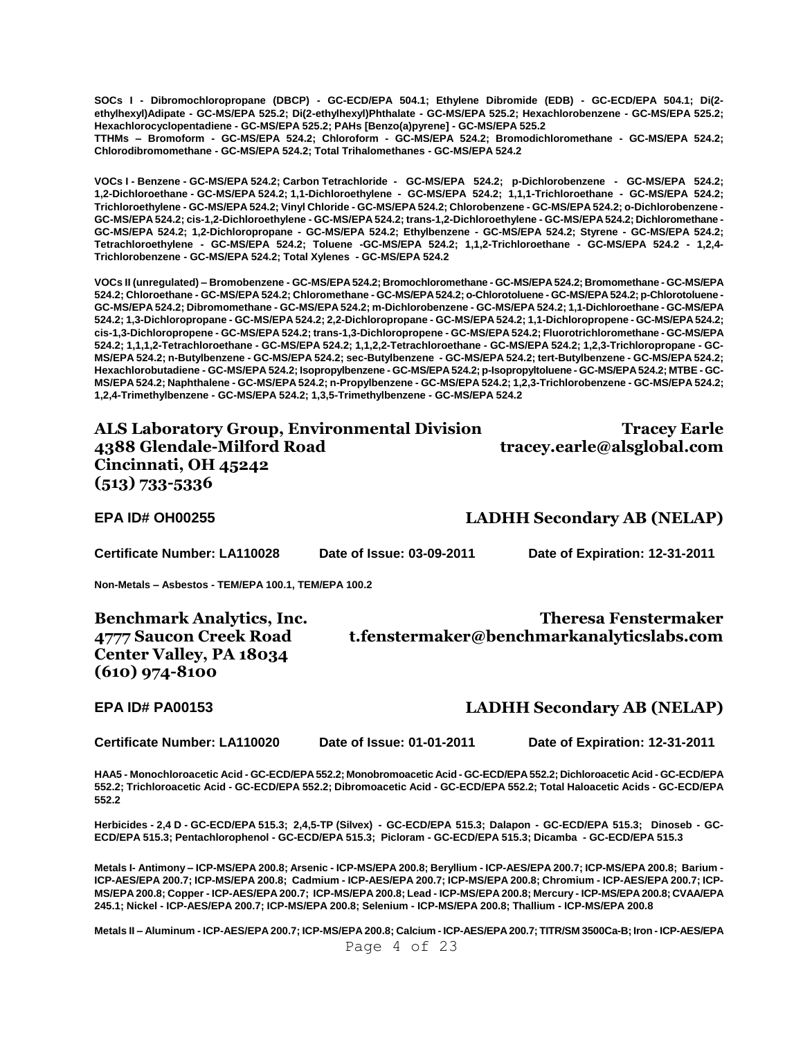**SOCs I - Dibromochloropropane (DBCP) - GC-ECD/EPA 504.1; Ethylene Dibromide (EDB) - GC-ECD/EPA 504.1; Di(2 ethylhexyl)Adipate - GC-MS/EPA 525.2; Di(2-ethylhexyl)Phthalate - GC-MS/EPA 525.2; Hexachlorobenzene - GC-MS/EPA 525.2; Hexachlorocyclopentadiene - GC-MS/EPA 525.2; PAHs [Benzo(a)pyrene] - GC-MS/EPA 525.2 TTHMs – Bromoform - GC-MS/EPA 524.2; Chloroform - GC-MS/EPA 524.2; Bromodichloromethane - GC-MS/EPA 524.2;** 

**Chlorodibromomethane - GC-MS/EPA 524.2; Total Trihalomethanes - GC-MS/EPA 524.2**

**VOCs I - Benzene - GC-MS/EPA 524.2; Carbon Tetrachloride - GC-MS/EPA 524.2; p-Dichlorobenzene - GC-MS/EPA 524.2; 1,2-Dichloroethane - GC-MS/EPA 524.2; 1,1-Dichloroethylene - GC-MS/EPA 524.2; 1,1,1-Trichloroethane - GC-MS/EPA 524.2; Trichloroethylene - GC-MS/EPA 524.2; Vinyl Chloride - GC-MS/EPA 524.2; Chlorobenzene - GC-MS/EPA 524.2; o-Dichlorobenzene - GC-MS/EPA 524.2; cis-1,2-Dichloroethylene - GC-MS/EPA 524.2; trans-1,2-Dichloroethylene - GC-MS/EPA 524.2; Dichloromethane - GC-MS/EPA 524.2; 1,2-Dichloropropane - GC-MS/EPA 524.2; Ethylbenzene - GC-MS/EPA 524.2; Styrene - GC-MS/EPA 524.2; Tetrachloroethylene - GC-MS/EPA 524.2; Toluene -GC-MS/EPA 524.2; 1,1,2-Trichloroethane - GC-MS/EPA 524.2 - 1,2,4- Trichlorobenzene - GC-MS/EPA 524.2; Total Xylenes - GC-MS/EPA 524.2**

**VOCs II (unregulated) – Bromobenzene - GC-MS/EPA 524.2; Bromochloromethane - GC-MS/EPA 524.2; Bromomethane - GC-MS/EPA 524.2; Chloroethane - GC-MS/EPA 524.2; Chloromethane - GC-MS/EPA 524.2; o-Chlorotoluene - GC-MS/EPA 524.2; p-Chlorotoluene - GC-MS/EPA 524.2; Dibromomethane - GC-MS/EPA 524.2; m-Dichlorobenzene - GC-MS/EPA 524.2; 1,1-Dichloroethane - GC-MS/EPA 524.2; 1,3-Dichloropropane - GC-MS/EPA 524.2; 2,2-Dichloropropane - GC-MS/EPA 524.2; 1,1-Dichloropropene - GC-MS/EPA 524.2; cis-1,3-Dichloropropene - GC-MS/EPA 524.2; trans-1,3-Dichloropropene - GC-MS/EPA 524.2; Fluorotrichloromethane - GC-MS/EPA 524.2; 1,1,1,2-Tetrachloroethane - GC-MS/EPA 524.2; 1,1,2,2-Tetrachloroethane - GC-MS/EPA 524.2; 1,2,3-Trichloropropane - GC-MS/EPA 524.2; n-Butylbenzene - GC-MS/EPA 524.2; sec-Butylbenzene - GC-MS/EPA 524.2; tert-Butylbenzene - GC-MS/EPA 524.2; Hexachlorobutadiene - GC-MS/EPA 524.2; Isopropylbenzene - GC-MS/EPA 524.2; p-Isopropyltoluene - GC-MS/EPA 524.2; MTBE - GC-MS/EPA 524.2; Naphthalene - GC-MS/EPA 524.2; n-Propylbenzene - GC-MS/EPA 524.2; 1,2,3-Trichlorobenzene - GC-MS/EPA 524.2; 1,2,4-Trimethylbenzene - GC-MS/EPA 524.2; 1,3,5-Trimethylbenzene - GC-MS/EPA 524.2**

| <b>ALS Laboratory Group, Environmental Division</b> | <b>Tracey Earle</b>        |
|-----------------------------------------------------|----------------------------|
| 4388 Glendale-Milford Road                          | tracey.earle@alsglobal.com |
| Cincinnati, OH 45242                                |                            |
| $(513) 733 - 5336$                                  |                            |
|                                                     |                            |

**EPA ID# OH00255 LADHH Secondary AB (NELAP)**

**Certificate Number: LA110028 Date of Issue: 03-09-2011 Date of Expiration: 12-31-2011**

**Non-Metals – Asbestos - TEM/EPA 100.1, TEM/EPA 100.2**

**Benchmark Analytics, Inc. 4777 Saucon Creek Road Center Valley, PA 18034 (610) 974-8100**

**Theresa Fenstermaker t.fenstermaker@benchmarkanalyticslabs.com**

#### **EPA ID# PA00153 LADHH Secondary AB (NELAP)**

**Certificate Number: LA110020 Date of Issue: 01-01-2011 Date of Expiration: 12-31-2011**

**HAA5 - Monochloroacetic Acid - GC-ECD/EPA 552.2; Monobromoacetic Acid - GC-ECD/EPA 552.2; Dichloroacetic Acid - GC-ECD/EPA 552.2; Trichloroacetic Acid - GC-ECD/EPA 552.2; Dibromoacetic Acid - GC-ECD/EPA 552.2; Total Haloacetic Acids - GC-ECD/EPA 552.2**

**Herbicides - 2,4 D - GC-ECD/EPA 515.3; 2,4,5-TP (Silvex) - GC-ECD/EPA 515.3; Dalapon - GC-ECD/EPA 515.3; Dinoseb - GC-ECD/EPA 515.3; Pentachlorophenol - GC-ECD/EPA 515.3; Picloram - GC-ECD/EPA 515.3; Dicamba - GC-ECD/EPA 515.3**

**Metals I- Antimony – ICP-MS/EPA 200.8; Arsenic - ICP-MS/EPA 200.8; Beryllium - ICP-AES/EPA 200.7; ICP-MS/EPA 200.8; Barium - ICP-AES/EPA 200.7; ICP-MS/EPA 200.8; Cadmium - ICP-AES/EPA 200.7; ICP-MS/EPA 200.8; Chromium - ICP-AES/EPA 200.7; ICP-MS/EPA 200.8; Copper - ICP-AES/EPA 200.7; ICP-MS/EPA 200.8; Lead - ICP-MS/EPA 200.8; Mercury - ICP-MS/EPA 200.8; CVAA/EPA 245.1; Nickel - ICP-AES/EPA 200.7; ICP-MS/EPA 200.8; Selenium - ICP-MS/EPA 200.8; Thallium - ICP-MS/EPA 200.8**

Page 4 of 23 **Metals II – Aluminum - ICP-AES/EPA 200.7; ICP-MS/EPA 200.8; Calcium - ICP-AES/EPA 200.7; TITR/SM 3500Ca-B; Iron - ICP-AES/EPA**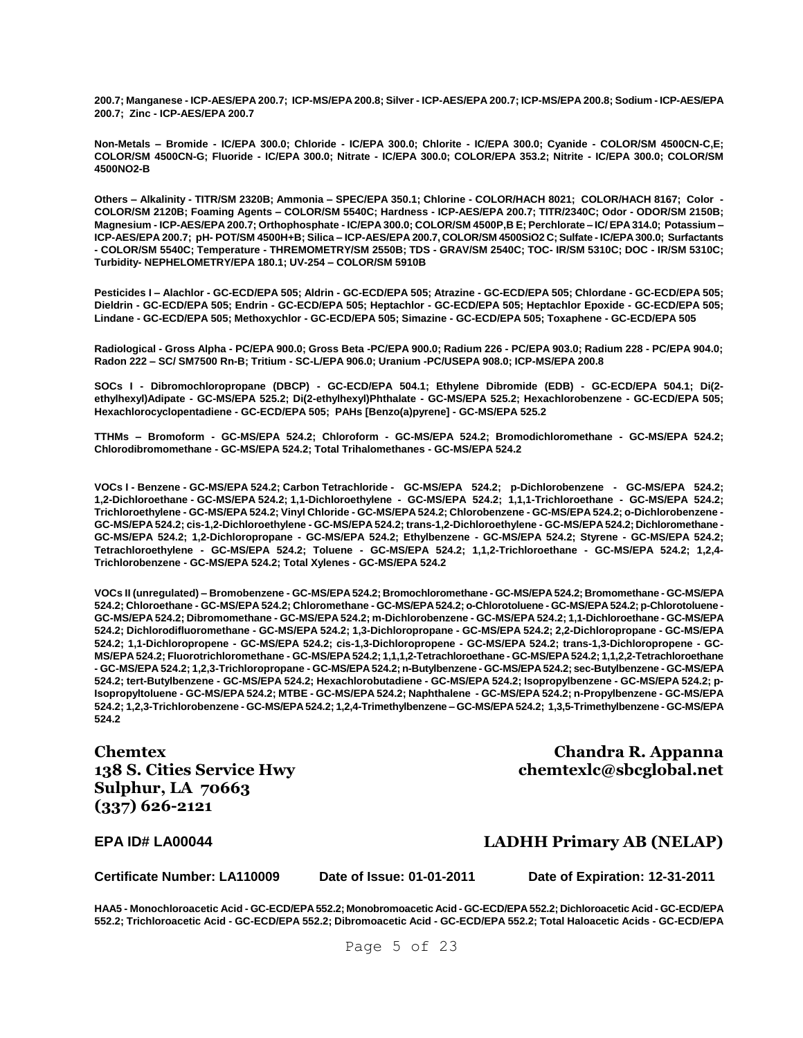**200.7; Manganese - ICP-AES/EPA 200.7; ICP-MS/EPA 200.8; Silver - ICP-AES/EPA 200.7; ICP-MS/EPA 200.8; Sodium - ICP-AES/EPA 200.7; Zinc - ICP-AES/EPA 200.7**

**Non-Metals – Bromide - IC/EPA 300.0; Chloride - IC/EPA 300.0; Chlorite - IC/EPA 300.0; Cyanide - COLOR/SM 4500CN-C,E; COLOR/SM 4500CN-G; Fluoride - IC/EPA 300.0; Nitrate - IC/EPA 300.0; COLOR/EPA 353.2; Nitrite - IC/EPA 300.0; COLOR/SM 4500NO2-B**

**Others – Alkalinity - TITR/SM 2320B; Ammonia – SPEC/EPA 350.1; Chlorine - COLOR/HACH 8021; COLOR/HACH 8167; Color - COLOR/SM 2120B; Foaming Agents – COLOR/SM 5540C; Hardness - ICP-AES/EPA 200.7; TITR/2340C; Odor - ODOR/SM 2150B; Magnesium - ICP-AES/EPA 200.7; Orthophosphate - IC/EPA 300.0; COLOR/SM 4500P,B E; Perchlorate – IC/ EPA 314.0; Potassium – ICP-AES/EPA 200.7; pH- POT/SM 4500H+B; Silica – ICP-AES/EPA 200.7, COLOR/SM 4500SiO2 C; Sulfate - IC/EPA 300.0; Surfactants - COLOR/SM 5540C; Temperature - THREMOMETRY/SM 2550B; TDS - GRAV/SM 2540C; TOC- IR/SM 5310C; DOC - IR/SM 5310C; Turbidity- NEPHELOMETRY/EPA 180.1; UV-254 – COLOR/SM 5910B**

**Pesticides I – Alachlor - GC-ECD/EPA 505; Aldrin - GC-ECD/EPA 505; Atrazine - GC-ECD/EPA 505; Chlordane - GC-ECD/EPA 505; Dieldrin - GC-ECD/EPA 505; Endrin - GC-ECD/EPA 505; Heptachlor - GC-ECD/EPA 505; Heptachlor Epoxide - GC-ECD/EPA 505; Lindane - GC-ECD/EPA 505; Methoxychlor - GC-ECD/EPA 505; Simazine - GC-ECD/EPA 505; Toxaphene - GC-ECD/EPA 505**

**Radiological - Gross Alpha - PC/EPA 900.0; Gross Beta -PC/EPA 900.0; Radium 226 - PC/EPA 903.0; Radium 228 - PC/EPA 904.0; Radon 222 – SC/ SM7500 Rn-B; Tritium - SC-L/EPA 906.0; Uranium -PC/USEPA 908.0; ICP-MS/EPA 200.8**

**SOCs I - Dibromochloropropane (DBCP) - GC-ECD/EPA 504.1; Ethylene Dibromide (EDB) - GC-ECD/EPA 504.1; Di(2 ethylhexyl)Adipate - GC-MS/EPA 525.2; Di(2-ethylhexyl)Phthalate - GC-MS/EPA 525.2; Hexachlorobenzene - GC-ECD/EPA 505; Hexachlorocyclopentadiene - GC-ECD/EPA 505; PAHs [Benzo(a)pyrene] - GC-MS/EPA 525.2**

**TTHMs – Bromoform - GC-MS/EPA 524.2; Chloroform - GC-MS/EPA 524.2; Bromodichloromethane - GC-MS/EPA 524.2; Chlorodibromomethane - GC-MS/EPA 524.2; Total Trihalomethanes - GC-MS/EPA 524.2**

**VOCs I - Benzene - GC-MS/EPA 524.2; Carbon Tetrachloride - GC-MS/EPA 524.2; p-Dichlorobenzene - GC-MS/EPA 524.2; 1,2-Dichloroethane - GC-MS/EPA 524.2; 1,1-Dichloroethylene - GC-MS/EPA 524.2; 1,1,1-Trichloroethane - GC-MS/EPA 524.2; Trichloroethylene - GC-MS/EPA 524.2; Vinyl Chloride - GC-MS/EPA 524.2; Chlorobenzene - GC-MS/EPA 524.2; o-Dichlorobenzene - GC-MS/EPA 524.2; cis-1,2-Dichloroethylene - GC-MS/EPA 524.2; trans-1,2-Dichloroethylene - GC-MS/EPA 524.2; Dichloromethane - GC-MS/EPA 524.2; 1,2-Dichloropropane - GC-MS/EPA 524.2; Ethylbenzene - GC-MS/EPA 524.2; Styrene - GC-MS/EPA 524.2; Tetrachloroethylene - GC-MS/EPA 524.2; Toluene - GC-MS/EPA 524.2; 1,1,2-Trichloroethane - GC-MS/EPA 524.2; 1,2,4- Trichlorobenzene - GC-MS/EPA 524.2; Total Xylenes - GC-MS/EPA 524.2**

**VOCs II (unregulated) – Bromobenzene - GC-MS/EPA 524.2; Bromochloromethane - GC-MS/EPA 524.2; Bromomethane - GC-MS/EPA 524.2; Chloroethane - GC-MS/EPA 524.2; Chloromethane - GC-MS/EPA 524.2; o-Chlorotoluene - GC-MS/EPA 524.2; p-Chlorotoluene - GC-MS/EPA 524.2; Dibromomethane - GC-MS/EPA 524.2; m-Dichlorobenzene - GC-MS/EPA 524.2; 1,1-Dichloroethane - GC-MS/EPA 524.2; Dichlorodifluoromethane - GC-MS/EPA 524.2; 1,3-Dichloropropane - GC-MS/EPA 524.2; 2,2-Dichloropropane - GC-MS/EPA 524.2; 1,1-Dichloropropene - GC-MS/EPA 524.2; cis-1,3-Dichloropropene - GC-MS/EPA 524.2; trans-1,3-Dichloropropene - GC-MS/EPA 524.2; Fluorotrichloromethane - GC-MS/EPA 524.2; 1,1,1,2-Tetrachloroethane - GC-MS/EPA 524.2; 1,1,2,2-Tetrachloroethane - GC-MS/EPA 524.2; 1,2,3-Trichloropropane - GC-MS/EPA 524.2; n-Butylbenzene - GC-MS/EPA 524.2; sec-Butylbenzene - GC-MS/EPA 524.2; tert-Butylbenzene - GC-MS/EPA 524.2; Hexachlorobutadiene - GC-MS/EPA 524.2; Isopropylbenzene - GC-MS/EPA 524.2; p-Isopropyltoluene - GC-MS/EPA 524.2; MTBE - GC-MS/EPA 524.2; Naphthalene - GC-MS/EPA 524.2; n-Propylbenzene - GC-MS/EPA 524.2; 1,2,3-Trichlorobenzene - GC-MS/EPA 524.2; 1,2,4-Trimethylbenzene – GC-MS/EPA 524.2; 1,3,5-Trimethylbenzene - GC-MS/EPA 524.2**

**Chemtex 138 S. Cities Service Hwy Sulphur, LA 70663 (337) 626-2121**

**Chandra R. Appanna chemtexlc@sbcglobal.net**

### **EPA ID# LA00044 LADHH Primary AB (NELAP)**

**Certificate Number: LA110009 Date of Issue: 01-01-2011 Date of Expiration: 12-31-2011**

**HAA5 - Monochloroacetic Acid - GC-ECD/EPA 552.2; Monobromoacetic Acid - GC-ECD/EPA 552.2; Dichloroacetic Acid - GC-ECD/EPA 552.2; Trichloroacetic Acid - GC-ECD/EPA 552.2; Dibromoacetic Acid - GC-ECD/EPA 552.2; Total Haloacetic Acids - GC-ECD/EPA**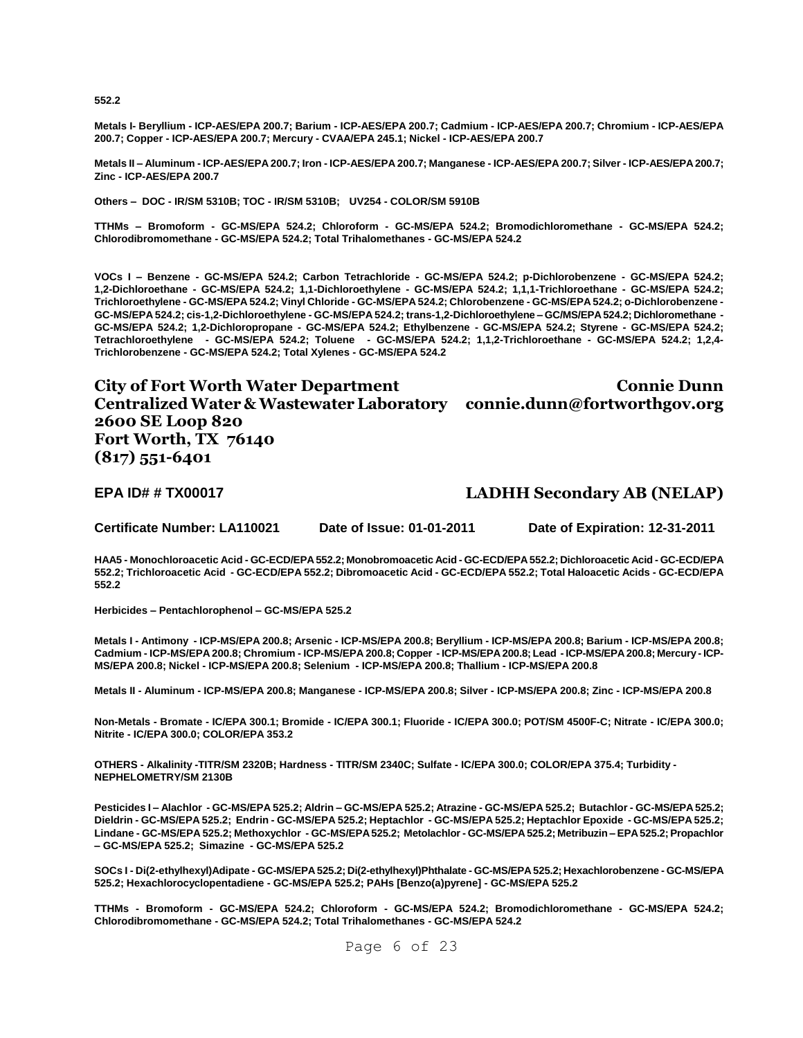**552.2**

**Metals I- Beryllium - ICP-AES/EPA 200.7; Barium - ICP-AES/EPA 200.7; Cadmium - ICP-AES/EPA 200.7; Chromium - ICP-AES/EPA 200.7; Copper - ICP-AES/EPA 200.7; Mercury - CVAA/EPA 245.1; Nickel - ICP-AES/EPA 200.7**

**Metals II – Aluminum - ICP-AES/EPA 200.7; Iron - ICP-AES/EPA 200.7; Manganese - ICP-AES/EPA 200.7; Silver - ICP-AES/EPA 200.7; Zinc - ICP-AES/EPA 200.7**

**Others – DOC - IR/SM 5310B; TOC - IR/SM 5310B; UV254 - COLOR/SM 5910B**

**TTHMs – Bromoform - GC-MS/EPA 524.2; Chloroform - GC-MS/EPA 524.2; Bromodichloromethane - GC-MS/EPA 524.2; Chlorodibromomethane - GC-MS/EPA 524.2; Total Trihalomethanes - GC-MS/EPA 524.2**

**VOCs I – Benzene - GC-MS/EPA 524.2; Carbon Tetrachloride - GC-MS/EPA 524.2; p-Dichlorobenzene - GC-MS/EPA 524.2; 1,2-Dichloroethane - GC-MS/EPA 524.2; 1,1-Dichloroethylene - GC-MS/EPA 524.2; 1,1,1-Trichloroethane - GC-MS/EPA 524.2; Trichloroethylene - GC-MS/EPA 524.2; Vinyl Chloride - GC-MS/EPA 524.2; Chlorobenzene - GC-MS/EPA 524.2; o-Dichlorobenzene - GC-MS/EPA 524.2; cis-1,2-Dichloroethylene - GC-MS/EPA 524.2; trans-1,2-Dichloroethylene – GC/MS/EPA 524.2; Dichloromethane - GC-MS/EPA 524.2; 1,2-Dichloropropane - GC-MS/EPA 524.2; Ethylbenzene - GC-MS/EPA 524.2; Styrene - GC-MS/EPA 524.2; Tetrachloroethylene - GC-MS/EPA 524.2; Toluene - GC-MS/EPA 524.2; 1,1,2-Trichloroethane - GC-MS/EPA 524.2; 1,2,4- Trichlorobenzene - GC-MS/EPA 524.2; Total Xylenes - GC-MS/EPA 524.2**

**City of Fort Worth Water Department Centralized Water & Wastewater Laboratory connie.dunn@fortworthgov.org 2600 SE Loop 820 Fort Worth, TX 76140 (817) 551-6401 Connie Dunn** 

### **EPA ID# # TX00017 LADHH Secondary AB (NELAP)**

**Certificate Number: LA110021 Date of Issue: 01-01-2011 Date of Expiration: 12-31-2011**

**HAA5 - Monochloroacetic Acid - GC-ECD/EPA 552.2; Monobromoacetic Acid - GC-ECD/EPA 552.2; Dichloroacetic Acid - GC-ECD/EPA 552.2; Trichloroacetic Acid - GC-ECD/EPA 552.2; Dibromoacetic Acid - GC-ECD/EPA 552.2; Total Haloacetic Acids - GC-ECD/EPA 552.2**

**Herbicides – Pentachlorophenol – GC-MS/EPA 525.2**

**Metals I - Antimony - ICP-MS/EPA 200.8; Arsenic - ICP-MS/EPA 200.8; Beryllium - ICP-MS/EPA 200.8; Barium - ICP-MS/EPA 200.8; Cadmium - ICP-MS/EPA 200.8; Chromium - ICP-MS/EPA 200.8; Copper - ICP-MS/EPA 200.8; Lead - ICP-MS/EPA 200.8; Mercury - ICP-MS/EPA 200.8; Nickel - ICP-MS/EPA 200.8; Selenium - ICP-MS/EPA 200.8; Thallium - ICP-MS/EPA 200.8**

**Metals II - Aluminum - ICP-MS/EPA 200.8; Manganese - ICP-MS/EPA 200.8; Silver - ICP-MS/EPA 200.8; Zinc - ICP-MS/EPA 200.8**

**Non-Metals - Bromate - IC/EPA 300.1; Bromide - IC/EPA 300.1; Fluoride - IC/EPA 300.0; POT/SM 4500F-C; Nitrate - IC/EPA 300.0; Nitrite - IC/EPA 300.0; COLOR/EPA 353.2**

**OTHERS - Alkalinity -TITR/SM 2320B; Hardness - TITR/SM 2340C; Sulfate - IC/EPA 300.0; COLOR/EPA 375.4; Turbidity - NEPHELOMETRY/SM 2130B**

**Pesticides I – Alachlor - GC-MS/EPA 525.2; Aldrin – GC-MS/EPA 525.2; Atrazine - GC-MS/EPA 525.2; Butachlor - GC-MS/EPA 525.2; Dieldrin - GC-MS/EPA 525.2; Endrin - GC-MS/EPA 525.2; Heptachlor - GC-MS/EPA 525.2; Heptachlor Epoxide - GC-MS/EPA 525.2; Lindane - GC-MS/EPA 525.2; Methoxychlor - GC-MS/EPA 525.2; Metolachlor - GC-MS/EPA 525.2; Metribuzin – EPA 525.2; Propachlor – GC-MS/EPA 525.2; Simazine - GC-MS/EPA 525.2** 

**SOCs I - Di(2-ethylhexyl)Adipate - GC-MS/EPA 525.2; Di(2-ethylhexyl)Phthalate - GC-MS/EPA 525.2; Hexachlorobenzene - GC-MS/EPA 525.2; Hexachlorocyclopentadiene - GC-MS/EPA 525.2; PAHs [Benzo(a)pyrene] - GC-MS/EPA 525.2**

**TTHMs - Bromoform - GC-MS/EPA 524.2; Chloroform - GC-MS/EPA 524.2; Bromodichloromethane - GC-MS/EPA 524.2; Chlorodibromomethane - GC-MS/EPA 524.2; Total Trihalomethanes - GC-MS/EPA 524.2**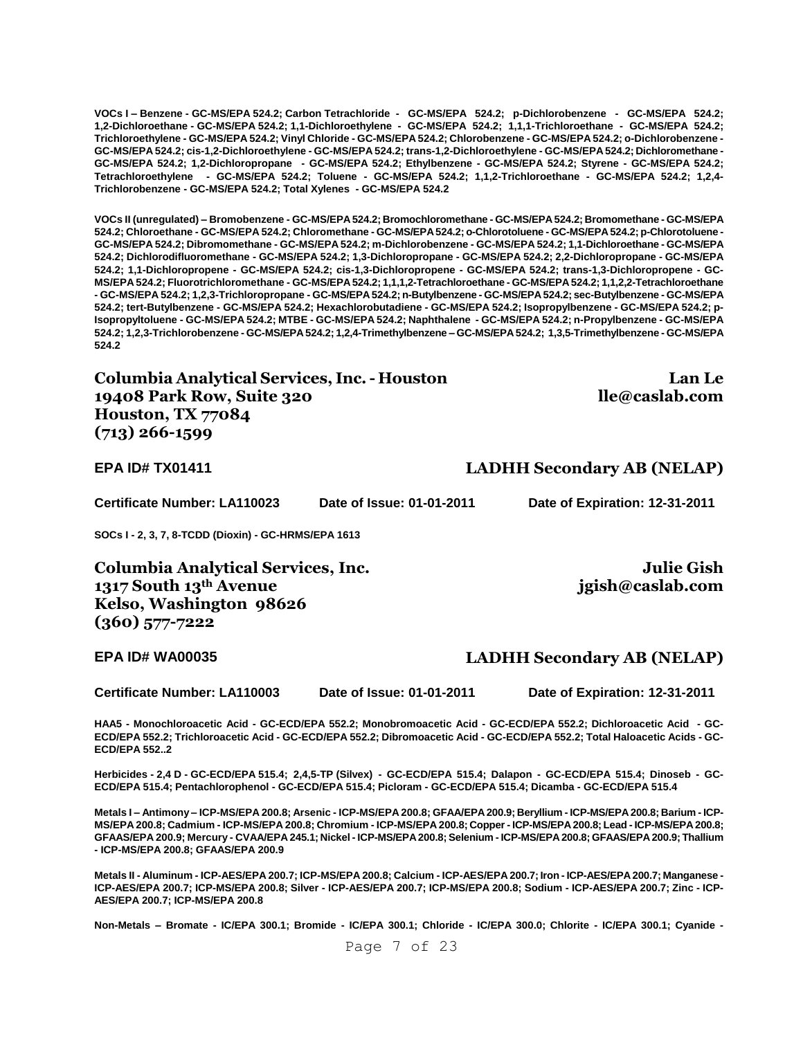**VOCs I – Benzene - GC-MS/EPA 524.2; Carbon Tetrachloride - GC-MS/EPA 524.2; p-Dichlorobenzene - GC-MS/EPA 524.2; 1,2-Dichloroethane - GC-MS/EPA 524.2; 1,1-Dichloroethylene - GC-MS/EPA 524.2; 1,1,1-Trichloroethane - GC-MS/EPA 524.2; Trichloroethylene - GC-MS/EPA 524.2; Vinyl Chloride - GC-MS/EPA 524.2; Chlorobenzene - GC-MS/EPA 524.2; o-Dichlorobenzene - GC-MS/EPA 524.2; cis-1,2-Dichloroethylene - GC-MS/EPA 524.2; trans-1,2-Dichloroethylene - GC-MS/EPA 524.2; Dichloromethane - GC-MS/EPA 524.2; 1,2-Dichloropropane - GC-MS/EPA 524.2; Ethylbenzene - GC-MS/EPA 524.2; Styrene - GC-MS/EPA 524.2; Tetrachloroethylene - GC-MS/EPA 524.2; Toluene - GC-MS/EPA 524.2; 1,1,2-Trichloroethane - GC-MS/EPA 524.2; 1,2,4- Trichlorobenzene - GC-MS/EPA 524.2; Total Xylenes - GC-MS/EPA 524.2**

**VOCs II (unregulated) – Bromobenzene - GC-MS/EPA 524.2; Bromochloromethane - GC-MS/EPA 524.2; Bromomethane - GC-MS/EPA 524.2; Chloroethane - GC-MS/EPA 524.2; Chloromethane - GC-MS/EPA 524.2; o-Chlorotoluene - GC-MS/EPA 524.2; p-Chlorotoluene - GC-MS/EPA 524.2; Dibromomethane - GC-MS/EPA 524.2; m-Dichlorobenzene - GC-MS/EPA 524.2; 1,1-Dichloroethane - GC-MS/EPA 524.2; Dichlorodifluoromethane - GC-MS/EPA 524.2; 1,3-Dichloropropane - GC-MS/EPA 524.2; 2,2-Dichloropropane - GC-MS/EPA 524.2; 1,1-Dichloropropene - GC-MS/EPA 524.2; cis-1,3-Dichloropropene - GC-MS/EPA 524.2; trans-1,3-Dichloropropene - GC-MS/EPA 524.2; Fluorotrichloromethane - GC-MS/EPA 524.2; 1,1,1,2-Tetrachloroethane - GC-MS/EPA 524.2; 1,1,2,2-Tetrachloroethane - GC-MS/EPA 524.2; 1,2,3-Trichloropropane - GC-MS/EPA 524.2; n-Butylbenzene - GC-MS/EPA 524.2; sec-Butylbenzene - GC-MS/EPA 524.2; tert-Butylbenzene - GC-MS/EPA 524.2; Hexachlorobutadiene - GC-MS/EPA 524.2; Isopropylbenzene - GC-MS/EPA 524.2; p-Isopropyltoluene - GC-MS/EPA 524.2; MTBE - GC-MS/EPA 524.2; Naphthalene - GC-MS/EPA 524.2; n-Propylbenzene - GC-MS/EPA 524.2; 1,2,3-Trichlorobenzene - GC-MS/EPA 524.2; 1,2,4-Trimethylbenzene – GC-MS/EPA 524.2; 1,3,5-Trimethylbenzene - GC-MS/EPA 524.2**

**Columbia Analytical Services, Inc. - Houston 19408 Park Row, Suite 320 Houston, TX 77084 (713) 266-1599**

**Lan Le lle@caslab.com**

**Julie Gish** 

**jgish@caslab.com**

**EPA ID# TX01411 LADHH Secondary AB (NELAP)**

**Certificate Number: LA110023 Date of Issue: 01-01-2011 Date of Expiration: 12-31-2011**

**SOCs I - 2, 3, 7, 8-TCDD (Dioxin) - GC-HRMS/EPA 1613**

**Columbia Analytical Services, Inc. 1317 South 13th Avenue Kelso, Washington 98626 (360) 577-7222**

# **EPA ID# WA00035 LADHH Secondary AB (NELAP)**

**Certificate Number: LA110003 Date of Issue: 01-01-2011 Date of Expiration: 12-31-2011**

**HAA5 - Monochloroacetic Acid - GC-ECD/EPA 552.2; Monobromoacetic Acid - GC-ECD/EPA 552.2; Dichloroacetic Acid - GC-ECD/EPA 552.2; Trichloroacetic Acid - GC-ECD/EPA 552.2; Dibromoacetic Acid - GC-ECD/EPA 552.2; Total Haloacetic Acids - GC-ECD/EPA 552..2**

**Herbicides - 2,4 D - GC-ECD/EPA 515.4; 2,4,5-TP (Silvex) - GC-ECD/EPA 515.4; Dalapon - GC-ECD/EPA 515.4; Dinoseb - GC-ECD/EPA 515.4; Pentachlorophenol - GC-ECD/EPA 515.4; Picloram - GC-ECD/EPA 515.4; Dicamba - GC-ECD/EPA 515.4**

**Metals I – Antimony – ICP-MS/EPA 200.8; Arsenic - ICP-MS/EPA 200.8; GFAA/EPA 200.9; Beryllium - ICP-MS/EPA 200.8; Barium - ICP-MS/EPA 200.8; Cadmium - ICP-MS/EPA 200.8; Chromium - ICP-MS/EPA 200.8; Copper - ICP-MS/EPA 200.8; Lead - ICP-MS/EPA 200.8; GFAAS/EPA 200.9; Mercury - CVAA/EPA 245.1; Nickel - ICP-MS/EPA 200.8; Selenium - ICP-MS/EPA 200.8; GFAAS/EPA 200.9; Thallium - ICP-MS/EPA 200.8; GFAAS/EPA 200.9**

**Metals II - Aluminum - ICP-AES/EPA 200.7; ICP-MS/EPA 200.8; Calcium - ICP-AES/EPA 200.7; Iron - ICP-AES/EPA 200.7; Manganese - ICP-AES/EPA 200.7; ICP-MS/EPA 200.8; Silver - ICP-AES/EPA 200.7; ICP-MS/EPA 200.8; Sodium - ICP-AES/EPA 200.7; Zinc - ICP-AES/EPA 200.7; ICP-MS/EPA 200.8**

**Non-Metals – Bromate - IC/EPA 300.1; Bromide - IC/EPA 300.1; Chloride - IC/EPA 300.0; Chlorite - IC/EPA 300.1; Cyanide -**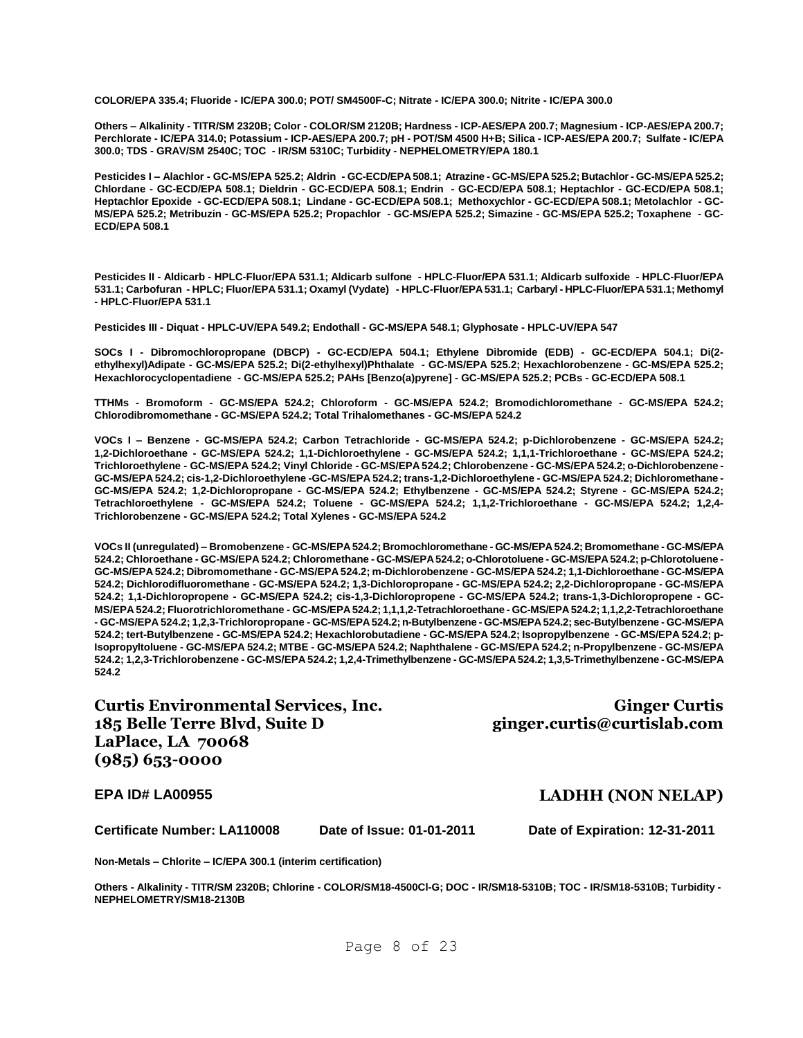**COLOR/EPA 335.4; Fluoride - IC/EPA 300.0; POT/ SM4500F-C; Nitrate - IC/EPA 300.0; Nitrite - IC/EPA 300.0**

**Others – Alkalinity - TITR/SM 2320B; Color - COLOR/SM 2120B; Hardness - ICP-AES/EPA 200.7; Magnesium - ICP-AES/EPA 200.7; Perchlorate - IC/EPA 314.0; Potassium - ICP-AES/EPA 200.7; pH - POT/SM 4500 H+B; Silica - ICP-AES/EPA 200.7; Sulfate - IC/EPA 300.0; TDS - GRAV/SM 2540C; TOC - IR/SM 5310C; Turbidity - NEPHELOMETRY/EPA 180.1**

**Pesticides I – Alachlor - GC-MS/EPA 525.2; Aldrin - GC-ECD/EPA 508.1; Atrazine - GC-MS/EPA 525.2; Butachlor - GC-MS/EPA 525.2; Chlordane - GC-ECD/EPA 508.1; Dieldrin - GC-ECD/EPA 508.1; Endrin - GC-ECD/EPA 508.1; Heptachlor - GC-ECD/EPA 508.1; Heptachlor Epoxide - GC-ECD/EPA 508.1; Lindane - GC-ECD/EPA 508.1; Methoxychlor - GC-ECD/EPA 508.1; Metolachlor - GC-MS/EPA 525.2; Metribuzin - GC-MS/EPA 525.2; Propachlor - GC-MS/EPA 525.2; Simazine - GC-MS/EPA 525.2; Toxaphene - GC-ECD/EPA 508.1**

**Pesticides II - Aldicarb - HPLC-Fluor/EPA 531.1; Aldicarb sulfone - HPLC-Fluor/EPA 531.1; Aldicarb sulfoxide - HPLC-Fluor/EPA 531.1; Carbofuran - HPLC; Fluor/EPA 531.1; Oxamyl (Vydate) - HPLC-Fluor/EPA 531.1; Carbaryl - HPLC-Fluor/EPA 531.1; Methomyl - HPLC-Fluor/EPA 531.1**

**Pesticides III - Diquat - HPLC-UV/EPA 549.2; Endothall - GC-MS/EPA 548.1; Glyphosate - HPLC-UV/EPA 547**

**SOCs I - Dibromochloropropane (DBCP) - GC-ECD/EPA 504.1; Ethylene Dibromide (EDB) - GC-ECD/EPA 504.1; Di(2 ethylhexyl)Adipate - GC-MS/EPA 525.2; Di(2-ethylhexyl)Phthalate - GC-MS/EPA 525.2; Hexachlorobenzene - GC-MS/EPA 525.2; Hexachlorocyclopentadiene - GC-MS/EPA 525.2; PAHs [Benzo(a)pyrene] - GC-MS/EPA 525.2; PCBs - GC-ECD/EPA 508.1**

**TTHMs - Bromoform - GC-MS/EPA 524.2; Chloroform - GC-MS/EPA 524.2; Bromodichloromethane - GC-MS/EPA 524.2; Chlorodibromomethane - GC-MS/EPA 524.2; Total Trihalomethanes - GC-MS/EPA 524.2**

**VOCs I – Benzene - GC-MS/EPA 524.2; Carbon Tetrachloride - GC-MS/EPA 524.2; p-Dichlorobenzene - GC-MS/EPA 524.2; 1,2-Dichloroethane - GC-MS/EPA 524.2; 1,1-Dichloroethylene - GC-MS/EPA 524.2; 1,1,1-Trichloroethane - GC-MS/EPA 524.2; Trichloroethylene - GC-MS/EPA 524.2; Vinyl Chloride - GC-MS/EPA 524.2; Chlorobenzene - GC-MS/EPA 524.2; o-Dichlorobenzene - GC-MS/EPA 524.2; cis-1,2-Dichloroethylene -GC-MS/EPA 524.2; trans-1,2-Dichloroethylene - GC-MS/EPA 524.2; Dichloromethane - GC-MS/EPA 524.2; 1,2-Dichloropropane - GC-MS/EPA 524.2; Ethylbenzene - GC-MS/EPA 524.2; Styrene - GC-MS/EPA 524.2; Tetrachloroethylene - GC-MS/EPA 524.2; Toluene - GC-MS/EPA 524.2; 1,1,2-Trichloroethane - GC-MS/EPA 524.2; 1,2,4- Trichlorobenzene - GC-MS/EPA 524.2; Total Xylenes - GC-MS/EPA 524.2**

**VOCs II (unregulated) – Bromobenzene - GC-MS/EPA 524.2; Bromochloromethane - GC-MS/EPA 524.2; Bromomethane - GC-MS/EPA 524.2; Chloroethane - GC-MS/EPA 524.2; Chloromethane - GC-MS/EPA 524.2; o-Chlorotoluene - GC-MS/EPA 524.2; p-Chlorotoluene - GC-MS/EPA 524.2; Dibromomethane - GC-MS/EPA 524.2; m-Dichlorobenzene - GC-MS/EPA 524.2; 1,1-Dichloroethane - GC-MS/EPA 524.2; Dichlorodifluoromethane - GC-MS/EPA 524.2; 1,3-Dichloropropane - GC-MS/EPA 524.2; 2,2-Dichloropropane - GC-MS/EPA 524.2; 1,1-Dichloropropene - GC-MS/EPA 524.2; cis-1,3-Dichloropropene - GC-MS/EPA 524.2; trans-1,3-Dichloropropene - GC-MS/EPA 524.2; Fluorotrichloromethane - GC-MS/EPA 524.2; 1,1,1,2-Tetrachloroethane - GC-MS/EPA 524.2; 1,1,2,2-Tetrachloroethane - GC-MS/EPA 524.2; 1,2,3-Trichloropropane - GC-MS/EPA 524.2; n-Butylbenzene - GC-MS/EPA 524.2; sec-Butylbenzene - GC-MS/EPA 524.2; tert-Butylbenzene - GC-MS/EPA 524.2; Hexachlorobutadiene - GC-MS/EPA 524.2; Isopropylbenzene - GC-MS/EPA 524.2; p-Isopropyltoluene - GC-MS/EPA 524.2; MTBE - GC-MS/EPA 524.2; Naphthalene - GC-MS/EPA 524.2; n-Propylbenzene - GC-MS/EPA 524.2; 1,2,3-Trichlorobenzene - GC-MS/EPA 524.2; 1,2,4-Trimethylbenzene - GC-MS/EPA 524.2; 1,3,5-Trimethylbenzene - GC-MS/EPA 524.2**

**Curtis Environmental Services, Inc. 185 Belle Terre Blvd, Suite D LaPlace, LA 70068 (985) 653-0000**

**Ginger Curtis ginger.curtis@curtislab.com**

#### **EPA ID# LA00955 LADHH (NON NELAP)**

**Certificate Number: LA110008 Date of Issue: 01-01-2011 Date of Expiration: 12-31-2011**

**Non-Metals – Chlorite – IC/EPA 300.1 (interim certification)**

**Others - Alkalinity - TITR/SM 2320B; Chlorine - COLOR/SM18-4500Cl-G; DOC - IR/SM18-5310B; TOC - IR/SM18-5310B; Turbidity - NEPHELOMETRY/SM18-2130B**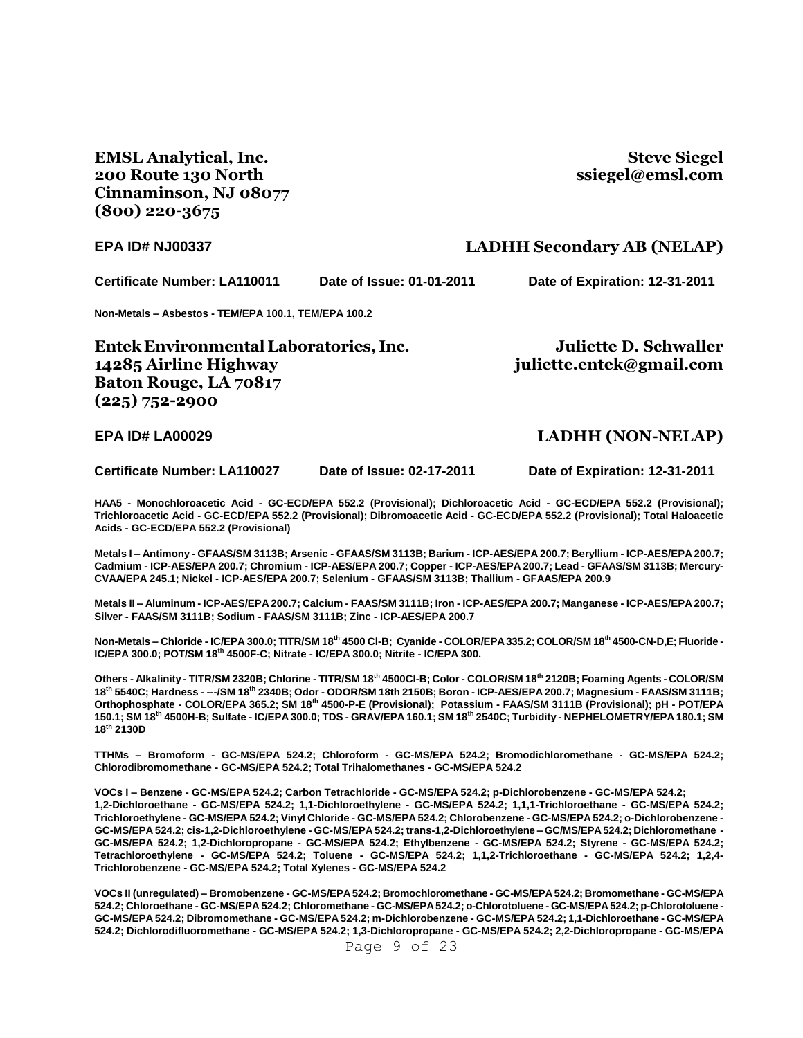**EMSL Analytical, Inc. 200 Route 130 North Cinnaminson, NJ 08077 (800) 220-3675**

**Steve Siegel ssiegel@emsl.com**

#### **EPA ID# NJ00337 LADHH Secondary AB (NELAP)**

**Certificate Number: LA110011 Date of Issue: 01-01-2011 Date of Expiration: 12-31-2011**

**Non-Metals – Asbestos - TEM/EPA 100.1, TEM/EPA 100.2**

**Entek Environmental Laboratories, Inc. 14285 Airline Highway Baton Rouge, LA 70817 (225) 752-2900**

**Juliette D. Schwaller juliette.entek@gmail.com**

#### **EPA ID# LA00029 LADHH (NON-NELAP)**

**Certificate Number: LA110027 Date of Issue: 02-17-2011 Date of Expiration: 12-31-2011**

**HAA5 - Monochloroacetic Acid - GC-ECD/EPA 552.2 (Provisional); Dichloroacetic Acid - GC-ECD/EPA 552.2 (Provisional); Trichloroacetic Acid - GC-ECD/EPA 552.2 (Provisional); Dibromoacetic Acid - GC-ECD/EPA 552.2 (Provisional); Total Haloacetic Acids - GC-ECD/EPA 552.2 (Provisional)**

**Metals I – Antimony - GFAAS/SM 3113B; Arsenic - GFAAS/SM 3113B; Barium - ICP-AES/EPA 200.7; Beryllium - ICP-AES/EPA 200.7; Cadmium - ICP-AES/EPA 200.7; Chromium - ICP-AES/EPA 200.7; Copper - ICP-AES/EPA 200.7; Lead - GFAAS/SM 3113B; Mercury-CVAA/EPA 245.1; Nickel - ICP-AES/EPA 200.7; Selenium - GFAAS/SM 3113B; Thallium - GFAAS/EPA 200.9**

**Metals II – Aluminum - ICP-AES/EPA 200.7; Calcium - FAAS/SM 3111B; Iron - ICP-AES/EPA 200.7; Manganese - ICP-AES/EPA 200.7; Silver - FAAS/SM 3111B; Sodium - FAAS/SM 3111B; Zinc - ICP-AES/EPA 200.7**

**Non-Metals – Chloride - IC/EPA 300.0; TITR/SM 18th 4500 Cl-B; Cyanide - COLOR/EPA 335.2; COLOR/SM 18th 4500-CN-D,E; Fluoride - IC/EPA 300.0; POT/SM 18th 4500F-C; Nitrate - IC/EPA 300.0; Nitrite - IC/EPA 300.**

**Others - Alkalinity - TITR/SM 2320B; Chlorine - TITR/SM 18th 4500Cl-B; Color - COLOR/SM 18th 2120B; Foaming Agents - COLOR/SM 18th 5540C; Hardness - ---/SM 18th 2340B; Odor - ODOR/SM 18th 2150B; Boron - ICP-AES/EPA 200.7; Magnesium - FAAS/SM 3111B; Orthophosphate - COLOR/EPA 365.2; SM 18th 4500-P-E (Provisional); Potassium - FAAS/SM 3111B (Provisional); pH - POT/EPA 150.1; SM 18th 4500H-B; Sulfate - IC/EPA 300.0; TDS - GRAV/EPA 160.1; SM 18th 2540C; Turbidity - NEPHELOMETRY/EPA 180.1; SM 18th 2130D**

**TTHMs – Bromoform - GC-MS/EPA 524.2; Chloroform - GC-MS/EPA 524.2; Bromodichloromethane - GC-MS/EPA 524.2; Chlorodibromomethane - GC-MS/EPA 524.2; Total Trihalomethanes - GC-MS/EPA 524.2**

**VOCs I – Benzene - GC-MS/EPA 524.2; Carbon Tetrachloride - GC-MS/EPA 524.2; p-Dichlorobenzene - GC-MS/EPA 524.2; 1,2-Dichloroethane - GC-MS/EPA 524.2; 1,1-Dichloroethylene - GC-MS/EPA 524.2; 1,1,1-Trichloroethane - GC-MS/EPA 524.2; Trichloroethylene - GC-MS/EPA 524.2; Vinyl Chloride - GC-MS/EPA 524.2; Chlorobenzene - GC-MS/EPA 524.2; o-Dichlorobenzene - GC-MS/EPA 524.2; cis-1,2-Dichloroethylene - GC-MS/EPA 524.2; trans-1,2-Dichloroethylene – GC/MS/EPA 524.2; Dichloromethane - GC-MS/EPA 524.2; 1,2-Dichloropropane - GC-MS/EPA 524.2; Ethylbenzene - GC-MS/EPA 524.2; Styrene - GC-MS/EPA 524.2; Tetrachloroethylene - GC-MS/EPA 524.2; Toluene - GC-MS/EPA 524.2; 1,1,2-Trichloroethane - GC-MS/EPA 524.2; 1,2,4- Trichlorobenzene - GC-MS/EPA 524.2; Total Xylenes - GC-MS/EPA 524.2**

**VOCs II (unregulated) – Bromobenzene - GC-MS/EPA 524.2; Bromochloromethane - GC-MS/EPA 524.2; Bromomethane - GC-MS/EPA 524.2; Chloroethane - GC-MS/EPA 524.2; Chloromethane - GC-MS/EPA 524.2; o-Chlorotoluene - GC-MS/EPA 524.2; p-Chlorotoluene - GC-MS/EPA 524.2; Dibromomethane - GC-MS/EPA 524.2; m-Dichlorobenzene - GC-MS/EPA 524.2; 1,1-Dichloroethane - GC-MS/EPA 524.2; Dichlorodifluoromethane - GC-MS/EPA 524.2; 1,3-Dichloropropane - GC-MS/EPA 524.2; 2,2-Dichloropropane - GC-MS/EPA** 

Page 9 of 23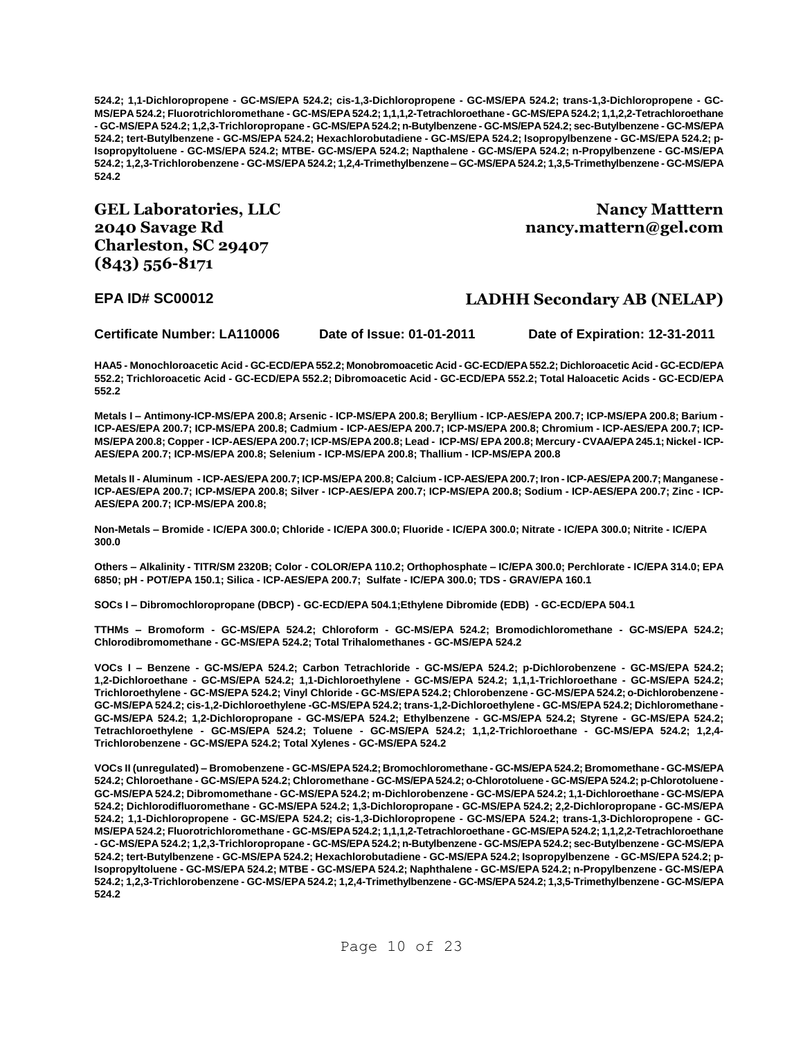**524.2; 1,1-Dichloropropene - GC-MS/EPA 524.2; cis-1,3-Dichloropropene - GC-MS/EPA 524.2; trans-1,3-Dichloropropene - GC-MS/EPA 524.2; Fluorotrichloromethane - GC-MS/EPA 524.2; 1,1,1,2-Tetrachloroethane - GC-MS/EPA 524.2; 1,1,2,2-Tetrachloroethane - GC-MS/EPA 524.2; 1,2,3-Trichloropropane - GC-MS/EPA 524.2; n-Butylbenzene - GC-MS/EPA 524.2; sec-Butylbenzene - GC-MS/EPA 524.2; tert-Butylbenzene - GC-MS/EPA 524.2; Hexachlorobutadiene - GC-MS/EPA 524.2; Isopropylbenzene - GC-MS/EPA 524.2; p-Isopropyltoluene - GC-MS/EPA 524.2; MTBE- GC-MS/EPA 524.2; Napthalene - GC-MS/EPA 524.2; n-Propylbenzene - GC-MS/EPA 524.2; 1,2,3-Trichlorobenzene - GC-MS/EPA 524.2; 1,2,4-Trimethylbenzene – GC-MS/EPA 524.2; 1,3,5-Trimethylbenzene - GC-MS/EPA 524.2**

**GEL Laboratories, LLC 2040 Savage Rd Charleston, SC 29407 (843) 556-8171**

**Nancy Matttern nancy.mattern@gel.com**

#### **EPA ID# SC00012 LADHH Secondary AB (NELAP)**

**Certificate Number: LA110006 Date of Issue: 01-01-2011 Date of Expiration: 12-31-2011**

**HAA5 - Monochloroacetic Acid - GC-ECD/EPA 552.2; Monobromoacetic Acid - GC-ECD/EPA 552.2; Dichloroacetic Acid - GC-ECD/EPA 552.2; Trichloroacetic Acid - GC-ECD/EPA 552.2; Dibromoacetic Acid - GC-ECD/EPA 552.2; Total Haloacetic Acids - GC-ECD/EPA 552.2**

**Metals I – Antimony-ICP-MS/EPA 200.8; Arsenic - ICP-MS/EPA 200.8; Beryllium - ICP-AES/EPA 200.7; ICP-MS/EPA 200.8; Barium - ICP-AES/EPA 200.7; ICP-MS/EPA 200.8; Cadmium - ICP-AES/EPA 200.7; ICP-MS/EPA 200.8; Chromium - ICP-AES/EPA 200.7; ICP-MS/EPA 200.8; Copper - ICP-AES/EPA 200.7; ICP-MS/EPA 200.8; Lead - ICP-MS/ EPA 200.8; Mercury - CVAA/EPA 245.1; Nickel - ICP-AES/EPA 200.7; ICP-MS/EPA 200.8; Selenium - ICP-MS/EPA 200.8; Thallium - ICP-MS/EPA 200.8**

**Metals II - Aluminum - ICP-AES/EPA 200.7; ICP-MS/EPA 200.8; Calcium - ICP-AES/EPA 200.7; Iron - ICP-AES/EPA 200.7; Manganese - ICP-AES/EPA 200.7; ICP-MS/EPA 200.8; Silver - ICP-AES/EPA 200.7; ICP-MS/EPA 200.8; Sodium - ICP-AES/EPA 200.7; Zinc - ICP-AES/EPA 200.7; ICP-MS/EPA 200.8;**

**Non-Metals – Bromide - IC/EPA 300.0; Chloride - IC/EPA 300.0; Fluoride - IC/EPA 300.0; Nitrate - IC/EPA 300.0; Nitrite - IC/EPA 300.0**

**Others – Alkalinity - TITR/SM 2320B; Color - COLOR/EPA 110.2; Orthophosphate – IC/EPA 300.0; Perchlorate - IC/EPA 314.0; EPA 6850; pH - POT/EPA 150.1; Silica - ICP-AES/EPA 200.7; Sulfate - IC/EPA 300.0; TDS - GRAV/EPA 160.1**

**SOCs I – Dibromochloropropane (DBCP) - GC-ECD/EPA 504.1;Ethylene Dibromide (EDB) - GC-ECD/EPA 504.1**

**TTHMs – Bromoform - GC-MS/EPA 524.2; Chloroform - GC-MS/EPA 524.2; Bromodichloromethane - GC-MS/EPA 524.2; Chlorodibromomethane - GC-MS/EPA 524.2; Total Trihalomethanes - GC-MS/EPA 524.2**

**VOCs I – Benzene - GC-MS/EPA 524.2; Carbon Tetrachloride - GC-MS/EPA 524.2; p-Dichlorobenzene - GC-MS/EPA 524.2; 1,2-Dichloroethane - GC-MS/EPA 524.2; 1,1-Dichloroethylene - GC-MS/EPA 524.2; 1,1,1-Trichloroethane - GC-MS/EPA 524.2; Trichloroethylene - GC-MS/EPA 524.2; Vinyl Chloride - GC-MS/EPA 524.2; Chlorobenzene - GC-MS/EPA 524.2; o-Dichlorobenzene - GC-MS/EPA 524.2; cis-1,2-Dichloroethylene -GC-MS/EPA 524.2; trans-1,2-Dichloroethylene - GC-MS/EPA 524.2; Dichloromethane - GC-MS/EPA 524.2; 1,2-Dichloropropane - GC-MS/EPA 524.2; Ethylbenzene - GC-MS/EPA 524.2; Styrene - GC-MS/EPA 524.2; Tetrachloroethylene - GC-MS/EPA 524.2; Toluene - GC-MS/EPA 524.2; 1,1,2-Trichloroethane - GC-MS/EPA 524.2; 1,2,4- Trichlorobenzene - GC-MS/EPA 524.2; Total Xylenes - GC-MS/EPA 524.2**

**VOCs II (unregulated) – Bromobenzene - GC-MS/EPA 524.2; Bromochloromethane - GC-MS/EPA 524.2; Bromomethane - GC-MS/EPA 524.2; Chloroethane - GC-MS/EPA 524.2; Chloromethane - GC-MS/EPA 524.2; o-Chlorotoluene - GC-MS/EPA 524.2; p-Chlorotoluene - GC-MS/EPA 524.2; Dibromomethane - GC-MS/EPA 524.2; m-Dichlorobenzene - GC-MS/EPA 524.2; 1,1-Dichloroethane - GC-MS/EPA 524.2; Dichlorodifluoromethane - GC-MS/EPA 524.2; 1,3-Dichloropropane - GC-MS/EPA 524.2; 2,2-Dichloropropane - GC-MS/EPA 524.2; 1,1-Dichloropropene - GC-MS/EPA 524.2; cis-1,3-Dichloropropene - GC-MS/EPA 524.2; trans-1,3-Dichloropropene - GC-MS/EPA 524.2; Fluorotrichloromethane - GC-MS/EPA 524.2; 1,1,1,2-Tetrachloroethane - GC-MS/EPA 524.2; 1,1,2,2-Tetrachloroethane - GC-MS/EPA 524.2; 1,2,3-Trichloropropane - GC-MS/EPA 524.2; n-Butylbenzene - GC-MS/EPA 524.2; sec-Butylbenzene - GC-MS/EPA 524.2; tert-Butylbenzene - GC-MS/EPA 524.2; Hexachlorobutadiene - GC-MS/EPA 524.2; Isopropylbenzene - GC-MS/EPA 524.2; p-Isopropyltoluene - GC-MS/EPA 524.2; MTBE - GC-MS/EPA 524.2; Naphthalene - GC-MS/EPA 524.2; n-Propylbenzene - GC-MS/EPA 524.2; 1,2,3-Trichlorobenzene - GC-MS/EPA 524.2; 1,2,4-Trimethylbenzene - GC-MS/EPA 524.2; 1,3,5-Trimethylbenzene - GC-MS/EPA 524.2**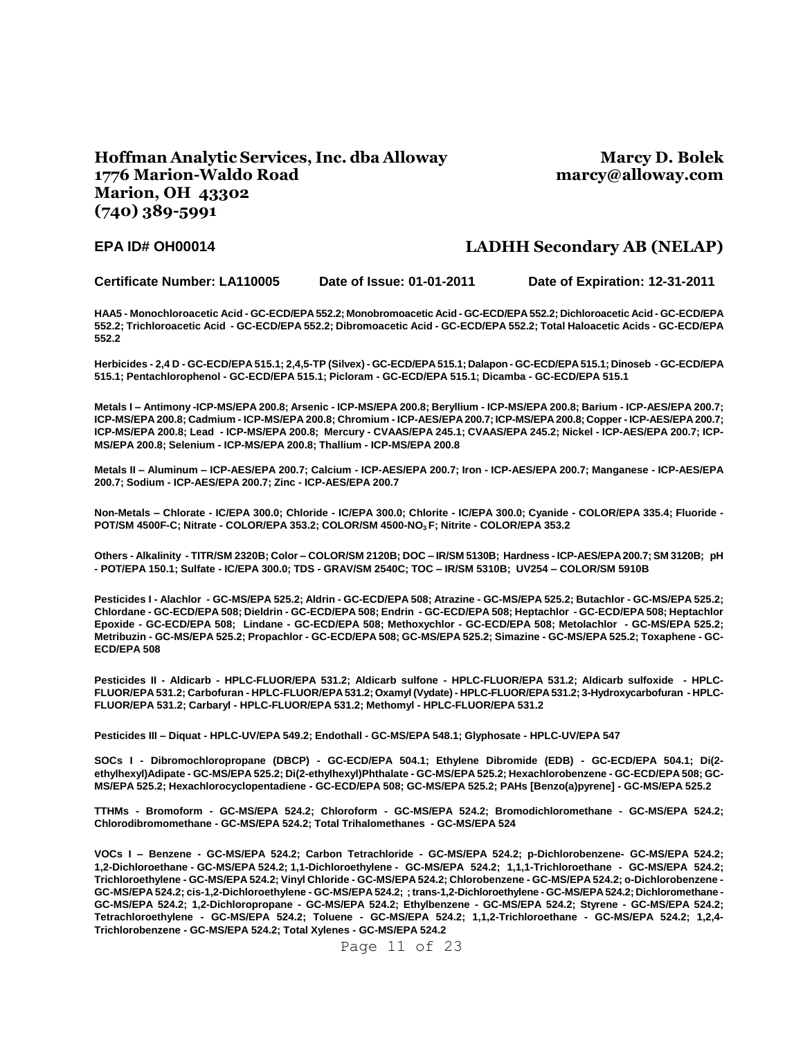### **Hoffman Analytic Services, Inc. dba Alloway 1776 Marion-Waldo Road Marion, OH 43302 (740) 389-5991**

**Marcy D. Bolek marcy@alloway.com**

#### **EPA ID# OH00014 LADHH Secondary AB (NELAP)**

**Certificate Number: LA110005 Date of Issue: 01-01-2011 Date of Expiration: 12-31-2011**

**HAA5 - Monochloroacetic Acid - GC-ECD/EPA 552.2; Monobromoacetic Acid - GC-ECD/EPA 552.2; Dichloroacetic Acid - GC-ECD/EPA 552.2; Trichloroacetic Acid - GC-ECD/EPA 552.2; Dibromoacetic Acid - GC-ECD/EPA 552.2; Total Haloacetic Acids - GC-ECD/EPA 552.2**

**Herbicides - 2,4 D - GC-ECD/EPA 515.1; 2,4,5-TP (Silvex) - GC-ECD/EPA 515.1; Dalapon - GC-ECD/EPA 515.1; Dinoseb - GC-ECD/EPA 515.1; Pentachlorophenol - GC-ECD/EPA 515.1; Picloram - GC-ECD/EPA 515.1; Dicamba - GC-ECD/EPA 515.1**

**Metals I – Antimony -ICP-MS/EPA 200.8; Arsenic - ICP-MS/EPA 200.8; Beryllium - ICP-MS/EPA 200.8; Barium - ICP-AES/EPA 200.7; ICP-MS/EPA 200.8; Cadmium - ICP-MS/EPA 200.8; Chromium - ICP-AES/EPA 200.7; ICP-MS/EPA 200.8; Copper - ICP-AES/EPA 200.7; ICP-MS/EPA 200.8; Lead - ICP-MS/EPA 200.8; Mercury - CVAAS/EPA 245.1; CVAAS/EPA 245.2; Nickel - ICP-AES/EPA 200.7; ICP-MS/EPA 200.8; Selenium - ICP-MS/EPA 200.8; Thallium - ICP-MS/EPA 200.8**

**Metals II – Aluminum – ICP-AES/EPA 200.7; Calcium - ICP-AES/EPA 200.7; Iron - ICP-AES/EPA 200.7; Manganese - ICP-AES/EPA 200.7; Sodium - ICP-AES/EPA 200.7; Zinc - ICP-AES/EPA 200.7**

**Non-Metals – Chlorate - IC/EPA 300.0; Chloride - IC/EPA 300.0; Chlorite - IC/EPA 300.0; Cyanide - COLOR/EPA 335.4; Fluoride - POT/SM 4500F-C; Nitrate - COLOR/EPA 353.2; COLOR/SM 4500-NO<sup>3</sup> F; Nitrite - COLOR/EPA 353.2**

**Others - Alkalinity - TITR/SM 2320B; Color – COLOR/SM 2120B; DOC – IR/SM 5130B; Hardness - ICP-AES/EPA 200.7; SM 3120B; pH - POT/EPA 150.1; Sulfate - IC/EPA 300.0; TDS - GRAV/SM 2540C; TOC – IR/SM 5310B; UV254 – COLOR/SM 5910B**

**Pesticides I - Alachlor - GC-MS/EPA 525.2; Aldrin - GC-ECD/EPA 508; Atrazine - GC-MS/EPA 525.2; Butachlor - GC-MS/EPA 525.2; Chlordane - GC-ECD/EPA 508; Dieldrin - GC-ECD/EPA 508; Endrin - GC-ECD/EPA 508; Heptachlor - GC-ECD/EPA 508; Heptachlor Epoxide - GC-ECD/EPA 508; Lindane - GC-ECD/EPA 508; Methoxychlor - GC-ECD/EPA 508; Metolachlor - GC-MS/EPA 525.2; Metribuzin - GC-MS/EPA 525.2; Propachlor - GC-ECD/EPA 508; GC-MS/EPA 525.2; Simazine - GC-MS/EPA 525.2; Toxaphene - GC-ECD/EPA 508**

**Pesticides II - Aldicarb - HPLC-FLUOR/EPA 531.2; Aldicarb sulfone - HPLC-FLUOR/EPA 531.2; Aldicarb sulfoxide - HPLC-FLUOR/EPA 531.2; Carbofuran - HPLC-FLUOR/EPA 531.2; Oxamyl (Vydate) - HPLC-FLUOR/EPA 531.2; 3-Hydroxycarbofuran - HPLC-FLUOR/EPA 531.2; Carbaryl - HPLC-FLUOR/EPA 531.2; Methomyl - HPLC-FLUOR/EPA 531.2**

**Pesticides III – Diquat - HPLC-UV/EPA 549.2; Endothall - GC-MS/EPA 548.1; Glyphosate - HPLC-UV/EPA 547**

**SOCs I - Dibromochloropropane (DBCP) - GC-ECD/EPA 504.1; Ethylene Dibromide (EDB) - GC-ECD/EPA 504.1; Di(2 ethylhexyl)Adipate - GC-MS/EPA 525.2; Di(2-ethylhexyl)Phthalate - GC-MS/EPA 525.2; Hexachlorobenzene - GC-ECD/EPA 508; GC-MS/EPA 525.2; Hexachlorocyclopentadiene - GC-ECD/EPA 508; GC-MS/EPA 525.2; PAHs [Benzo(a)pyrene] - GC-MS/EPA 525.2**

**TTHMs - Bromoform - GC-MS/EPA 524.2; Chloroform - GC-MS/EPA 524.2; Bromodichloromethane - GC-MS/EPA 524.2; Chlorodibromomethane - GC-MS/EPA 524.2; Total Trihalomethanes - GC-MS/EPA 524**

**VOCs I – Benzene - GC-MS/EPA 524.2; Carbon Tetrachloride - GC-MS/EPA 524.2; p-Dichlorobenzene- GC-MS/EPA 524.2; 1,2-Dichloroethane - GC-MS/EPA 524.2; 1,1-Dichloroethylene - GC-MS/EPA 524.2; 1,1,1-Trichloroethane - GC-MS/EPA 524.2; Trichloroethylene - GC-MS/EPA 524.2; Vinyl Chloride - GC-MS/EPA 524.2; Chlorobenzene - GC-MS/EPA 524.2; o-Dichlorobenzene - GC-MS/EPA 524.2; cis-1,2-Dichloroethylene - GC-MS/EPA 524.2; ; trans-1,2-Dichloroethylene - GC-MS/EPA 524.2; Dichloromethane - GC-MS/EPA 524.2; 1,2-Dichloropropane - GC-MS/EPA 524.2; Ethylbenzene - GC-MS/EPA 524.2; Styrene - GC-MS/EPA 524.2; Tetrachloroethylene - GC-MS/EPA 524.2; Toluene - GC-MS/EPA 524.2; 1,1,2-Trichloroethane - GC-MS/EPA 524.2; 1,2,4- Trichlorobenzene - GC-MS/EPA 524.2; Total Xylenes - GC-MS/EPA 524.2**

Page 11 of 23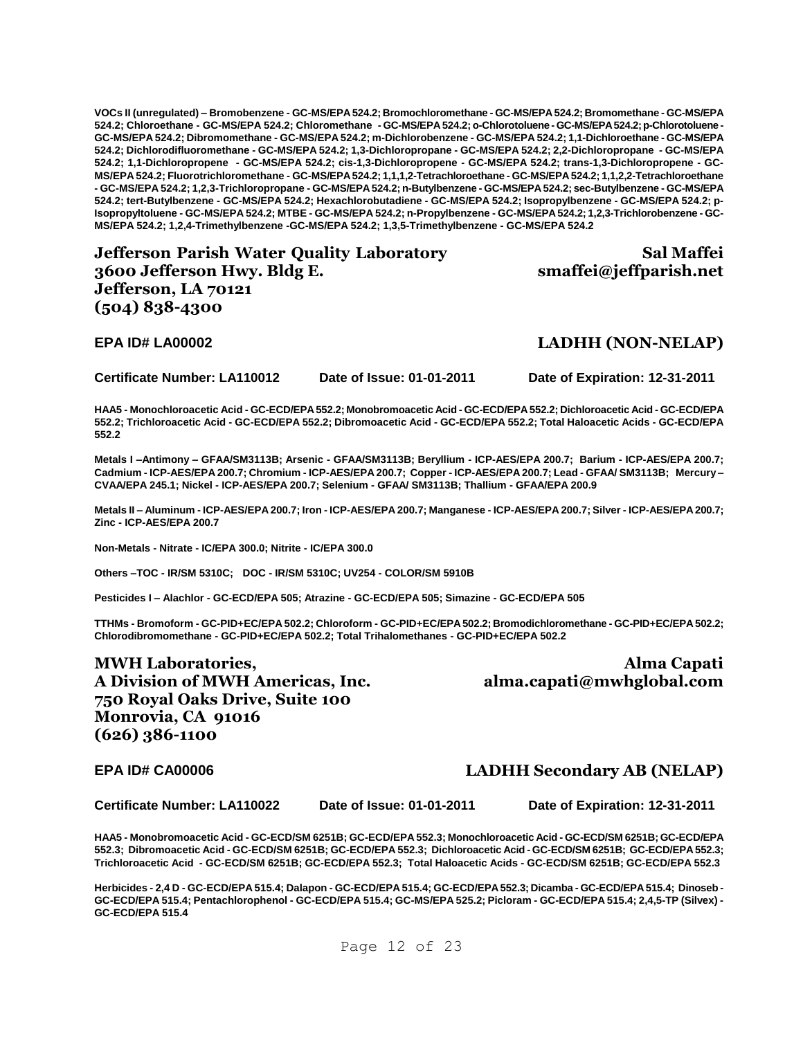**VOCs II (unregulated) – Bromobenzene - GC-MS/EPA 524.2; Bromochloromethane - GC-MS/EPA 524.2; Bromomethane - GC-MS/EPA 524.2; Chloroethane - GC-MS/EPA 524.2; Chloromethane - GC-MS/EPA 524.2; o-Chlorotoluene -GC-MS/EPA 524.2; p-Chlorotoluene - GC-MS/EPA 524.2; Dibromomethane - GC-MS/EPA 524.2; m-Dichlorobenzene - GC-MS/EPA 524.2; 1,1-Dichloroethane - GC-MS/EPA 524.2; Dichlorodifluoromethane - GC-MS/EPA 524.2; 1,3-Dichloropropane - GC-MS/EPA 524.2; 2,2-Dichloropropane - GC-MS/EPA 524.2; 1,1-Dichloropropene - GC-MS/EPA 524.2; cis-1,3-Dichloropropene - GC-MS/EPA 524.2; trans-1,3-Dichloropropene - GC-MS/EPA 524.2; Fluorotrichloromethane - GC-MS/EPA524.2; 1,1,1,2-Tetrachloroethane - GC-MS/EPA 524.2; 1,1,2,2-Tetrachloroethane - GC-MS/EPA 524.2; 1,2,3-Trichloropropane - GC-MS/EPA 524.2; n-Butylbenzene - GC-MS/EPA 524.2; sec-Butylbenzene - GC-MS/EPA 524.2; tert-Butylbenzene - GC-MS/EPA 524.2; Hexachlorobutadiene - GC-MS/EPA 524.2; Isopropylbenzene - GC-MS/EPA 524.2; p-Isopropyltoluene - GC-MS/EPA 524.2; MTBE - GC-MS/EPA 524.2; n-Propylbenzene - GC-MS/EPA 524.2; 1,2,3-Trichlorobenzene - GC-MS/EPA 524.2; 1,2,4-Trimethylbenzene -GC-MS/EPA 524.2; 1,3,5-Trimethylbenzene - GC-MS/EPA 524.2**

**Jefferson Parish Water Quality Laboratory 3600 Jefferson Hwy. Bldg E. Jefferson, LA 70121 (504) 838-4300**

**EPA ID# LA00002 LADHH (NON-NELAP)**

**Certificate Number: LA110012 Date of Issue: 01-01-2011 Date of Expiration: 12-31-2011**

**smaffei@jeffparish.net**

**Sal Maffei** 

**HAA5 - Monochloroacetic Acid - GC-ECD/EPA 552.2; Monobromoacetic Acid - GC-ECD/EPA 552.2; Dichloroacetic Acid - GC-ECD/EPA 552.2; Trichloroacetic Acid - GC-ECD/EPA 552.2; Dibromoacetic Acid - GC-ECD/EPA 552.2; Total Haloacetic Acids - GC-ECD/EPA 552.2**

**Metals I –Antimony – GFAA/SM3113B; Arsenic - GFAA/SM3113B; Beryllium - ICP-AES/EPA 200.7; Barium - ICP-AES/EPA 200.7; Cadmium - ICP-AES/EPA 200.7; Chromium - ICP-AES/EPA 200.7; Copper - ICP-AES/EPA 200.7; Lead - GFAA/ SM3113B; Mercury – CVAA/EPA 245.1; Nickel - ICP-AES/EPA 200.7; Selenium - GFAA/ SM3113B; Thallium - GFAA/EPA 200.9**

**Metals II – Aluminum - ICP-AES/EPA 200.7; Iron - ICP-AES/EPA 200.7; Manganese - ICP-AES/EPA 200.7; Silver - ICP-AES/EPA 200.7; Zinc - ICP-AES/EPA 200.7**

**Non-Metals - Nitrate - IC/EPA 300.0; Nitrite - IC/EPA 300.0**

**Others –TOC - IR/SM 5310C; DOC - IR/SM 5310C; UV254 - COLOR/SM 5910B**

**Pesticides I – Alachlor - GC-ECD/EPA 505; Atrazine - GC-ECD/EPA 505; Simazine - GC-ECD/EPA 505**

**TTHMs - Bromoform - GC-PID+EC/EPA 502.2; Chloroform - GC-PID+EC/EPA 502.2; Bromodichloromethane - GC-PID+EC/EPA 502.2; Chlorodibromomethane - GC-PID+EC/EPA 502.2; Total Trihalomethanes - GC-PID+EC/EPA 502.2**

**MWH Laboratories, A Division of MWH Americas, Inc. 750 Royal Oaks Drive, Suite 100 Monrovia, CA 91016 (626) 386-1100**

**Alma Capati alma.capati@mwhglobal.com**

### **EPA ID# CA00006 LADHH Secondary AB (NELAP)**

**Certificate Number: LA110022 Date of Issue: 01-01-2011 Date of Expiration: 12-31-2011**

**HAA5 - Monobromoacetic Acid - GC-ECD/SM 6251B; GC-ECD/EPA 552.3; Monochloroacetic Acid - GC-ECD/SM 6251B; GC-ECD/EPA 552.3; Dibromoacetic Acid - GC-ECD/SM 6251B; GC-ECD/EPA 552.3; Dichloroacetic Acid - GC-ECD/SM 6251B; GC-ECD/EPA 552.3; Trichloroacetic Acid - GC-ECD/SM 6251B; GC-ECD/EPA 552.3; Total Haloacetic Acids - GC-ECD/SM 6251B; GC-ECD/EPA 552.3**

**Herbicides - 2,4 D - GC-ECD/EPA 515.4; Dalapon - GC-ECD/EPA 515.4; GC-ECD/EPA 552.3; Dicamba - GC-ECD/EPA 515.4; Dinoseb - GC-ECD/EPA 515.4; Pentachlorophenol - GC-ECD/EPA 515.4; GC-MS/EPA 525.2; Picloram - GC-ECD/EPA 515.4; 2,4,5-TP (Silvex) - GC-ECD/EPA 515.4**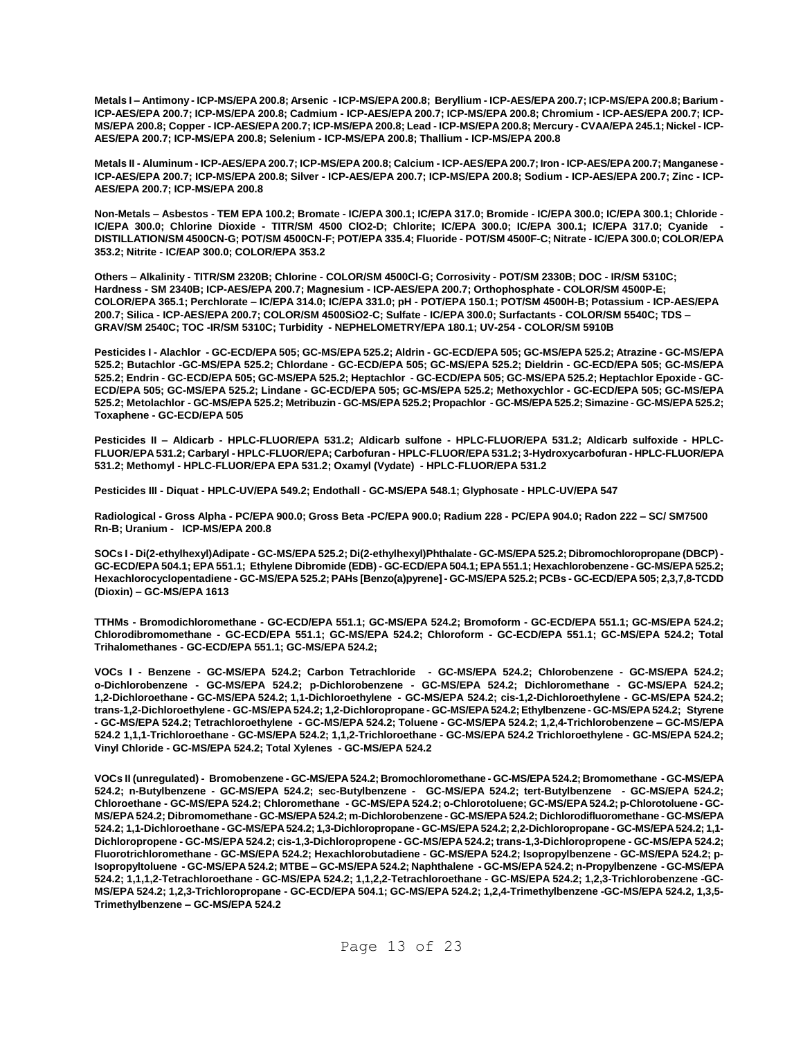**Metals I – Antimony - ICP-MS/EPA 200.8; Arsenic - ICP-MS/EPA 200.8; Beryllium - ICP-AES/EPA 200.7; ICP-MS/EPA 200.8; Barium - ICP-AES/EPA 200.7; ICP-MS/EPA 200.8; Cadmium - ICP-AES/EPA 200.7; ICP-MS/EPA 200.8; Chromium - ICP-AES/EPA 200.7; ICP-MS/EPA 200.8; Copper - ICP-AES/EPA 200.7; ICP-MS/EPA 200.8; Lead - ICP-MS/EPA 200.8; Mercury - CVAA/EPA 245.1; Nickel - ICP-AES/EPA 200.7; ICP-MS/EPA 200.8; Selenium - ICP-MS/EPA 200.8; Thallium - ICP-MS/EPA 200.8**

**Metals II - Aluminum - ICP-AES/EPA 200.7; ICP-MS/EPA 200.8; Calcium - ICP-AES/EPA 200.7; Iron - ICP-AES/EPA 200.7; Manganese - ICP-AES/EPA 200.7; ICP-MS/EPA 200.8; Silver - ICP-AES/EPA 200.7; ICP-MS/EPA 200.8; Sodium - ICP-AES/EPA 200.7; Zinc - ICP-AES/EPA 200.7; ICP-MS/EPA 200.8**

**Non-Metals – Asbestos - TEM EPA 100.2; Bromate - IC/EPA 300.1; IC/EPA 317.0; Bromide - IC/EPA 300.0; IC/EPA 300.1; Chloride - IC/EPA 300.0; Chlorine Dioxide - TITR/SM 4500 ClO2-D; Chlorite; IC/EPA 300.0; IC/EPA 300.1; IC/EPA 317.0; Cyanide - DISTILLATION/SM 4500CN-G; POT/SM 4500CN-F; POT/EPA 335.4; Fluoride - POT/SM 4500F-C; Nitrate - IC/EPA 300.0; COLOR/EPA 353.2; Nitrite - IC/EAP 300.0; COLOR/EPA 353.2**

**Others – Alkalinity - TITR/SM 2320B; Chlorine - COLOR/SM 4500Cl-G; Corrosivity - POT/SM 2330B; DOC - IR/SM 5310C; Hardness - SM 2340B; ICP-AES/EPA 200.7; Magnesium - ICP-AES/EPA 200.7; Orthophosphate - COLOR/SM 4500P-E; COLOR/EPA 365.1; Perchlorate – IC/EPA 314.0; IC/EPA 331.0; pH - POT/EPA 150.1; POT/SM 4500H-B; Potassium - ICP-AES/EPA 200.7; Silica - ICP-AES/EPA 200.7; COLOR/SM 4500SiO2-C; Sulfate - IC/EPA 300.0; Surfactants - COLOR/SM 5540C; TDS – GRAV/SM 2540C; TOC -IR/SM 5310C; Turbidity - NEPHELOMETRY/EPA 180.1; UV-254 - COLOR/SM 5910B**

**Pesticides I - Alachlor - GC-ECD/EPA 505; GC-MS/EPA 525.2; Aldrin - GC-ECD/EPA 505; GC-MS/EPA 525.2; Atrazine - GC-MS/EPA 525.2; Butachlor -GC-MS/EPA 525.2; Chlordane - GC-ECD/EPA 505; GC-MS/EPA 525.2; Dieldrin - GC-ECD/EPA 505; GC-MS/EPA 525.2; Endrin - GC-ECD/EPA 505; GC-MS/EPA 525.2; Heptachlor - GC-ECD/EPA 505; GC-MS/EPA 525.2; Heptachlor Epoxide - GC-ECD/EPA 505; GC-MS/EPA 525.2; Lindane - GC-ECD/EPA 505; GC-MS/EPA 525.2; Methoxychlor - GC-ECD/EPA 505; GC-MS/EPA 525.2; Metolachlor - GC-MS/EPA 525.2; Metribuzin - GC-MS/EPA 525.2; Propachlor - GC-MS/EPA 525.2; Simazine - GC-MS/EPA 525.2; Toxaphene - GC-ECD/EPA 505**

**Pesticides II – Aldicarb - HPLC-FLUOR/EPA 531.2; Aldicarb sulfone - HPLC-FLUOR/EPA 531.2; Aldicarb sulfoxide - HPLC-FLUOR/EPA 531.2; Carbaryl - HPLC-FLUOR/EPA; Carbofuran - HPLC-FLUOR/EPA 531.2; 3-Hydroxycarbofuran - HPLC-FLUOR/EPA 531.2; Methomyl - HPLC-FLUOR/EPA EPA 531.2; Oxamyl (Vydate) - HPLC-FLUOR/EPA 531.2**

**Pesticides III - Diquat - HPLC-UV/EPA 549.2; Endothall - GC-MS/EPA 548.1; Glyphosate - HPLC-UV/EPA 547**

**Radiological - Gross Alpha - PC/EPA 900.0; Gross Beta -PC/EPA 900.0; Radium 228 - PC/EPA 904.0; Radon 222 – SC/ SM7500 Rn-B; Uranium - ICP-MS/EPA 200.8**

**SOCs I - Di(2-ethylhexyl)Adipate - GC-MS/EPA 525.2; Di(2-ethylhexyl)Phthalate - GC-MS/EPA 525.2; Dibromochloropropane (DBCP) - GC-ECD/EPA 504.1; EPA 551.1; Ethylene Dibromide (EDB) - GC-ECD/EPA 504.1; EPA 551.1; Hexachlorobenzene - GC-MS/EPA 525.2; Hexachlorocyclopentadiene - GC-MS/EPA 525.2; PAHs [Benzo(a)pyrene] - GC-MS/EPA 525.2; PCBs - GC-ECD/EPA 505; 2,3,7,8-TCDD (Dioxin) – GC-MS/EPA 1613**

**TTHMs - Bromodichloromethane - GC-ECD/EPA 551.1; GC-MS/EPA 524.2; Bromoform - GC-ECD/EPA 551.1; GC-MS/EPA 524.2; Chlorodibromomethane - GC-ECD/EPA 551.1; GC-MS/EPA 524.2; Chloroform - GC-ECD/EPA 551.1; GC-MS/EPA 524.2; Total Trihalomethanes - GC-ECD/EPA 551.1; GC-MS/EPA 524.2;**

**VOCs I - Benzene - GC-MS/EPA 524.2; Carbon Tetrachloride - GC-MS/EPA 524.2; Chlorobenzene - GC-MS/EPA 524.2; o-Dichlorobenzene - GC-MS/EPA 524.2; p-Dichlorobenzene - GC-MS/EPA 524.2; Dichloromethane - GC-MS/EPA 524.2; 1,2-Dichloroethane - GC-MS/EPA 524.2; 1,1-Dichloroethylene - GC-MS/EPA 524.2; cis-1,2-Dichloroethylene - GC-MS/EPA 524.2; trans-1,2-Dichloroethylene - GC-MS/EPA 524.2; 1,2-Dichloropropane - GC-MS/EPA 524.2; Ethylbenzene - GC-MS/EPA 524.2; Styrene - GC-MS/EPA 524.2; Tetrachloroethylene - GC-MS/EPA 524.2; Toluene - GC-MS/EPA 524.2; 1,2,4-Trichlorobenzene – GC-MS/EPA 524.2 1,1,1-Trichloroethane - GC-MS/EPA 524.2; 1,1,2-Trichloroethane - GC-MS/EPA 524.2 Trichloroethylene - GC-MS/EPA 524.2; Vinyl Chloride - GC-MS/EPA 524.2; Total Xylenes - GC-MS/EPA 524.2**

**VOCs II (unregulated) - Bromobenzene - GC-MS/EPA 524.2; Bromochloromethane - GC-MS/EPA 524.2; Bromomethane - GC-MS/EPA 524.2; n-Butylbenzene - GC-MS/EPA 524.2; sec-Butylbenzene - GC-MS/EPA 524.2; tert-Butylbenzene - GC-MS/EPA 524.2; Chloroethane - GC-MS/EPA 524.2; Chloromethane - GC-MS/EPA 524.2; o-Chlorotoluene; GC-MS/EPA 524.2; p-Chlorotoluene - GC-MS/EPA 524.2; Dibromomethane - GC-MS/EPA 524.2; m-Dichlorobenzene - GC-MS/EPA 524.2; Dichlorodifluoromethane - GC-MS/EPA 524.2; 1,1-Dichloroethane - GC-MS/EPA 524.2; 1,3-Dichloropropane - GC-MS/EPA 524.2; 2,2-Dichloropropane - GC-MS/EPA 524.2; 1,1- Dichloropropene - GC-MS/EPA 524.2; cis-1,3-Dichloropropene - GC-MS/EPA 524.2; trans-1,3-Dichloropropene - GC-MS/EPA 524.2; Fluorotrichloromethane - GC-MS/EPA 524.2; Hexachlorobutadiene - GC-MS/EPA 524.2; Isopropylbenzene - GC-MS/EPA 524.2; p-Isopropyltoluene - GC-MS/EPA 524.2; MTBE – GC-MS/EPA 524.2; Naphthalene - GC-MS/EPA 524.2; n-Propylbenzene - GC-MS/EPA 524.2; 1,1,1,2-Tetrachloroethane - GC-MS/EPA 524.2; 1,1,2,2-Tetrachloroethane - GC-MS/EPA 524.2; 1,2,3-Trichlorobenzene -GC-MS/EPA 524.2; 1,2,3-Trichloropropane - GC-ECD/EPA 504.1; GC-MS/EPA 524.2; 1,2,4-Trimethylbenzene -GC-MS/EPA 524.2, 1,3,5- Trimethylbenzene – GC-MS/EPA 524.2**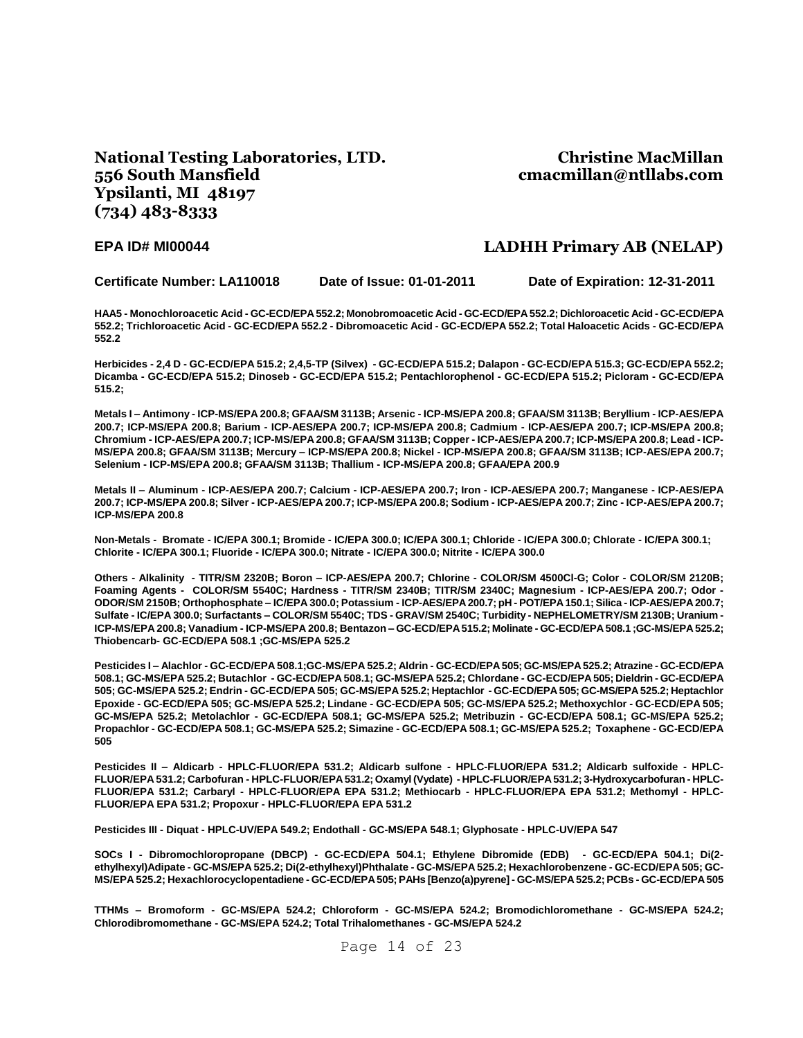### **National Testing Laboratories, LTD. 556 South Mansfield Ypsilanti, MI 48197 (734) 483-8333**

### **Christine MacMillan cmacmillan@ntllabs.com**

### **EPA ID# MI00044 LADHH Primary AB (NELAP)**

**Certificate Number: LA110018 Date of Issue: 01-01-2011 Date of Expiration: 12-31-2011**

**HAA5 - Monochloroacetic Acid - GC-ECD/EPA 552.2; Monobromoacetic Acid - GC-ECD/EPA 552.2; Dichloroacetic Acid - GC-ECD/EPA 552.2; Trichloroacetic Acid - GC-ECD/EPA 552.2 - Dibromoacetic Acid - GC-ECD/EPA 552.2; Total Haloacetic Acids - GC-ECD/EPA 552.2**

**Herbicides - 2,4 D - GC-ECD/EPA 515.2; 2,4,5-TP (Silvex) - GC-ECD/EPA 515.2; Dalapon - GC-ECD/EPA 515.3; GC-ECD/EPA 552.2; Dicamba - GC-ECD/EPA 515.2; Dinoseb - GC-ECD/EPA 515.2; Pentachlorophenol - GC-ECD/EPA 515.2; Picloram - GC-ECD/EPA 515.2;**

**Metals I – Antimony - ICP-MS/EPA 200.8; GFAA/SM 3113B; Arsenic - ICP-MS/EPA 200.8; GFAA/SM 3113B; Beryllium - ICP-AES/EPA 200.7; ICP-MS/EPA 200.8; Barium - ICP-AES/EPA 200.7; ICP-MS/EPA 200.8; Cadmium - ICP-AES/EPA 200.7; ICP-MS/EPA 200.8; Chromium - ICP-AES/EPA 200.7; ICP-MS/EPA 200.8; GFAA/SM 3113B; Copper - ICP-AES/EPA 200.7; ICP-MS/EPA 200.8; Lead - ICP-MS/EPA 200.8; GFAA/SM 3113B; Mercury – ICP-MS/EPA 200.8; Nickel - ICP-MS/EPA 200.8; GFAA/SM 3113B; ICP-AES/EPA 200.7; Selenium - ICP-MS/EPA 200.8; GFAA/SM 3113B; Thallium - ICP-MS/EPA 200.8; GFAA/EPA 200.9**

**Metals II – Aluminum - ICP-AES/EPA 200.7; Calcium - ICP-AES/EPA 200.7; Iron - ICP-AES/EPA 200.7; Manganese - ICP-AES/EPA 200.7; ICP-MS/EPA 200.8; Silver - ICP-AES/EPA 200.7; ICP-MS/EPA 200.8; Sodium - ICP-AES/EPA 200.7; Zinc - ICP-AES/EPA 200.7; ICP-MS/EPA 200.8**

**Non-Metals - Bromate - IC/EPA 300.1; Bromide - IC/EPA 300.0; IC/EPA 300.1; Chloride - IC/EPA 300.0; Chlorate - IC/EPA 300.1; Chlorite - IC/EPA 300.1; Fluoride - IC/EPA 300.0; Nitrate - IC/EPA 300.0; Nitrite - IC/EPA 300.0**

**Others - Alkalinity - TITR/SM 2320B; Boron – ICP-AES/EPA 200.7; Chlorine - COLOR/SM 4500Cl-G; Color - COLOR/SM 2120B; Foaming Agents - COLOR/SM 5540C; Hardness - TITR/SM 2340B; TITR/SM 2340C; Magnesium - ICP-AES/EPA 200.7; Odor - ODOR/SM 2150B; Orthophosphate – IC/EPA 300.0; Potassium - ICP-AES/EPA 200.7; pH - POT/EPA 150.1; Silica - ICP-AES/EPA 200.7; Sulfate - IC/EPA 300.0; Surfactants – COLOR/SM 5540C; TDS - GRAV/SM 2540C; Turbidity - NEPHELOMETRY/SM 2130B; Uranium - ICP-MS/EPA 200.8; Vanadium - ICP-MS/EPA 200.8; Bentazon – GC-ECD/EPA 515.2; Molinate - GC-ECD/EPA 508.1 ;GC-MS/EPA 525.2; Thiobencarb- GC-ECD/EPA 508.1 ;GC-MS/EPA 525.2**

**Pesticides I – Alachlor - GC-ECD/EPA 508.1;GC-MS/EPA 525.2; Aldrin - GC-ECD/EPA 505; GC-MS/EPA 525.2; Atrazine - GC-ECD/EPA 508.1; GC-MS/EPA 525.2; Butachlor - GC-ECD/EPA 508.1; GC-MS/EPA 525.2; Chlordane - GC-ECD/EPA 505; Dieldrin - GC-ECD/EPA 505; GC-MS/EPA 525.2; Endrin - GC-ECD/EPA 505; GC-MS/EPA 525.2; Heptachlor - GC-ECD/EPA 505; GC-MS/EPA 525.2; Heptachlor Epoxide - GC-ECD/EPA 505; GC-MS/EPA 525.2; Lindane - GC-ECD/EPA 505; GC-MS/EPA 525.2; Methoxychlor - GC-ECD/EPA 505; GC-MS/EPA 525.2; Metolachlor - GC-ECD/EPA 508.1; GC-MS/EPA 525.2; Metribuzin - GC-ECD/EPA 508.1; GC-MS/EPA 525.2; Propachlor - GC-ECD/EPA 508.1; GC-MS/EPA 525.2; Simazine - GC-ECD/EPA 508.1; GC-MS/EPA 525.2; Toxaphene - GC-ECD/EPA 505**

**Pesticides II – Aldicarb - HPLC-FLUOR/EPA 531.2; Aldicarb sulfone - HPLC-FLUOR/EPA 531.2; Aldicarb sulfoxide - HPLC-FLUOR/EPA 531.2; Carbofuran - HPLC-FLUOR/EPA 531.2; Oxamyl (Vydate) - HPLC-FLUOR/EPA 531.2; 3-Hydroxycarbofuran - HPLC-FLUOR/EPA 531.2; Carbaryl - HPLC-FLUOR/EPA EPA 531.2; Methiocarb - HPLC-FLUOR/EPA EPA 531.2; Methomyl - HPLC-FLUOR/EPA EPA 531.2; Propoxur - HPLC-FLUOR/EPA EPA 531.2**

**Pesticides III - Diquat - HPLC-UV/EPA 549.2; Endothall - GC-MS/EPA 548.1; Glyphosate - HPLC-UV/EPA 547**

**SOCs I - Dibromochloropropane (DBCP) - GC-ECD/EPA 504.1; Ethylene Dibromide (EDB) - GC-ECD/EPA 504.1; Di(2 ethylhexyl)Adipate - GC-MS/EPA 525.2; Di(2-ethylhexyl)Phthalate - GC-MS/EPA 525.2; Hexachlorobenzene - GC-ECD/EPA 505; GC-MS/EPA 525.2; Hexachlorocyclopentadiene - GC-ECD/EPA 505; PAHs [Benzo(a)pyrene] - GC-MS/EPA 525.2; PCBs - GC-ECD/EPA 505**

**TTHMs – Bromoform - GC-MS/EPA 524.2; Chloroform - GC-MS/EPA 524.2; Bromodichloromethane - GC-MS/EPA 524.2; Chlorodibromomethane - GC-MS/EPA 524.2; Total Trihalomethanes - GC-MS/EPA 524.2**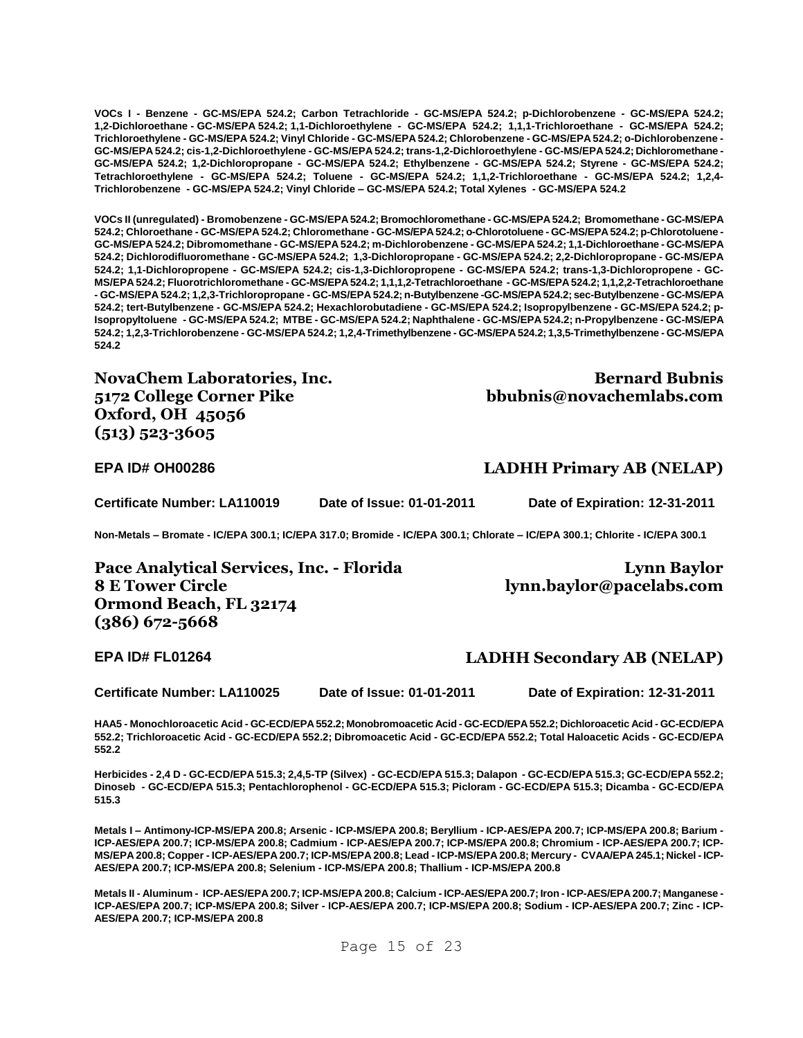**VOCs I - Benzene - GC-MS/EPA 524.2; Carbon Tetrachloride - GC-MS/EPA 524.2; p-Dichlorobenzene - GC-MS/EPA 524.2; 1,2-Dichloroethane - GC-MS/EPA 524.2; 1,1-Dichloroethylene - GC-MS/EPA 524.2; 1,1,1-Trichloroethane - GC-MS/EPA 524.2; Trichloroethylene - GC-MS/EPA 524.2; Vinyl Chloride - GC-MS/EPA 524.2; Chlorobenzene - GC-MS/EPA 524.2; o-Dichlorobenzene - GC-MS/EPA 524.2; cis-1,2-Dichloroethylene - GC-MS/EPA 524.2; trans-1,2-Dichloroethylene - GC-MS/EPA 524.2; Dichloromethane - GC-MS/EPA 524.2; 1,2-Dichloropropane - GC-MS/EPA 524.2; Ethylbenzene - GC-MS/EPA 524.2; Styrene - GC-MS/EPA 524.2; Tetrachloroethylene - GC-MS/EPA 524.2; Toluene - GC-MS/EPA 524.2; 1,1,2-Trichloroethane - GC-MS/EPA 524.2; 1,2,4- Trichlorobenzene - GC-MS/EPA 524.2; Vinyl Chloride – GC-MS/EPA 524.2; Total Xylenes - GC-MS/EPA 524.2**

**VOCs II (unregulated) - Bromobenzene - GC-MS/EPA 524.2; Bromochloromethane - GC-MS/EPA 524.2; Bromomethane - GC-MS/EPA 524.2; Chloroethane - GC-MS/EPA 524.2; Chloromethane - GC-MS/EPA 524.2; o-Chlorotoluene - GC-MS/EPA 524.2; p-Chlorotoluene - GC-MS/EPA 524.2; Dibromomethane - GC-MS/EPA 524.2; m-Dichlorobenzene - GC-MS/EPA 524.2; 1,1-Dichloroethane - GC-MS/EPA 524.2; Dichlorodifluoromethane - GC-MS/EPA 524.2; 1,3-Dichloropropane - GC-MS/EPA 524.2; 2,2-Dichloropropane - GC-MS/EPA 524.2; 1,1-Dichloropropene - GC-MS/EPA 524.2; cis-1,3-Dichloropropene - GC-MS/EPA 524.2; trans-1,3-Dichloropropene - GC-MS/EPA 524.2; Fluorotrichloromethane - GC-MS/EPA 524.2; 1,1,1,2-Tetrachloroethane - GC-MS/EPA 524.2; 1,1,2,2-Tetrachloroethane - GC-MS/EPA 524.2; 1,2,3-Trichloropropane - GC-MS/EPA 524.2; n-Butylbenzene -GC-MS/EPA 524.2; sec-Butylbenzene - GC-MS/EPA 524.2; tert-Butylbenzene - GC-MS/EPA 524.2; Hexachlorobutadiene - GC-MS/EPA 524.2; Isopropylbenzene - GC-MS/EPA 524.2; p-Isopropyltoluene - GC-MS/EPA 524.2; MTBE - GC-MS/EPA 524.2; Naphthalene - GC-MS/EPA 524.2; n-Propylbenzene - GC-MS/EPA 524.2; 1,2,3-Trichlorobenzene - GC-MS/EPA 524.2; 1,2,4-Trimethylbenzene - GC-MS/EPA 524.2; 1,3,5-Trimethylbenzene - GC-MS/EPA 524.2**

**NovaChem Laboratories, Inc. 5172 College Corner Pike Oxford, OH 45056 (513) 523-3605**

**Bernard Bubnis bbubnis@novachemlabs.com**

**Certificate Number: LA110019 Date of Issue: 01-01-2011 Date of Expiration: 12-31-2011**

**Non-Metals – Bromate - IC/EPA 300.1; IC/EPA 317.0; Bromide - IC/EPA 300.1; Chlorate – IC/EPA 300.1; Chlorite - IC/EPA 300.1**

**Pace Analytical Services, Inc. - Florida 8 E Tower Circle Ormond Beach, FL 32174 (386) 672-5668**

**Lynn Baylor lynn.baylor@pacelabs.com**

#### **EPA ID# FL01264 LADHH Secondary AB (NELAP)**

**Certificate Number: LA110025 Date of Issue: 01-01-2011 Date of Expiration: 12-31-2011**

**HAA5 - Monochloroacetic Acid - GC-ECD/EPA 552.2; Monobromoacetic Acid - GC-ECD/EPA 552.2; Dichloroacetic Acid - GC-ECD/EPA 552.2; Trichloroacetic Acid - GC-ECD/EPA 552.2; Dibromoacetic Acid - GC-ECD/EPA 552.2; Total Haloacetic Acids - GC-ECD/EPA 552.2**

**Herbicides - 2,4 D - GC-ECD/EPA 515.3; 2,4,5-TP (Silvex) - GC-ECD/EPA 515.3; Dalapon - GC-ECD/EPA 515.3; GC-ECD/EPA 552.2; Dinoseb - GC-ECD/EPA 515.3; Pentachlorophenol - GC-ECD/EPA 515.3; Picloram - GC-ECD/EPA 515.3; Dicamba - GC-ECD/EPA 515.3**

**Metals I – Antimony-ICP-MS/EPA 200.8; Arsenic - ICP-MS/EPA 200.8; Beryllium - ICP-AES/EPA 200.7; ICP-MS/EPA 200.8; Barium - ICP-AES/EPA 200.7; ICP-MS/EPA 200.8; Cadmium - ICP-AES/EPA 200.7; ICP-MS/EPA 200.8; Chromium - ICP-AES/EPA 200.7; ICP-MS/EPA 200.8; Copper - ICP-AES/EPA 200.7; ICP-MS/EPA 200.8; Lead - ICP-MS/EPA 200.8; Mercury - CVAA/EPA 245.1; Nickel - ICP-AES/EPA 200.7; ICP-MS/EPA 200.8; Selenium - ICP-MS/EPA 200.8; Thallium - ICP-MS/EPA 200.8**

**Metals II - Aluminum - ICP-AES/EPA 200.7; ICP-MS/EPA 200.8; Calcium - ICP-AES/EPA 200.7; Iron - ICP-AES/EPA 200.7; Manganese - ICP-AES/EPA 200.7; ICP-MS/EPA 200.8; Silver - ICP-AES/EPA 200.7; ICP-MS/EPA 200.8; Sodium - ICP-AES/EPA 200.7; Zinc - ICP-AES/EPA 200.7; ICP-MS/EPA 200.8**

# **EPA ID# OH00286 LADHH Primary AB (NELAP)**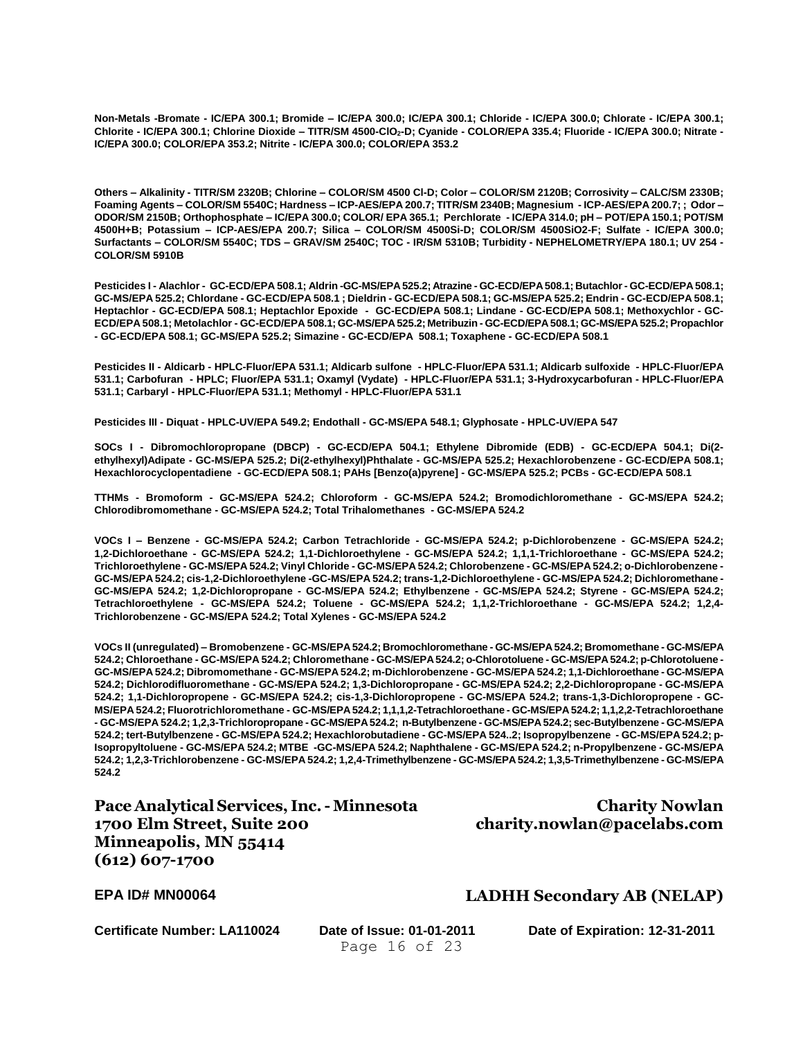**Non-Metals -Bromate - IC/EPA 300.1; Bromide – IC/EPA 300.0; IC/EPA 300.1; Chloride - IC/EPA 300.0; Chlorate - IC/EPA 300.1; Chlorite - IC/EPA 300.1; Chlorine Dioxide – TITR/SM 4500-ClO2-D; Cyanide - COLOR/EPA 335.4; Fluoride - IC/EPA 300.0; Nitrate - IC/EPA 300.0; COLOR/EPA 353.2; Nitrite - IC/EPA 300.0; COLOR/EPA 353.2**

**Others – Alkalinity - TITR/SM 2320B; Chlorine – COLOR/SM 4500 Cl-D; Color – COLOR/SM 2120B; Corrosivity – CALC/SM 2330B; Foaming Agents – COLOR/SM 5540C; Hardness – ICP-AES/EPA 200.7; TITR/SM 2340B; Magnesium - ICP-AES/EPA 200.7; ; Odor – ODOR/SM 2150B; Orthophosphate – IC/EPA 300.0; COLOR/ EPA 365.1; Perchlorate - IC/EPA 314.0; pH – POT/EPA 150.1; POT/SM 4500H+B; Potassium – ICP-AES/EPA 200.7; Silica – COLOR/SM 4500Si-D; COLOR/SM 4500SiO2-F; Sulfate - IC/EPA 300.0; Surfactants – COLOR/SM 5540C; TDS – GRAV/SM 2540C; TOC - IR/SM 5310B; Turbidity - NEPHELOMETRY/EPA 180.1; UV 254 - COLOR/SM 5910B**

**Pesticides I - Alachlor - GC-ECD/EPA 508.1; Aldrin -GC-MS/EPA 525.2; Atrazine - GC-ECD/EPA 508.1; Butachlor - GC-ECD/EPA 508.1; GC-MS/EPA 525.2; Chlordane - GC-ECD/EPA 508.1 ; Dieldrin - GC-ECD/EPA 508.1; GC-MS/EPA 525.2; Endrin - GC-ECD/EPA 508.1; Heptachlor - GC-ECD/EPA 508.1; Heptachlor Epoxide - GC-ECD/EPA 508.1; Lindane - GC-ECD/EPA 508.1; Methoxychlor - GC-ECD/EPA 508.1; Metolachlor - GC-ECD/EPA 508.1; GC-MS/EPA 525.2; Metribuzin - GC-ECD/EPA508.1; GC-MS/EPA 525.2; Propachlor - GC-ECD/EPA 508.1; GC-MS/EPA 525.2; Simazine - GC-ECD/EPA 508.1; Toxaphene - GC-ECD/EPA 508.1**

**Pesticides II - Aldicarb - HPLC-Fluor/EPA 531.1; Aldicarb sulfone - HPLC-Fluor/EPA 531.1; Aldicarb sulfoxide - HPLC-Fluor/EPA 531.1; Carbofuran - HPLC; Fluor/EPA 531.1; Oxamyl (Vydate) - HPLC-Fluor/EPA 531.1; 3-Hydroxycarbofuran - HPLC-Fluor/EPA 531.1; Carbaryl - HPLC-Fluor/EPA 531.1; Methomyl - HPLC-Fluor/EPA 531.1**

**Pesticides III - Diquat - HPLC-UV/EPA 549.2; Endothall - GC-MS/EPA 548.1; Glyphosate - HPLC-UV/EPA 547**

**SOCs I - Dibromochloropropane (DBCP) - GC-ECD/EPA 504.1; Ethylene Dibromide (EDB) - GC-ECD/EPA 504.1; Di(2 ethylhexyl)Adipate - GC-MS/EPA 525.2; Di(2-ethylhexyl)Phthalate - GC-MS/EPA 525.2; Hexachlorobenzene - GC-ECD/EPA 508.1; Hexachlorocyclopentadiene - GC-ECD/EPA 508.1; PAHs [Benzo(a)pyrene] - GC-MS/EPA 525.2; PCBs - GC-ECD/EPA 508.1**

**TTHMs - Bromoform - GC-MS/EPA 524.2; Chloroform - GC-MS/EPA 524.2; Bromodichloromethane - GC-MS/EPA 524.2; Chlorodibromomethane - GC-MS/EPA 524.2; Total Trihalomethanes - GC-MS/EPA 524.2**

**VOCs I – Benzene - GC-MS/EPA 524.2; Carbon Tetrachloride - GC-MS/EPA 524.2; p-Dichlorobenzene - GC-MS/EPA 524.2; 1,2-Dichloroethane - GC-MS/EPA 524.2; 1,1-Dichloroethylene - GC-MS/EPA 524.2; 1,1,1-Trichloroethane - GC-MS/EPA 524.2; Trichloroethylene - GC-MS/EPA 524.2; Vinyl Chloride - GC-MS/EPA 524.2; Chlorobenzene - GC-MS/EPA 524.2; o-Dichlorobenzene - GC-MS/EPA 524.2; cis-1,2-Dichloroethylene -GC-MS/EPA 524.2; trans-1,2-Dichloroethylene - GC-MS/EPA 524.2; Dichloromethane - GC-MS/EPA 524.2; 1,2-Dichloropropane - GC-MS/EPA 524.2; Ethylbenzene - GC-MS/EPA 524.2; Styrene - GC-MS/EPA 524.2; Tetrachloroethylene - GC-MS/EPA 524.2; Toluene - GC-MS/EPA 524.2; 1,1,2-Trichloroethane - GC-MS/EPA 524.2; 1,2,4- Trichlorobenzene - GC-MS/EPA 524.2; Total Xylenes - GC-MS/EPA 524.2**

**VOCs II (unregulated) – Bromobenzene - GC-MS/EPA 524.2; Bromochloromethane - GC-MS/EPA 524.2; Bromomethane - GC-MS/EPA 524.2; Chloroethane - GC-MS/EPA 524.2; Chloromethane - GC-MS/EPA 524.2; o-Chlorotoluene - GC-MS/EPA 524.2; p-Chlorotoluene - GC-MS/EPA 524.2; Dibromomethane - GC-MS/EPA 524.2; m-Dichlorobenzene - GC-MS/EPA 524.2; 1,1-Dichloroethane - GC-MS/EPA 524.2; Dichlorodifluoromethane - GC-MS/EPA 524.2; 1,3-Dichloropropane - GC-MS/EPA 524.2; 2,2-Dichloropropane - GC-MS/EPA 524.2; 1,1-Dichloropropene - GC-MS/EPA 524.2; cis-1,3-Dichloropropene - GC-MS/EPA 524.2; trans-1,3-Dichloropropene - GC-MS/EPA 524.2; Fluorotrichloromethane - GC-MS/EPA 524.2; 1,1,1,2-Tetrachloroethane - GC-MS/EPA 524.2; 1,1,2,2-Tetrachloroethane - GC-MS/EPA 524.2; 1,2,3-Trichloropropane - GC-MS/EPA 524.2; n-Butylbenzene - GC-MS/EPA 524.2; sec-Butylbenzene - GC-MS/EPA 524.2; tert-Butylbenzene - GC-MS/EPA 524.2; Hexachlorobutadiene - GC-MS/EPA 524..2; Isopropylbenzene - GC-MS/EPA 524.2; p-Isopropyltoluene - GC-MS/EPA 524.2; MTBE -GC-MS/EPA 524.2; Naphthalene - GC-MS/EPA 524.2; n-Propylbenzene - GC-MS/EPA 524.2; 1,2,3-Trichlorobenzene - GC-MS/EPA 524.2; 1,2,4-Trimethylbenzene - GC-MS/EPA 524.2; 1,3,5-Trimethylbenzene - GC-MS/EPA 524.2**

**Pace Analytical Services, Inc.- Minnesota 1700 Elm Street, Suite 200 Minneapolis, MN 55414 (612) 607-1700**

**Charity Nowlan charity.nowlan@pacelabs.com**

### **EPA ID# MN00064 LADHH Secondary AB (NELAP)**

Page 16 of 23

**Certificate Number: LA110024 Date of Issue: 01-01-2011 Date of Expiration: 12-31-2011**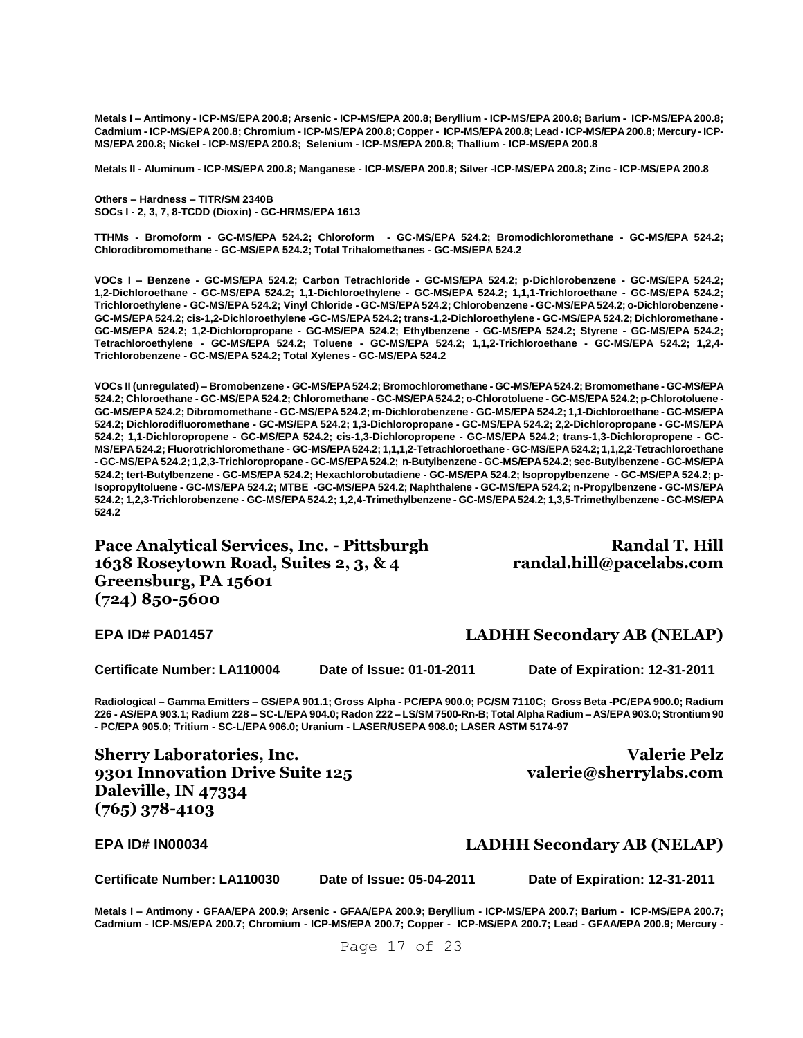**Metals I – Antimony - ICP-MS/EPA 200.8; Arsenic - ICP-MS/EPA 200.8; Beryllium - ICP-MS/EPA 200.8; Barium - ICP-MS/EPA 200.8; Cadmium - ICP-MS/EPA 200.8; Chromium - ICP-MS/EPA 200.8; Copper - ICP-MS/EPA 200.8; Lead - ICP-MS/EPA 200.8; Mercury - ICP-MS/EPA 200.8; Nickel - ICP-MS/EPA 200.8; Selenium - ICP-MS/EPA 200.8; Thallium - ICP-MS/EPA 200.8**

**Metals II - Aluminum - ICP-MS/EPA 200.8; Manganese - ICP-MS/EPA 200.8; Silver -ICP-MS/EPA 200.8; Zinc - ICP-MS/EPA 200.8**

**Others – Hardness – TITR/SM 2340B SOCs I - 2, 3, 7, 8-TCDD (Dioxin) - GC-HRMS/EPA 1613**

**TTHMs - Bromoform - GC-MS/EPA 524.2; Chloroform - GC-MS/EPA 524.2; Bromodichloromethane - GC-MS/EPA 524.2; Chlorodibromomethane - GC-MS/EPA 524.2; Total Trihalomethanes - GC-MS/EPA 524.2**

**VOCs I – Benzene - GC-MS/EPA 524.2; Carbon Tetrachloride - GC-MS/EPA 524.2; p-Dichlorobenzene - GC-MS/EPA 524.2; 1,2-Dichloroethane - GC-MS/EPA 524.2; 1,1-Dichloroethylene - GC-MS/EPA 524.2; 1,1,1-Trichloroethane - GC-MS/EPA 524.2; Trichloroethylene - GC-MS/EPA 524.2; Vinyl Chloride - GC-MS/EPA 524.2; Chlorobenzene - GC-MS/EPA 524.2; o-Dichlorobenzene - GC-MS/EPA 524.2; cis-1,2-Dichloroethylene -GC-MS/EPA 524.2; trans-1,2-Dichloroethylene - GC-MS/EPA 524.2; Dichloromethane - GC-MS/EPA 524.2; 1,2-Dichloropropane - GC-MS/EPA 524.2; Ethylbenzene - GC-MS/EPA 524.2; Styrene - GC-MS/EPA 524.2; Tetrachloroethylene - GC-MS/EPA 524.2; Toluene - GC-MS/EPA 524.2; 1,1,2-Trichloroethane - GC-MS/EPA 524.2; 1,2,4- Trichlorobenzene - GC-MS/EPA 524.2; Total Xylenes - GC-MS/EPA 524.2**

**VOCs II (unregulated) – Bromobenzene - GC-MS/EPA 524.2; Bromochloromethane - GC-MS/EPA 524.2; Bromomethane - GC-MS/EPA 524.2; Chloroethane - GC-MS/EPA 524.2; Chloromethane - GC-MS/EPA 524.2; o-Chlorotoluene - GC-MS/EPA 524.2; p-Chlorotoluene - GC-MS/EPA 524.2; Dibromomethane - GC-MS/EPA 524.2; m-Dichlorobenzene - GC-MS/EPA 524.2; 1,1-Dichloroethane - GC-MS/EPA 524.2; Dichlorodifluoromethane - GC-MS/EPA 524.2; 1,3-Dichloropropane - GC-MS/EPA 524.2; 2,2-Dichloropropane - GC-MS/EPA 524.2; 1,1-Dichloropropene - GC-MS/EPA 524.2; cis-1,3-Dichloropropene - GC-MS/EPA 524.2; trans-1,3-Dichloropropene - GC-MS/EPA 524.2; Fluorotrichloromethane - GC-MS/EPA 524.2; 1,1,1,2-Tetrachloroethane - GC-MS/EPA 524.2; 1,1,2,2-Tetrachloroethane - GC-MS/EPA 524.2; 1,2,3-Trichloropropane - GC-MS/EPA 524.2; n-Butylbenzene - GC-MS/EPA 524.2; sec-Butylbenzene - GC-MS/EPA 524.2; tert-Butylbenzene - GC-MS/EPA 524.2; Hexachlorobutadiene - GC-MS/EPA 524.2; Isopropylbenzene - GC-MS/EPA 524.2; p-Isopropyltoluene - GC-MS/EPA 524.2; MTBE -GC-MS/EPA 524.2; Naphthalene - GC-MS/EPA 524.2; n-Propylbenzene - GC-MS/EPA 524.2; 1,2,3-Trichlorobenzene - GC-MS/EPA 524.2; 1,2,4-Trimethylbenzene - GC-MS/EPA 524.2; 1,3,5-Trimethylbenzene - GC-MS/EPA 524.2**

**Pace Analytical Services, Inc. - Pittsburgh 1638 Roseytown Road, Suites 2, 3, & 4 Greensburg, PA 15601 (724) 850-5600**

**Randal T. Hill randal.hill@pacelabs.com**

**Certificate Number: LA110004 Date of Issue: 01-01-2011 Date of Expiration: 12-31-2011**

**Valerie Pelz** 

**Radiological – Gamma Emitters – GS/EPA 901.1; Gross Alpha - PC/EPA 900.0; PC/SM 7110C; Gross Beta -PC/EPA 900.0; Radium 226 - AS/EPA 903.1; Radium 228 – SC-L/EPA 904.0; Radon 222 – LS/SM 7500-Rn-B; Total Alpha Radium – AS/EPA 903.0; Strontium 90 - PC/EPA 905.0; Tritium - SC-L/EPA 906.0; Uranium - LASER/USEPA 908.0; LASER ASTM 5174-97**

**Sherry Laboratories, Inc. 9301 Innovation Drive Suite 125 Daleville, IN 47334 (765) 378-4103**

**EPA ID# IN00034 LADHH Secondary AB (NELAP)**

**Certificate Number: LA110030 Date of Issue: 05-04-2011 Date of Expiration: 12-31-2011**

**valerie@sherrylabs.com**

**Metals I – Antimony - GFAA/EPA 200.9; Arsenic - GFAA/EPA 200.9; Beryllium - ICP-MS/EPA 200.7; Barium - ICP-MS/EPA 200.7; Cadmium - ICP-MS/EPA 200.7; Chromium - ICP-MS/EPA 200.7; Copper - ICP-MS/EPA 200.7; Lead - GFAA/EPA 200.9; Mercury -**

# **EPA ID# PA01457 LADHH Secondary AB (NELAP)**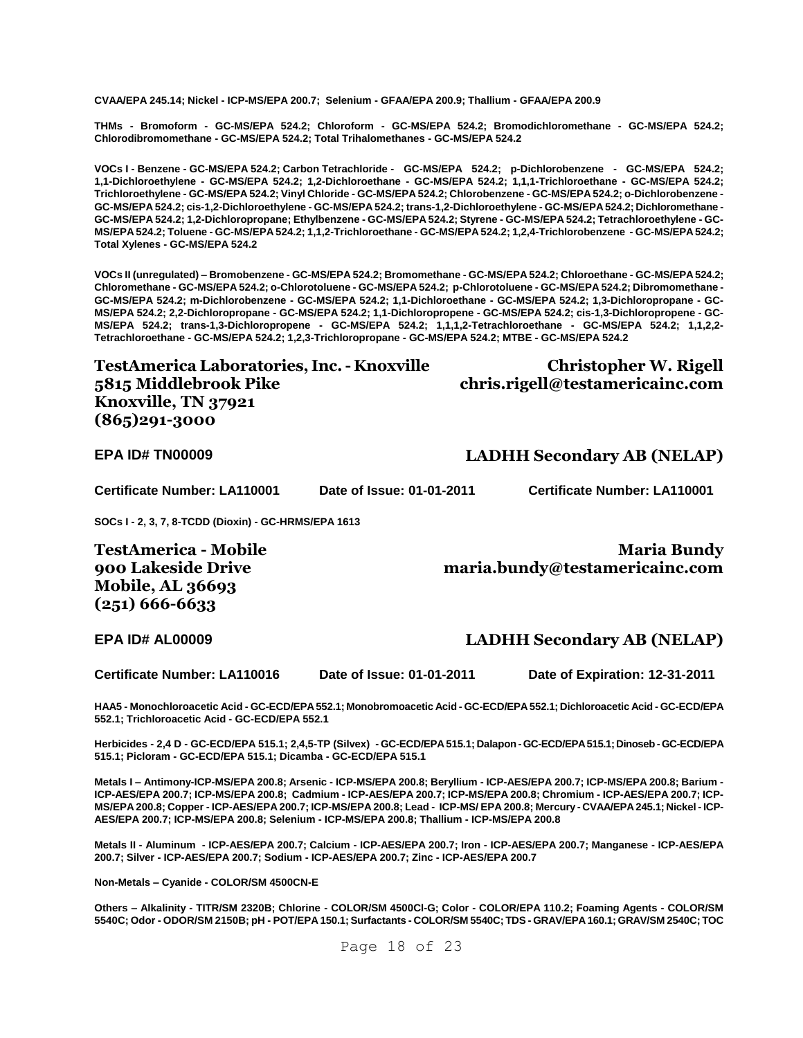**CVAA/EPA 245.14; Nickel - ICP-MS/EPA 200.7; Selenium - GFAA/EPA 200.9; Thallium - GFAA/EPA 200.9**

**THMs - Bromoform - GC-MS/EPA 524.2; Chloroform - GC-MS/EPA 524.2; Bromodichloromethane - GC-MS/EPA 524.2; Chlorodibromomethane - GC-MS/EPA 524.2; Total Trihalomethanes - GC-MS/EPA 524.2**

**VOCs I - Benzene - GC-MS/EPA 524.2; Carbon Tetrachloride - GC-MS/EPA 524.2; p-Dichlorobenzene - GC-MS/EPA 524.2; 1,1-Dichloroethylene - GC-MS/EPA 524.2; 1,2-Dichloroethane - GC-MS/EPA 524.2; 1,1,1-Trichloroethane - GC-MS/EPA 524.2; Trichloroethylene - GC-MS/EPA 524.2; Vinyl Chloride - GC-MS/EPA 524.2; Chlorobenzene - GC-MS/EPA 524.2; o-Dichlorobenzene - GC-MS/EPA 524.2; cis-1,2-Dichloroethylene - GC-MS/EPA 524.2; trans-1,2-Dichloroethylene - GC-MS/EPA 524.2; Dichloromethane - GC-MS/EPA 524.2; 1,2-Dichloropropane; Ethylbenzene - GC-MS/EPA 524.2; Styrene - GC-MS/EPA 524.2; Tetrachloroethylene - GC-MS/EPA 524.2; Toluene - GC-MS/EPA 524.2; 1,1,2-Trichloroethane - GC-MS/EPA 524.2; 1,2,4-Trichlorobenzene - GC-MS/EPA 524.2; Total Xylenes - GC-MS/EPA 524.2**

**VOCs II (unregulated) – Bromobenzene - GC-MS/EPA 524.2; Bromomethane - GC-MS/EPA 524.2; Chloroethane - GC-MS/EPA 524.2; Chloromethane - GC-MS/EPA 524.2; o-Chlorotoluene - GC-MS/EPA 524.2; p-Chlorotoluene - GC-MS/EPA 524.2; Dibromomethane - GC-MS/EPA 524.2; m-Dichlorobenzene - GC-MS/EPA 524.2; 1,1-Dichloroethane - GC-MS/EPA 524.2; 1,3-Dichloropropane - GC-MS/EPA 524.2; 2,2-Dichloropropane - GC-MS/EPA 524.2; 1,1-Dichloropropene - GC-MS/EPA 524.2; cis-1,3-Dichloropropene - GC-MS/EPA 524.2; trans-1,3-Dichloropropene - GC-MS/EPA 524.2; 1,1,1,2-Tetrachloroethane - GC-MS/EPA 524.2; 1,1,2,2- Tetrachloroethane - GC-MS/EPA 524.2; 1,2,3-Trichloropropane - GC-MS/EPA 524.2; MTBE - GC-MS/EPA 524.2**

**TestAmerica Laboratories, Inc. - Knoxville 5815 Middlebrook Pike Knoxville, TN 37921 (865)291-3000**

**Christopher W. Rigell chris.rigell@testamericainc.com**

**EPA ID# TN00009 LADHH Secondary AB (NELAP)**

**Certificate Number: LA110001 Date of Issue: 01-01-2011 Certificate Number: LA110001**

**SOCs I - 2, 3, 7, 8-TCDD (Dioxin) - GC-HRMS/EPA 1613**

**TestAmerica - Mobile 900 Lakeside Drive Mobile, AL 36693 (251) 666-6633**

**Maria Bundy** 

**maria.bundy@testamericainc.com**

#### **EPA ID# AL00009 LADHH Secondary AB (NELAP)**

**Certificate Number: LA110016 Date of Issue: 01-01-2011 Date of Expiration: 12-31-2011**

**HAA5 - Monochloroacetic Acid - GC-ECD/EPA 552.1; Monobromoacetic Acid - GC-ECD/EPA 552.1; Dichloroacetic Acid - GC-ECD/EPA 552.1; Trichloroacetic Acid - GC-ECD/EPA 552.1**

**Herbicides - 2,4 D - GC-ECD/EPA 515.1; 2,4,5-TP (Silvex) - GC-ECD/EPA 515.1; Dalapon -GC-ECD/EPA 515.1; Dinoseb -GC-ECD/EPA 515.1; Picloram - GC-ECD/EPA 515.1; Dicamba - GC-ECD/EPA 515.1**

**Metals I – Antimony-ICP-MS/EPA 200.8; Arsenic - ICP-MS/EPA 200.8; Beryllium - ICP-AES/EPA 200.7; ICP-MS/EPA 200.8; Barium - ICP-AES/EPA 200.7; ICP-MS/EPA 200.8; Cadmium - ICP-AES/EPA 200.7; ICP-MS/EPA 200.8; Chromium - ICP-AES/EPA 200.7; ICP-MS/EPA 200.8; Copper - ICP-AES/EPA 200.7; ICP-MS/EPA 200.8; Lead - ICP-MS/ EPA 200.8; Mercury - CVAA/EPA 245.1; Nickel - ICP-AES/EPA 200.7; ICP-MS/EPA 200.8; Selenium - ICP-MS/EPA 200.8; Thallium - ICP-MS/EPA 200.8**

**Metals II - Aluminum - ICP-AES/EPA 200.7; Calcium - ICP-AES/EPA 200.7; Iron - ICP-AES/EPA 200.7; Manganese - ICP-AES/EPA 200.7; Silver - ICP-AES/EPA 200.7; Sodium - ICP-AES/EPA 200.7; Zinc - ICP-AES/EPA 200.7**

**Non-Metals – Cyanide - COLOR/SM 4500CN-E**

**Others – Alkalinity - TITR/SM 2320B; Chlorine - COLOR/SM 4500Cl-G; Color - COLOR/EPA 110.2; Foaming Agents - COLOR/SM 5540C; Odor - ODOR/SM 2150B; pH - POT/EPA 150.1; Surfactants - COLOR/SM 5540C; TDS - GRAV/EPA 160.1; GRAV/SM 2540C; TOC**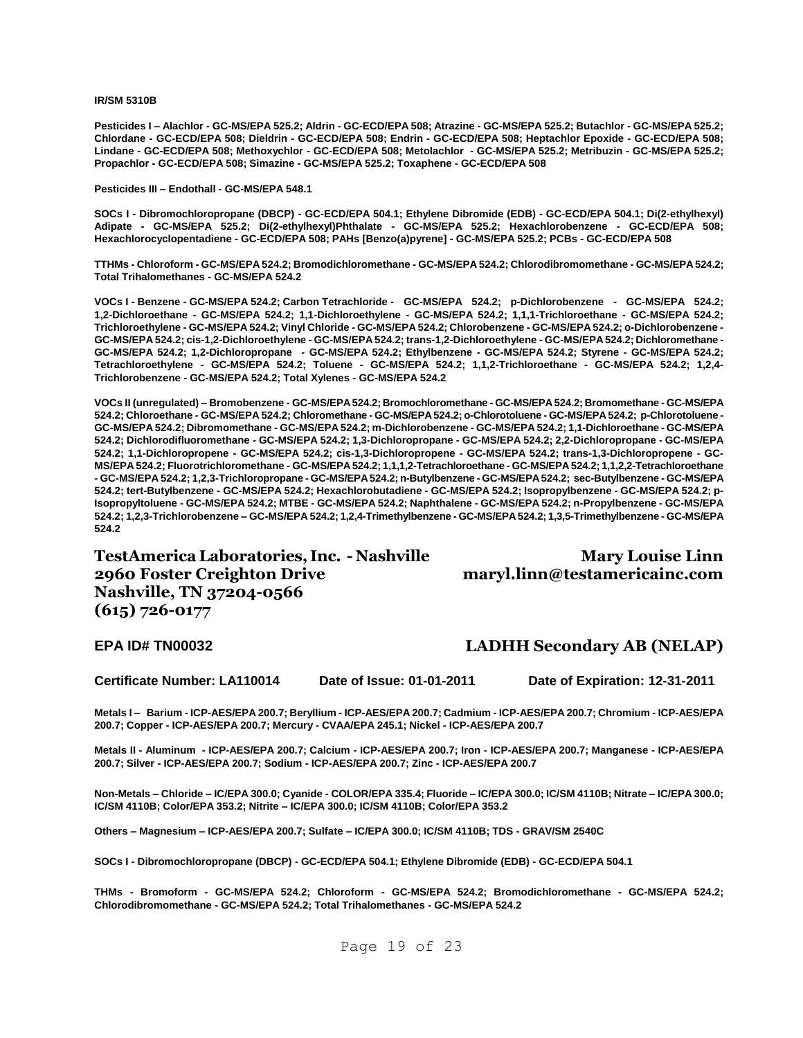**IR/SM 5310B**

**Pesticides I – Alachlor - GC-MS/EPA 525.2; Aldrin - GC-ECD/EPA 508; Atrazine - GC-MS/EPA 525.2; Butachlor - GC-MS/EPA 525.2; Chlordane - GC-ECD/EPA 508; Dieldrin - GC-ECD/EPA 508; Endrin - GC-ECD/EPA 508; Heptachlor Epoxide - GC-ECD/EPA 508; Lindane - GC-ECD/EPA 508; Methoxychlor - GC-ECD/EPA 508; Metolachlor - GC-MS/EPA 525.2; Metribuzin - GC-MS/EPA 525.2; Propachlor - GC-ECD/EPA 508; Simazine - GC-MS/EPA 525.2; Toxaphene - GC-ECD/EPA 508**

**Pesticides III – Endothall - GC-MS/EPA 548.1**

**SOCs I - Dibromochloropropane (DBCP) - GC-ECD/EPA 504.1; Ethylene Dibromide (EDB) - GC-ECD/EPA 504.1; Di(2-ethylhexyl) Adipate - GC-MS/EPA 525.2; Di(2-ethylhexyl)Phthalate - GC-MS/EPA 525.2; Hexachlorobenzene - GC-ECD/EPA 508; Hexachlorocyclopentadiene - GC-ECD/EPA 508; PAHs [Benzo(a)pyrene] - GC-MS/EPA 525.2; PCBs - GC-ECD/EPA 508**

**TTHMs - Chloroform - GC-MS/EPA 524.2; Bromodichloromethane - GC-MS/EPA 524.2; Chlorodibromomethane - GC-MS/EPA 524.2; Total Trihalomethanes - GC-MS/EPA 524.2**

**VOCs I - Benzene - GC-MS/EPA 524.2; Carbon Tetrachloride - GC-MS/EPA 524.2; p-Dichlorobenzene - GC-MS/EPA 524.2; 1,2-Dichloroethane - GC-MS/EPA 524.2; 1,1-Dichloroethylene - GC-MS/EPA 524.2; 1,1,1-Trichloroethane - GC-MS/EPA 524.2; Trichloroethylene - GC-MS/EPA 524.2; Vinyl Chloride - GC-MS/EPA 524.2; Chlorobenzene - GC-MS/EPA 524.2; o-Dichlorobenzene - GC-MS/EPA 524.2; cis-1,2-Dichloroethylene - GC-MS/EPA 524.2; trans-1,2-Dichloroethylene - GC-MS/EPA 524.2; Dichloromethane - GC-MS/EPA 524.2; 1,2-Dichloropropane - GC-MS/EPA 524.2; Ethylbenzene - GC-MS/EPA 524.2; Styrene - GC-MS/EPA 524.2; Tetrachloroethylene - GC-MS/EPA 524.2; Toluene - GC-MS/EPA 524.2; 1,1,2-Trichloroethane - GC-MS/EPA 524.2; 1,2,4- Trichlorobenzene - GC-MS/EPA 524.2; Total Xylenes - GC-MS/EPA 524.2**

**VOCs II (unregulated) – Bromobenzene - GC-MS/EPA 524.2; Bromochloromethane - GC-MS/EPA 524.2; Bromomethane - GC-MS/EPA 524.2; Chloroethane - GC-MS/EPA 524.2; Chloromethane - GC-MS/EPA 524.2; o-Chlorotoluene - GC-MS/EPA 524.2; p-Chlorotoluene - GC-MS/EPA 524.2; Dibromomethane - GC-MS/EPA 524.2; m-Dichlorobenzene - GC-MS/EPA 524.2; 1,1-Dichloroethane - GC-MS/EPA 524.2; Dichlorodifluoromethane - GC-MS/EPA 524.2; 1,3-Dichloropropane - GC-MS/EPA 524.2; 2,2-Dichloropropane - GC-MS/EPA 524.2; 1,1-Dichloropropene - GC-MS/EPA 524.2; cis-1,3-Dichloropropene - GC-MS/EPA 524.2; trans-1,3-Dichloropropene - GC-MS/EPA 524.2; Fluorotrichloromethane - GC-MS/EPA 524.2; 1,1,1,2-Tetrachloroethane - GC-MS/EPA 524.2; 1,1,2,2-Tetrachloroethane - GC-MS/EPA 524.2; 1,2,3-Trichloropropane - GC-MS/EPA 524.2; n-Butylbenzene - GC-MS/EPA 524.2; sec-Butylbenzene - GC-MS/EPA 524.2; tert-Butylbenzene - GC-MS/EPA 524.2; Hexachlorobutadiene - GC-MS/EPA 524.2; Isopropylbenzene - GC-MS/EPA 524.2; p-Isopropyltoluene - GC-MS/EPA 524.2; MTBE - GC-MS/EPA 524.2; Naphthalene - GC-MS/EPA 524.2; n-Propylbenzene - GC-MS/EPA 524.2; 1,2,3-Trichlorobenzene – GC-MS/EPA 524.2; 1,2,4-Trimethylbenzene - GC-MS/EPA 524.2; 1,3,5-Trimethylbenzene - GC-MS/EPA 524.2**

**TestAmerica Laboratories, Inc. - Nashville 2960 Foster Creighton Drive Nashville, TN 37204-0566 (615) 726-0177**

### **Mary Louise Linn maryl.linn@testamericainc.com**

#### **EPA ID# TN00032 LADHH Secondary AB (NELAP)**

**Certificate Number: LA110014 Date of Issue: 01-01-2011 Date of Expiration: 12-31-2011**

**Metals I – Barium - ICP-AES/EPA 200.7; Beryllium - ICP-AES/EPA 200.7; Cadmium - ICP-AES/EPA 200.7; Chromium - ICP-AES/EPA 200.7; Copper - ICP-AES/EPA 200.7; Mercury - CVAA/EPA 245.1; Nickel - ICP-AES/EPA 200.7**

**Metals II - Aluminum - ICP-AES/EPA 200.7; Calcium - ICP-AES/EPA 200.7; Iron - ICP-AES/EPA 200.7; Manganese - ICP-AES/EPA 200.7; Silver - ICP-AES/EPA 200.7; Sodium - ICP-AES/EPA 200.7; Zinc - ICP-AES/EPA 200.7**

**Non-Metals – Chloride – IC/EPA 300.0; Cyanide - COLOR/EPA 335.4; Fluoride – IC/EPA 300.0; IC/SM 4110B; Nitrate – IC/EPA 300.0; IC/SM 4110B; Color/EPA 353.2; Nitrite – IC/EPA 300.0; IC/SM 4110B; Color/EPA 353.2**

**Others – Magnesium – ICP-AES/EPA 200.7; Sulfate – IC/EPA 300.0; IC/SM 4110B; TDS - GRAV/SM 2540C** 

**SOCs I - Dibromochloropropane (DBCP) - GC-ECD/EPA 504.1; Ethylene Dibromide (EDB) - GC-ECD/EPA 504.1**

**THMs - Bromoform - GC-MS/EPA 524.2; Chloroform - GC-MS/EPA 524.2; Bromodichloromethane - GC-MS/EPA 524.2; Chlorodibromomethane - GC-MS/EPA 524.2; Total Trihalomethanes - GC-MS/EPA 524.2**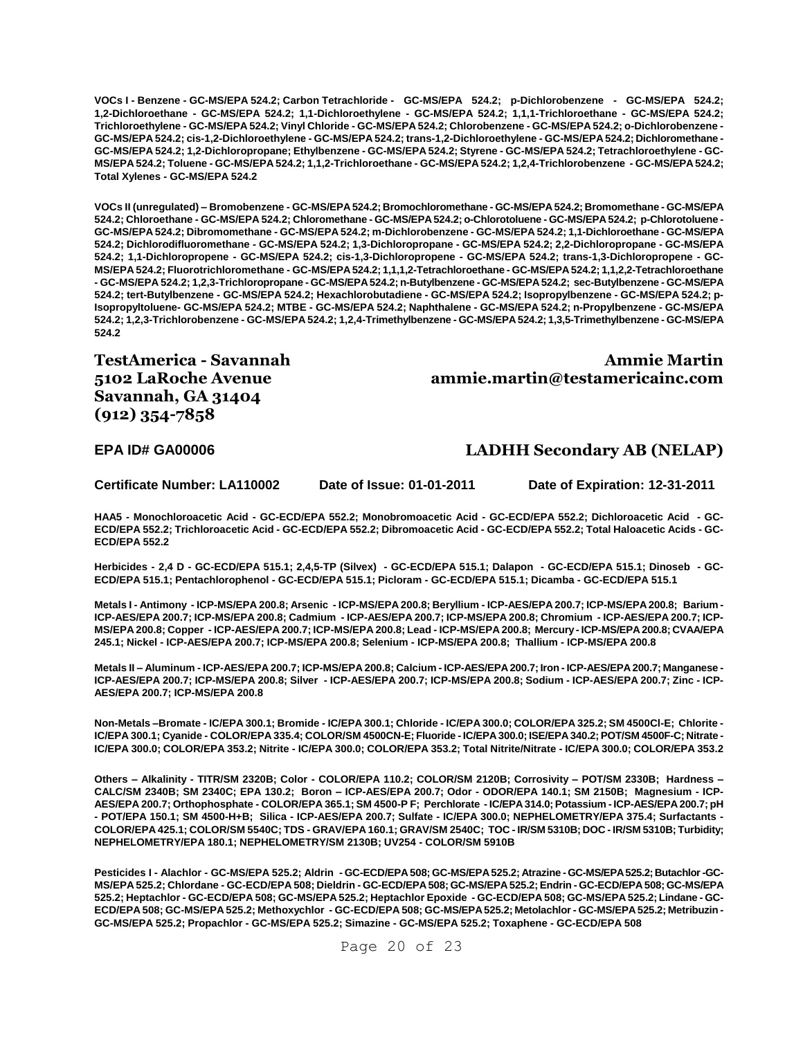**VOCs I - Benzene - GC-MS/EPA 524.2; Carbon Tetrachloride - GC-MS/EPA 524.2; p-Dichlorobenzene - GC-MS/EPA 524.2; 1,2-Dichloroethane - GC-MS/EPA 524.2; 1,1-Dichloroethylene - GC-MS/EPA 524.2; 1,1,1-Trichloroethane - GC-MS/EPA 524.2; Trichloroethylene - GC-MS/EPA 524.2; Vinyl Chloride - GC-MS/EPA 524.2; Chlorobenzene - GC-MS/EPA 524.2; o-Dichlorobenzene - GC-MS/EPA 524.2; cis-1,2-Dichloroethylene - GC-MS/EPA 524.2; trans-1,2-Dichloroethylene - GC-MS/EPA 524.2; Dichloromethane - GC-MS/EPA 524.2; 1,2-Dichloropropane; Ethylbenzene - GC-MS/EPA 524.2; Styrene - GC-MS/EPA 524.2; Tetrachloroethylene - GC-MS/EPA 524.2; Toluene - GC-MS/EPA 524.2; 1,1,2-Trichloroethane - GC-MS/EPA 524.2; 1,2,4-Trichlorobenzene - GC-MS/EPA 524.2; Total Xylenes - GC-MS/EPA 524.2**

**VOCs II (unregulated) – Bromobenzene - GC-MS/EPA 524.2; Bromochloromethane - GC-MS/EPA 524.2; Bromomethane - GC-MS/EPA 524.2; Chloroethane - GC-MS/EPA 524.2; Chloromethane - GC-MS/EPA 524.2; o-Chlorotoluene - GC-MS/EPA 524.2; p-Chlorotoluene - GC-MS/EPA 524.2; Dibromomethane - GC-MS/EPA 524.2; m-Dichlorobenzene - GC-MS/EPA 524.2; 1,1-Dichloroethane - GC-MS/EPA 524.2; Dichlorodifluoromethane - GC-MS/EPA 524.2; 1,3-Dichloropropane - GC-MS/EPA 524.2; 2,2-Dichloropropane - GC-MS/EPA 524.2; 1,1-Dichloropropene - GC-MS/EPA 524.2; cis-1,3-Dichloropropene - GC-MS/EPA 524.2; trans-1,3-Dichloropropene - GC-MS/EPA 524.2; Fluorotrichloromethane - GC-MS/EPA 524.2; 1,1,1,2-Tetrachloroethane - GC-MS/EPA 524.2; 1,1,2,2-Tetrachloroethane - GC-MS/EPA 524.2; 1,2,3-Trichloropropane - GC-MS/EPA 524.2; n-Butylbenzene - GC-MS/EPA 524.2; sec-Butylbenzene - GC-MS/EPA 524.2; tert-Butylbenzene - GC-MS/EPA 524.2; Hexachlorobutadiene - GC-MS/EPA 524.2; Isopropylbenzene - GC-MS/EPA 524.2; p-Isopropyltoluene- GC-MS/EPA 524.2; MTBE - GC-MS/EPA 524.2; Naphthalene - GC-MS/EPA 524.2; n-Propylbenzene - GC-MS/EPA 524.2; 1,2,3-Trichlorobenzene - GC-MS/EPA 524.2; 1,2,4-Trimethylbenzene - GC-MS/EPA 524.2; 1,3,5-Trimethylbenzene - GC-MS/EPA 524.2**

**TestAmerica - Savannah 5102 LaRoche Avenue Savannah, GA 31404 (912) 354-7858**

**Ammie Martin ammie.martin@testamericainc.com**

#### **EPA ID# GA00006 LADHH Secondary AB (NELAP)**

**Certificate Number: LA110002 Date of Issue: 01-01-2011 Date of Expiration: 12-31-2011**

**HAA5 - Monochloroacetic Acid - GC-ECD/EPA 552.2; Monobromoacetic Acid - GC-ECD/EPA 552.2; Dichloroacetic Acid - GC-ECD/EPA 552.2; Trichloroacetic Acid - GC-ECD/EPA 552.2; Dibromoacetic Acid - GC-ECD/EPA 552.2; Total Haloacetic Acids - GC-ECD/EPA 552.2**

**Herbicides - 2,4 D - GC-ECD/EPA 515.1; 2,4,5-TP (Silvex) - GC-ECD/EPA 515.1; Dalapon - GC-ECD/EPA 515.1; Dinoseb - GC-ECD/EPA 515.1; Pentachlorophenol - GC-ECD/EPA 515.1; Picloram - GC-ECD/EPA 515.1; Dicamba - GC-ECD/EPA 515.1**

**Metals I - Antimony - ICP-MS/EPA 200.8; Arsenic - ICP-MS/EPA 200.8; Beryllium - ICP-AES/EPA 200.7; ICP-MS/EPA 200.8; Barium - ICP-AES/EPA 200.7; ICP-MS/EPA 200.8; Cadmium - ICP-AES/EPA 200.7; ICP-MS/EPA 200.8; Chromium - ICP-AES/EPA 200.7; ICP-MS/EPA 200.8; Copper - ICP-AES/EPA 200.7; ICP-MS/EPA 200.8; Lead - ICP-MS/EPA 200.8; Mercury - ICP-MS/EPA 200.8; CVAA/EPA 245.1; Nickel - ICP-AES/EPA 200.7; ICP-MS/EPA 200.8; Selenium - ICP-MS/EPA 200.8; Thallium - ICP-MS/EPA 200.8**

**Metals II – Aluminum - ICP-AES/EPA 200.7; ICP-MS/EPA 200.8; Calcium - ICP-AES/EPA 200.7; Iron - ICP-AES/EPA 200.7; Manganese - ICP-AES/EPA 200.7; ICP-MS/EPA 200.8; Silver - ICP-AES/EPA 200.7; ICP-MS/EPA 200.8; Sodium - ICP-AES/EPA 200.7; Zinc - ICP-AES/EPA 200.7; ICP-MS/EPA 200.8**

**Non-Metals –Bromate - IC/EPA 300.1; Bromide - IC/EPA 300.1; Chloride - IC/EPA 300.0; COLOR/EPA 325.2; SM 4500Cl-E; Chlorite - IC/EPA 300.1; Cyanide - COLOR/EPA 335.4; COLOR/SM 4500CN-E; Fluoride - IC/EPA 300.0; ISE/EPA 340.2; POT/SM 4500F-C; Nitrate - IC/EPA 300.0; COLOR/EPA 353.2; Nitrite - IC/EPA 300.0; COLOR/EPA 353.2; Total Nitrite/Nitrate - IC/EPA 300.0; COLOR/EPA 353.2**

**Others – Alkalinity - TITR/SM 2320B; Color - COLOR/EPA 110.2; COLOR/SM 2120B; Corrosivity – POT/SM 2330B; Hardness – CALC/SM 2340B; SM 2340C; EPA 130.2; Boron – ICP-AES/EPA 200.7; Odor - ODOR/EPA 140.1; SM 2150B; Magnesium - ICP-AES/EPA 200.7; Orthophosphate - COLOR/EPA 365.1; SM 4500-P F; Perchlorate - IC/EPA 314.0; Potassium - ICP-AES/EPA 200.7; pH - POT/EPA 150.1; SM 4500-H+B; Silica - ICP-AES/EPA 200.7; Sulfate - IC/EPA 300.0; NEPHELOMETRY/EPA 375.4; Surfactants - COLOR/EPA 425.1; COLOR/SM 5540C; TDS - GRAV/EPA 160.1; GRAV/SM 2540C; TOC - IR/SM 5310B; DOC - IR/SM 5310B; Turbidity; NEPHELOMETRY/EPA 180.1; NEPHELOMETRY/SM 2130B; UV254 - COLOR/SM 5910B**

**Pesticides I - Alachlor - GC-MS/EPA 525.2; Aldrin - GC-ECD/EPA 508; GC-MS/EPA 525.2; Atrazine -GC-MS/EPA 525.2; Butachlor -GC-MS/EPA 525.2; Chlordane - GC-ECD/EPA 508; Dieldrin - GC-ECD/EPA 508; GC-MS/EPA 525.2; Endrin - GC-ECD/EPA 508; GC-MS/EPA 525.2; Heptachlor - GC-ECD/EPA 508; GC-MS/EPA 525.2; Heptachlor Epoxide - GC-ECD/EPA 508; GC-MS/EPA 525.2; Lindane - GC-ECD/EPA 508; GC-MS/EPA 525.2; Methoxychlor - GC-ECD/EPA 508; GC-MS/EPA 525.2; Metolachlor - GC-MS/EPA 525.2; Metribuzin - GC-MS/EPA 525.2; Propachlor - GC-MS/EPA 525.2; Simazine - GC-MS/EPA 525.2; Toxaphene - GC-ECD/EPA 508**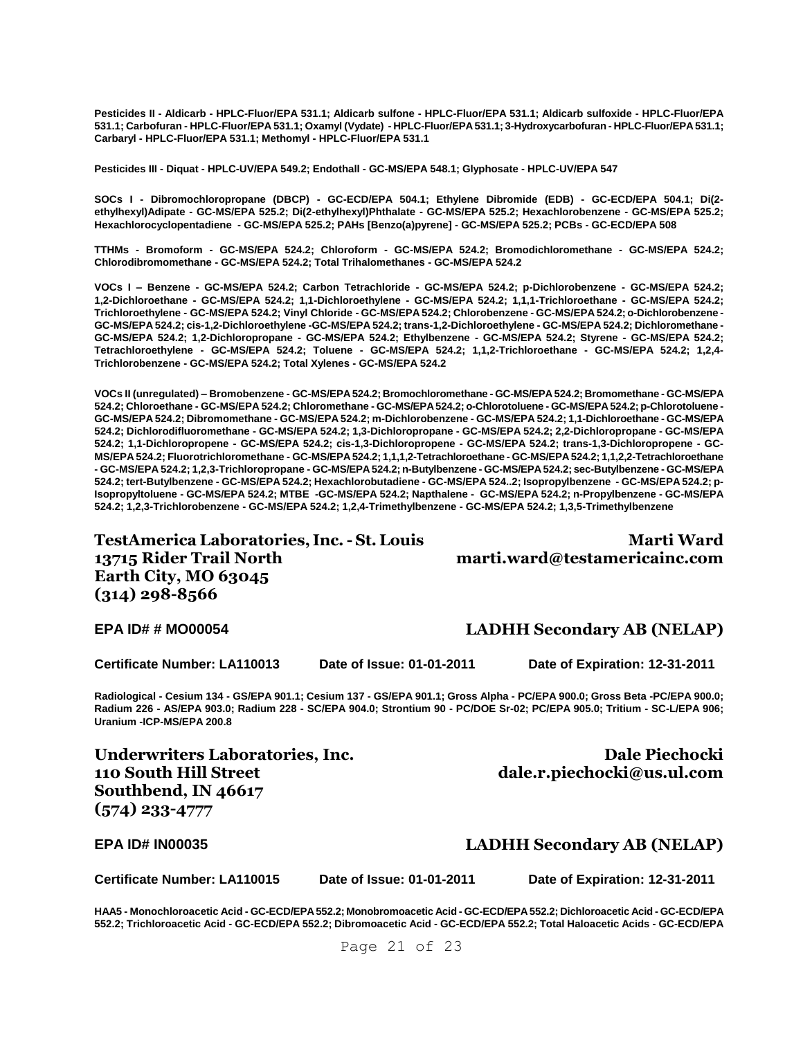**Pesticides II - Aldicarb - HPLC-Fluor/EPA 531.1; Aldicarb sulfone - HPLC-Fluor/EPA 531.1; Aldicarb sulfoxide - HPLC-Fluor/EPA 531.1; Carbofuran - HPLC-Fluor/EPA 531.1; Oxamyl (Vydate) - HPLC-Fluor/EPA 531.1; 3-Hydroxycarbofuran - HPLC-Fluor/EPA 531.1; Carbaryl - HPLC-Fluor/EPA 531.1; Methomyl - HPLC-Fluor/EPA 531.1**

**Pesticides III - Diquat - HPLC-UV/EPA 549.2; Endothall - GC-MS/EPA 548.1; Glyphosate - HPLC-UV/EPA 547**

**SOCs I - Dibromochloropropane (DBCP) - GC-ECD/EPA 504.1; Ethylene Dibromide (EDB) - GC-ECD/EPA 504.1; Di(2 ethylhexyl)Adipate - GC-MS/EPA 525.2; Di(2-ethylhexyl)Phthalate - GC-MS/EPA 525.2; Hexachlorobenzene - GC-MS/EPA 525.2; Hexachlorocyclopentadiene - GC-MS/EPA 525.2; PAHs [Benzo(a)pyrene] - GC-MS/EPA 525.2; PCBs - GC-ECD/EPA 508**

**TTHMs - Bromoform - GC-MS/EPA 524.2; Chloroform - GC-MS/EPA 524.2; Bromodichloromethane - GC-MS/EPA 524.2; Chlorodibromomethane - GC-MS/EPA 524.2; Total Trihalomethanes - GC-MS/EPA 524.2**

**VOCs I – Benzene - GC-MS/EPA 524.2; Carbon Tetrachloride - GC-MS/EPA 524.2; p-Dichlorobenzene - GC-MS/EPA 524.2; 1,2-Dichloroethane - GC-MS/EPA 524.2; 1,1-Dichloroethylene - GC-MS/EPA 524.2; 1,1,1-Trichloroethane - GC-MS/EPA 524.2; Trichloroethylene - GC-MS/EPA 524.2; Vinyl Chloride - GC-MS/EPA 524.2; Chlorobenzene - GC-MS/EPA 524.2; o-Dichlorobenzene - GC-MS/EPA 524.2; cis-1,2-Dichloroethylene -GC-MS/EPA 524.2; trans-1,2-Dichloroethylene - GC-MS/EPA 524.2; Dichloromethane - GC-MS/EPA 524.2; 1,2-Dichloropropane - GC-MS/EPA 524.2; Ethylbenzene - GC-MS/EPA 524.2; Styrene - GC-MS/EPA 524.2; Tetrachloroethylene - GC-MS/EPA 524.2; Toluene - GC-MS/EPA 524.2; 1,1,2-Trichloroethane - GC-MS/EPA 524.2; 1,2,4- Trichlorobenzene - GC-MS/EPA 524.2; Total Xylenes - GC-MS/EPA 524.2**

**VOCs II (unregulated) – Bromobenzene - GC-MS/EPA 524.2; Bromochloromethane - GC-MS/EPA 524.2; Bromomethane - GC-MS/EPA 524.2; Chloroethane - GC-MS/EPA 524.2; Chloromethane - GC-MS/EPA 524.2; o-Chlorotoluene - GC-MS/EPA 524.2; p-Chlorotoluene - GC-MS/EPA 524.2; Dibromomethane - GC-MS/EPA 524.2; m-Dichlorobenzene - GC-MS/EPA 524.2; 1,1-Dichloroethane - GC-MS/EPA 524.2; Dichlorodifluoromethane - GC-MS/EPA 524.2; 1,3-Dichloropropane - GC-MS/EPA 524.2; 2,2-Dichloropropane - GC-MS/EPA 524.2; 1,1-Dichloropropene - GC-MS/EPA 524.2; cis-1,3-Dichloropropene - GC-MS/EPA 524.2; trans-1,3-Dichloropropene - GC-MS/EPA 524.2; Fluorotrichloromethane - GC-MS/EPA 524.2; 1,1,1,2-Tetrachloroethane - GC-MS/EPA 524.2; 1,1,2,2-Tetrachloroethane - GC-MS/EPA 524.2; 1,2,3-Trichloropropane - GC-MS/EPA 524.2; n-Butylbenzene - GC-MS/EPA 524.2; sec-Butylbenzene - GC-MS/EPA 524.2; tert-Butylbenzene - GC-MS/EPA 524.2; Hexachlorobutadiene - GC-MS/EPA 524..2; Isopropylbenzene - GC-MS/EPA 524.2; p-Isopropyltoluene - GC-MS/EPA 524.2; MTBE -GC-MS/EPA 524.2; Napthalene - GC-MS/EPA 524.2; n-Propylbenzene - GC-MS/EPA 524.2; 1,2,3-Trichlorobenzene - GC-MS/EPA 524.2; 1,2,4-Trimethylbenzene - GC-MS/EPA 524.2; 1,3,5-Trimethylbenzene**

**TestAmerica Laboratories, Inc.- St. Louis 13715 Rider Trail North Earth City, MO 63045 (314) 298-8566**

**Marti Ward marti.ward@testamericainc.com**

**Radiological - Cesium 134 - GS/EPA 901.1; Cesium 137 - GS/EPA 901.1; Gross Alpha - PC/EPA 900.0; Gross Beta -PC/EPA 900.0; Radium 226 - AS/EPA 903.0; Radium 228 - SC/EPA 904.0; Strontium 90 - PC/DOE Sr-02; PC/EPA 905.0; Tritium - SC-L/EPA 906; Uranium -ICP-MS/EPA 200.8**

**Underwriters Laboratories, Inc. 110 South Hill Street Southbend, IN 46617 (574) 233-4777**

**Certificate Number: LA110015 Date of Issue: 01-01-2011 Date of Expiration: 12-31-2011**

**HAA5 - Monochloroacetic Acid - GC-ECD/EPA 552.2; Monobromoacetic Acid - GC-ECD/EPA 552.2; Dichloroacetic Acid - GC-ECD/EPA 552.2; Trichloroacetic Acid - GC-ECD/EPA 552.2; Dibromoacetic Acid - GC-ECD/EPA 552.2; Total Haloacetic Acids - GC-ECD/EPA** 

# **EPA ID# # MO00054 LADHH Secondary AB (NELAP)**

**Certificate Number: LA110013 Date of Issue: 01-01-2011 Date of Expiration: 12-31-2011**

**Dale Piechocki** 

# **dale.r.piechocki@us.ul.com**

**EPA ID# IN00035 LADHH Secondary AB (NELAP)**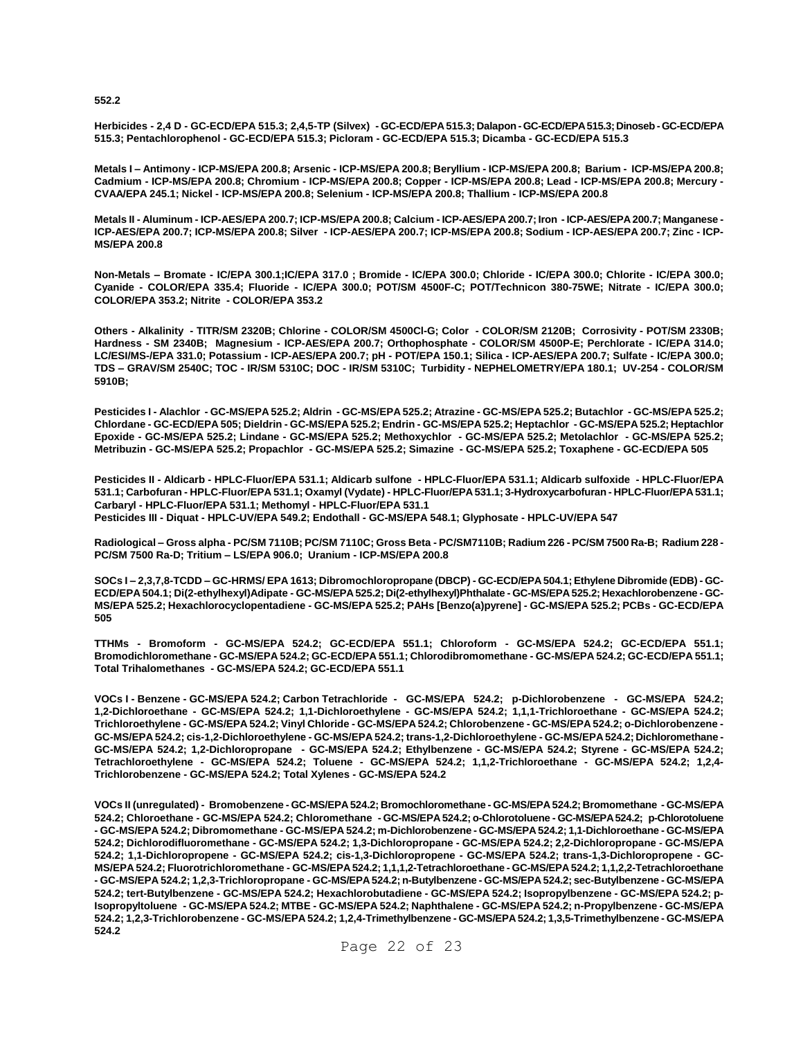**552.2**

**Herbicides - 2,4 D - GC-ECD/EPA 515.3; 2,4,5-TP (Silvex) - GC-ECD/EPA 515.3; Dalapon -GC-ECD/EPA 515.3; Dinoseb -GC-ECD/EPA 515.3; Pentachlorophenol - GC-ECD/EPA 515.3; Picloram - GC-ECD/EPA 515.3; Dicamba - GC-ECD/EPA 515.3**

**Metals I – Antimony - ICP-MS/EPA 200.8; Arsenic - ICP-MS/EPA 200.8; Beryllium - ICP-MS/EPA 200.8; Barium - ICP-MS/EPA 200.8; Cadmium - ICP-MS/EPA 200.8; Chromium - ICP-MS/EPA 200.8; Copper - ICP-MS/EPA 200.8; Lead - ICP-MS/EPA 200.8; Mercury - CVAA/EPA 245.1; Nickel - ICP-MS/EPA 200.8; Selenium - ICP-MS/EPA 200.8; Thallium - ICP-MS/EPA 200.8**

**Metals II - Aluminum - ICP-AES/EPA 200.7; ICP-MS/EPA 200.8; Calcium - ICP-AES/EPA 200.7; Iron - ICP-AES/EPA 200.7; Manganese - ICP-AES/EPA 200.7; ICP-MS/EPA 200.8; Silver - ICP-AES/EPA 200.7; ICP-MS/EPA 200.8; Sodium - ICP-AES/EPA 200.7; Zinc - ICP-MS/EPA 200.8**

**Non-Metals – Bromate - IC/EPA 300.1;IC/EPA 317.0 ; Bromide - IC/EPA 300.0; Chloride - IC/EPA 300.0; Chlorite - IC/EPA 300.0; Cyanide - COLOR/EPA 335.4; Fluoride - IC/EPA 300.0; POT/SM 4500F-C; POT/Technicon 380-75WE; Nitrate - IC/EPA 300.0; COLOR/EPA 353.2; Nitrite - COLOR/EPA 353.2**

**Others - Alkalinity - TITR/SM 2320B; Chlorine - COLOR/SM 4500Cl-G; Color - COLOR/SM 2120B; Corrosivity - POT/SM 2330B; Hardness - SM 2340B; Magnesium - ICP-AES/EPA 200.7; Orthophosphate - COLOR/SM 4500P-E; Perchlorate - IC/EPA 314.0; LC/ESI/MS-/EPA 331.0; Potassium - ICP-AES/EPA 200.7; pH - POT/EPA 150.1; Silica - ICP-AES/EPA 200.7; Sulfate - IC/EPA 300.0; TDS – GRAV/SM 2540C; TOC - IR/SM 5310C; DOC - IR/SM 5310C; Turbidity - NEPHELOMETRY/EPA 180.1; UV-254 - COLOR/SM 5910B;** 

**Pesticides I - Alachlor - GC-MS/EPA 525.2; Aldrin - GC-MS/EPA 525.2; Atrazine - GC-MS/EPA 525.2; Butachlor - GC-MS/EPA 525.2; Chlordane - GC-ECD/EPA 505; Dieldrin - GC-MS/EPA 525.2; Endrin - GC-MS/EPA 525.2; Heptachlor - GC-MS/EPA 525.2; Heptachlor Epoxide - GC-MS/EPA 525.2; Lindane - GC-MS/EPA 525.2; Methoxychlor - GC-MS/EPA 525.2; Metolachlor - GC-MS/EPA 525.2; Metribuzin - GC-MS/EPA 525.2; Propachlor - GC-MS/EPA 525.2; Simazine - GC-MS/EPA 525.2; Toxaphene - GC-ECD/EPA 505**

**Pesticides II - Aldicarb - HPLC-Fluor/EPA 531.1; Aldicarb sulfone - HPLC-Fluor/EPA 531.1; Aldicarb sulfoxide - HPLC-Fluor/EPA 531.1; Carbofuran - HPLC-Fluor/EPA 531.1; Oxamyl (Vydate) - HPLC-Fluor/EPA531.1; 3-Hydroxycarbofuran - HPLC-Fluor/EPA 531.1; Carbaryl - HPLC-Fluor/EPA 531.1; Methomyl - HPLC-Fluor/EPA 531.1 Pesticides III - Diquat - HPLC-UV/EPA 549.2; Endothall - GC-MS/EPA 548.1; Glyphosate - HPLC-UV/EPA 547**

**Radiological – Gross alpha - PC/SM 7110B; PC/SM 7110C; Gross Beta - PC/SM7110B; Radium 226 - PC/SM 7500 Ra-B; Radium 228 - PC/SM 7500 Ra-D; Tritium – LS/EPA 906.0; Uranium - ICP-MS/EPA 200.8**

**SOCs I – 2,3,7,8-TCDD – GC-HRMS/ EPA 1613; Dibromochloropropane (DBCP) - GC-ECD/EPA 504.1; Ethylene Dibromide (EDB) - GC-ECD/EPA 504.1; Di(2-ethylhexyl)Adipate - GC-MS/EPA 525.2; Di(2-ethylhexyl)Phthalate - GC-MS/EPA 525.2; Hexachlorobenzene - GC-MS/EPA 525.2; Hexachlorocyclopentadiene - GC-MS/EPA 525.2; PAHs [Benzo(a)pyrene] - GC-MS/EPA 525.2; PCBs - GC-ECD/EPA 505**

**TTHMs - Bromoform - GC-MS/EPA 524.2; GC-ECD/EPA 551.1; Chloroform - GC-MS/EPA 524.2; GC-ECD/EPA 551.1; Bromodichloromethane - GC-MS/EPA 524.2; GC-ECD/EPA 551.1; Chlorodibromomethane - GC-MS/EPA 524.2; GC-ECD/EPA 551.1; Total Trihalomethanes - GC-MS/EPA 524.2; GC-ECD/EPA 551.1**

**VOCs I - Benzene - GC-MS/EPA 524.2; Carbon Tetrachloride - GC-MS/EPA 524.2; p-Dichlorobenzene - GC-MS/EPA 524.2; 1,2-Dichloroethane - GC-MS/EPA 524.2; 1,1-Dichloroethylene - GC-MS/EPA 524.2; 1,1,1-Trichloroethane - GC-MS/EPA 524.2; Trichloroethylene - GC-MS/EPA 524.2; Vinyl Chloride - GC-MS/EPA 524.2; Chlorobenzene - GC-MS/EPA 524.2; o-Dichlorobenzene - GC-MS/EPA 524.2; cis-1,2-Dichloroethylene - GC-MS/EPA 524.2; trans-1,2-Dichloroethylene - GC-MS/EPA 524.2; Dichloromethane - GC-MS/EPA 524.2; 1,2-Dichloropropane - GC-MS/EPA 524.2; Ethylbenzene - GC-MS/EPA 524.2; Styrene - GC-MS/EPA 524.2; Tetrachloroethylene - GC-MS/EPA 524.2; Toluene - GC-MS/EPA 524.2; 1,1,2-Trichloroethane - GC-MS/EPA 524.2; 1,2,4- Trichlorobenzene - GC-MS/EPA 524.2; Total Xylenes - GC-MS/EPA 524.2**

**VOCs II (unregulated) - Bromobenzene - GC-MS/EPA 524.2; Bromochloromethane - GC-MS/EPA 524.2; Bromomethane - GC-MS/EPA 524.2; Chloroethane - GC-MS/EPA 524.2; Chloromethane - GC-MS/EPA 524.2; o-Chlorotoluene - GC-MS/EPA 524.2; p-Chlorotoluene - GC-MS/EPA 524.2; Dibromomethane - GC-MS/EPA 524.2; m-Dichlorobenzene - GC-MS/EPA 524.2; 1,1-Dichloroethane - GC-MS/EPA 524.2; Dichlorodifluoromethane - GC-MS/EPA 524.2; 1,3-Dichloropropane - GC-MS/EPA 524.2; 2,2-Dichloropropane - GC-MS/EPA 524.2; 1,1-Dichloropropene - GC-MS/EPA 524.2; cis-1,3-Dichloropropene - GC-MS/EPA 524.2; trans-1,3-Dichloropropene - GC-MS/EPA 524.2; Fluorotrichloromethane - GC-MS/EPA 524.2; 1,1,1,2-Tetrachloroethane - GC-MS/EPA 524.2; 1,1,2,2-Tetrachloroethane - GC-MS/EPA 524.2; 1,2,3-Trichloropropane - GC-MS/EPA 524.2; n-Butylbenzene - GC-MS/EPA 524.2; sec-Butylbenzene - GC-MS/EPA 524.2; tert-Butylbenzene - GC-MS/EPA 524.2; Hexachlorobutadiene - GC-MS/EPA 524.2; Isopropylbenzene - GC-MS/EPA 524.2; p-Isopropyltoluene - GC-MS/EPA 524.2; MTBE - GC-MS/EPA 524.2; Naphthalene - GC-MS/EPA 524.2; n-Propylbenzene - GC-MS/EPA 524.2; 1,2,3-Trichlorobenzene - GC-MS/EPA 524.2; 1,2,4-Trimethylbenzene - GC-MS/EPA 524.2; 1,3,5-Trimethylbenzene - GC-MS/EPA 524.2**

Page 22 of 23